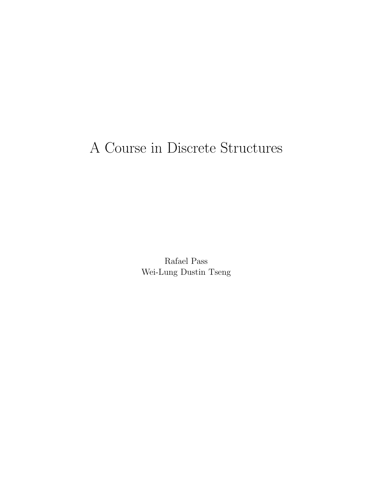# A Course in Discrete Structures

Rafael Pass Wei-Lung Dustin Tseng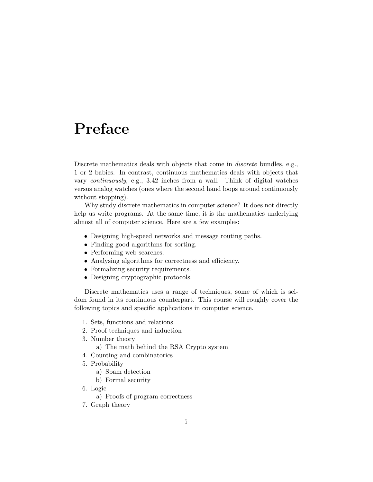# Preface

Discrete mathematics deals with objects that come in *discrete* bundles, e.g., 1 or 2 babies. In contrast, continuous mathematics deals with objects that vary continuously, e.g., 3.42 inches from a wall. Think of digital watches versus analog watches (ones where the second hand loops around continuously without stopping).

Why study discrete mathematics in computer science? It does not directly help us write programs. At the same time, it is the mathematics underlying almost all of computer science. Here are a few examples:

- Designing high-speed networks and message routing paths.
- Finding good algorithms for sorting.
- Performing web searches.
- Analysing algorithms for correctness and efficiency.
- Formalizing security requirements.
- Designing cryptographic protocols.

Discrete mathematics uses a range of techniques, some of which is seldom found in its continuous counterpart. This course will roughly cover the following topics and specific applications in computer science.

- 1. Sets, functions and relations
- 2. Proof techniques and induction
- 3. Number theory
	- a) The math behind the RSA Crypto system
- 4. Counting and combinatorics
- 5. Probability
	- a) Spam detection
	- b) Formal security
- 6. Logic

a) Proofs of program correctness

7. Graph theory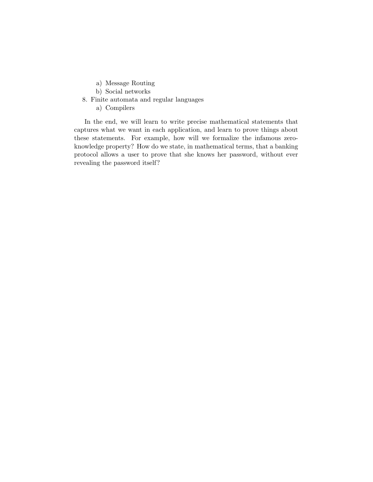- a) Message Routing
- b) Social networks
- 8. Finite automata and regular languages
	- a) Compilers

In the end, we will learn to write precise mathematical statements that captures what we want in each application, and learn to prove things about these statements. For example, how will we formalize the infamous zeroknowledge property? How do we state, in mathematical terms, that a banking protocol allows a user to prove that she knows her password, without ever revealing the password itself?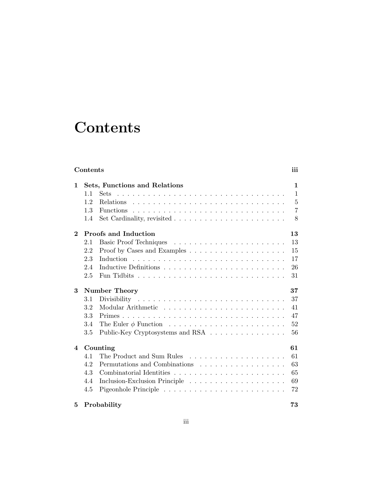# **Contents**

|                | Contents |                                  | iii            |
|----------------|----------|----------------------------------|----------------|
| 1              |          | Sets, Functions and Relations    | $\mathbf{1}$   |
|                | 1.1      | <b>Sets</b>                      | $\mathbf{1}$   |
|                | 1.2      | Relations                        | $\overline{5}$ |
|                | 1.3      | <b>Functions</b>                 | $\overline{7}$ |
|                | 1.4      |                                  | 8              |
| $\bf{2}$       |          | <b>Proofs and Induction</b>      | 13             |
|                | 2.1      |                                  | 13             |
|                | 2.2      |                                  | 15             |
|                | 2.3      |                                  | 17             |
|                | 2.4      |                                  | 26             |
|                | 2.5      |                                  | 31             |
| 3              |          | <b>Number Theory</b>             | 37             |
|                | 3.1      |                                  | 37             |
|                | 3.2      |                                  | 41             |
|                | 3.3      |                                  | 47             |
|                | 3.4      |                                  | 52             |
|                | 3.5      | Public-Key Cryptosystems and RSA | 56             |
| $\overline{4}$ |          | Counting                         | 61             |
|                | 4.1      |                                  | 61             |
|                | 4.2      | Permutations and Combinations    | 63             |
|                | 4.3      |                                  | 65             |
|                | 4.4      |                                  | 69             |
|                | 4.5      |                                  | 72             |
| 5              |          | Probability                      | 73             |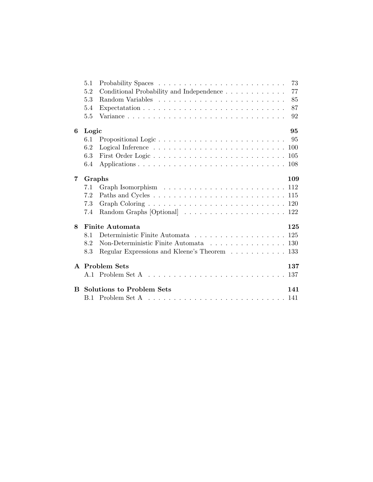|    | 5.1<br>5.2<br>5.3<br>5.4<br>5.5 | Conditional Probability and Independence<br>Expectatation $\ldots \ldots \ldots \ldots \ldots \ldots \ldots \ldots \ldots \ldots$ | 73<br>77<br>85<br>87<br>92 |
|----|---------------------------------|-----------------------------------------------------------------------------------------------------------------------------------|----------------------------|
|    |                                 |                                                                                                                                   |                            |
| 6  | Logic                           |                                                                                                                                   | 95                         |
|    | 6.1                             |                                                                                                                                   | 95                         |
|    | 6.2                             | Logical Inference $\ldots \ldots \ldots \ldots \ldots \ldots \ldots \ldots \ldots \ldots 100$                                     |                            |
|    | 6.3                             |                                                                                                                                   |                            |
|    | 6.4                             |                                                                                                                                   |                            |
| 7  | Graphs                          |                                                                                                                                   | 109                        |
|    | 7.1                             |                                                                                                                                   |                            |
|    | 7.2                             |                                                                                                                                   |                            |
|    | 7.3                             | Graph Coloring $\ldots \ldots \ldots \ldots \ldots \ldots \ldots \ldots \ldots 120$                                               |                            |
|    | 7.4                             |                                                                                                                                   |                            |
| 8  |                                 | Finite Automata                                                                                                                   | 125                        |
|    | 8.1                             |                                                                                                                                   |                            |
|    | 8.2                             | Non-Deterministic Finite Automata  130                                                                                            |                            |
|    | 8.3                             | Regular Expressions and Kleene's Theorem $\ldots \ldots \ldots \ldots 133$                                                        |                            |
|    |                                 | A Problem Sets                                                                                                                    | 137                        |
|    |                                 |                                                                                                                                   |                            |
| B. | B.1                             | <b>Solutions to Problem Sets</b>                                                                                                  | 141                        |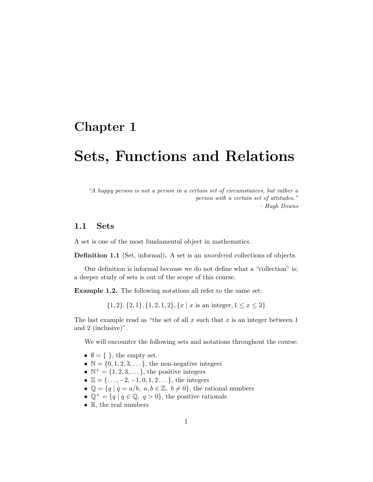# Chapter 1

# Sets, Functions and Relations

"A happy person is not a person in a certain set of circumstances, but rather a person with a certain set of attitudes." – Hugh Downs

# 1.1 Sets

A set is one of the most fundamental object in mathematics.

Definition 1.1 (Set, informal). A set is an unordered collections of objects.

Our definition is informal because we do not define what a "collection" is; a deeper study of sets is out of the scope of this course.

Example 1.2. The following notations all refer to the same set:

 $\{1, 2\}, \{2, 1\}, \{1, 2, 1, 2\}, \{x \mid x \text{ is an integer}, 1 \leq x \leq 2\}$ 

The last example read as "the set of all  $x$  such that  $x$  is an integer between 1 and 2 (inclusive)".

We will encounter the following sets and notations throughout the course:

- $\emptyset = \{\}$ , the empty set.
- $\mathbb{N} = \{0, 1, 2, 3, \dots\}$ , the non-negative integers
- $\mathbb{N}^+ = \{1, 2, 3, \dots\}$ , the positive integers
- $\mathbb{Z} = {\ldots, -2, -1, 0, 1, 2 \ldots}$ , the integers
- $\mathbb{Q} = \{q \mid q = a/b, a, b \in \mathbb{Z}, b \neq 0\}$ , the rational numbers
- $\mathbb{Q}^+ = \{q \mid q \in \mathbb{Q}, q > 0\}$ , the positive rationals
- $\mathbb{R}$ , the real numbers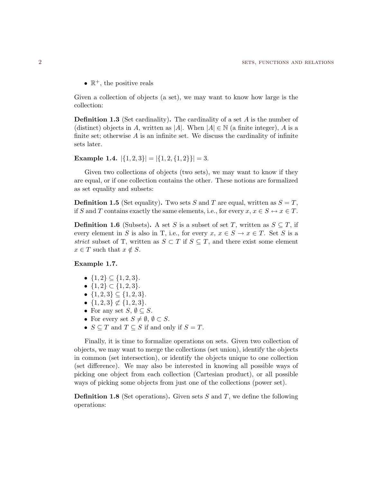•  $\mathbb{R}^+$ , the positive reals

Given a collection of objects (a set), we may want to know how large is the collection:

**Definition 1.3** (Set cardinality). The cardinality of a set  $A$  is the number of (distinct) objects in A, written as |A|. When  $|A| \in \mathbb{N}$  (a finite integer), A is a finite set; otherwise  $A$  is an infinite set. We discuss the cardinality of infinite sets later.

Example 1.4.  $|\{1, 2, 3\}| = |\{1, 2, \{1, 2\}\}| = 3.$ 

Given two collections of objects (two sets), we may want to know if they are equal, or if one collection contains the other. These notions are formalized as set equality and subsets:

**Definition 1.5** (Set equality). Two sets S and T are equal, written as  $S = T$ , if S and T contains exactly the same elements, i.e., for every  $x, x \in S \leftrightarrow x \in T$ .

**Definition 1.6** (Subsets). A set S is a subset of set T, written as  $S \subseteq T$ , if every element in S is also in T, i.e., for every  $x, x \in S \to x \in T$ . Set S is a strict subset of T, written as  $S \subset T$  if  $S \subseteq T$ , and there exist some element  $x \in T$  such that  $x \notin S$ .

## Example 1.7.

- $\{1,2\} \subseteq \{1,2,3\}.$
- $\{1,2\} \subset \{1,2,3\}.$
- $\{1, 2, 3\} \subseteq \{1, 2, 3\}.$
- $\{1, 2, 3\} \not\subset \{1, 2, 3\}.$
- For any set  $S, \emptyset \subseteq S$ .
- For every set  $S \neq \emptyset$ ,  $\emptyset \subset S$ .
- $S \subseteq T$  and  $T \subseteq S$  if and only if  $S = T$ .

Finally, it is time to formalize operations on sets. Given two collection of objects, we may want to merge the collections (set union), identify the objects in common (set intersection), or identify the objects unique to one collection (set difference). We may also be interested in knowing all possible ways of picking one object from each collection (Cartesian product), or all possible ways of picking some objects from just one of the collections (power set).

**Definition 1.8** (Set operations). Given sets S and T, we define the following operations: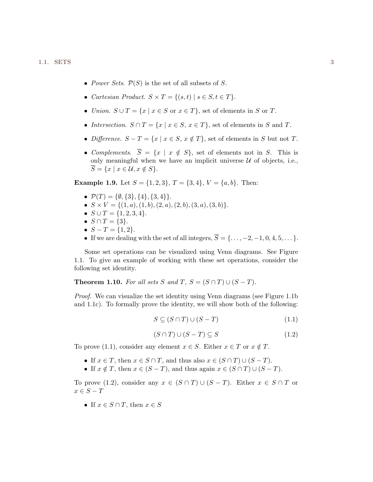- Power Sets.  $\mathcal{P}(S)$  is the set of all subsets of S.
- Cartesian Product.  $S \times T = \{(s, t) \mid s \in S, t \in T\}.$
- Union.  $S \cup T = \{x \mid x \in S \text{ or } x \in T\}$ , set of elements in S or T.
- Intersection.  $S \cap T = \{x \mid x \in S, x \in T\}$ , set of elements in S and T.
- Difference.  $S T = \{x \mid x \in S, x \notin T\}$ , set of elements in S but not T.
- Complements.  $\overline{S} = \{x \mid x \notin S\}$ , set of elements not in S. This is only meaningful when we have an implicit universe  $U$  of objects, i.e.,  $\overline{S} = \{x \mid x \in \mathcal{U}, x \notin S\}.$

**Example 1.9.** Let  $S = \{1, 2, 3\}$ ,  $T = \{3, 4\}$ ,  $V = \{a, b\}$ . Then:

- $\mathcal{P}(T) = \{\emptyset, \{3\}, \{4\}, \{3, 4\}\}.$
- $S \times V = \{(1, a), (1, b), (2, a), (2, b), (3, a), (3, b)\}.$
- $S \cup T = \{1, 2, 3, 4\}.$
- $S \cap T = \{3\}.$
- $S T = \{1, 2\}.$
- If we are dealing with the set of all integers,  $\overline{S} = \{ \ldots, -2, -1, 0, 4, 5, \ldots \}$ .

Some set operations can be visualized using Venn diagrams. See Figure 1.1. To give an example of working with these set operations, consider the following set identity.

**Theorem 1.10.** For all sets S and T,  $S = (S \cap T) \cup (S - T)$ .

Proof. We can visualize the set identity using Venn diagrams (see Figure 1.1b and 1.1c). To formally prove the identity, we will show both of the following:

$$
S \subseteq (S \cap T) \cup (S - T) \tag{1.1}
$$

$$
(S \cap T) \cup (S - T) \subseteq S \tag{1.2}
$$

To prove (1.1), consider any element  $x \in S$ . Either  $x \in T$  or  $x \notin T$ .

- If  $x \in T$ , then  $x \in S \cap T$ , and thus also  $x \in (S \cap T) \cup (S T)$ .
- If  $x \notin T$ , then  $x \in (S T)$ , and thus again  $x \in (S \cap T) \cup (S T)$ .

To prove (1.2), consider any  $x \in (S \cap T) \cup (S - T)$ . Either  $x \in S \cap T$  or  $x \in S - T$ 

• If  $x \in S \cap T$ , then  $x \in S$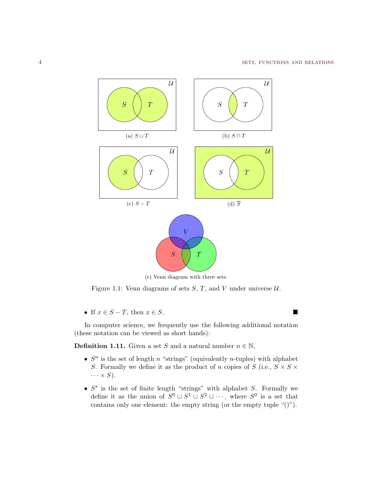

(e) Venn diagram with three sets.

Figure 1.1: Venn diagrams of sets  $S, T$ , and V under universe  $U$ .

• If  $x \in S - T$ , then  $x \in S$ .

In computer science, we frequently use the following additional notation (these notation can be viewed as short hands):

**Definition 1.11.** Given a set S and a natural number  $n \in \mathbb{N}$ ,

- $S<sup>n</sup>$  is the set of length n "strings" (equivalently n-tuples) with alphabet S. Formally we define it as the product of n copies of S (i.e.,  $S \times S \times$  $\cdots \times S$ ).
- $S^*$  is the set of finite length "strings" with alphabet S. Formally we define it as the union of  $S^0 \cup S^1 \cup S^2 \cup \cdots$ , where  $S^0$  is a set that contains only one element: the empty string (or the empty tuple " $()$ ").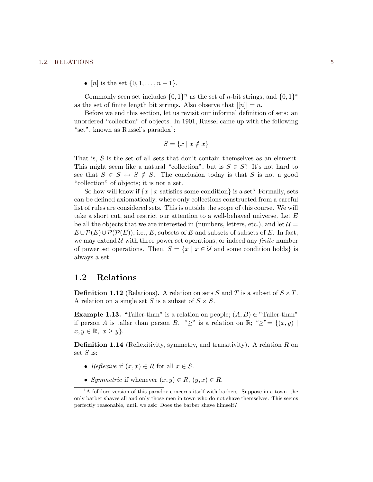#### 1.2. RELATIONS 5

• [n] is the set  $\{0, 1, \ldots, n-1\}.$ 

Commonly seen set includes  $\{0,1\}^n$  as the set of *n*-bit strings, and  $\{0,1\}^*$ as the set of finite length bit strings. Also observe that  $||n|| = n$ .

Before we end this section, let us revisit our informal definition of sets: an unordered "collection" of objects. In 1901, Russel came up with the following "set", known as Russel's paradox<sup>1</sup>:

$$
S = \{x \mid x \notin x\}
$$

That is, S is the set of all sets that don't contain themselves as an element. This might seem like a natural "collection", but is  $S \in \mathcal{S}$ ? It's not hard to see that  $S \in S \leftrightarrow S \notin S$ . The conclusion today is that S is not a good "collection" of objects; it is not a set.

So how will know if  $\{x \mid x \text{ satisfies some condition}\}\$ is a set? Formally, sets can be defined axiomatically, where only collections constructed from a careful list of rules are considered sets. This is outside the scope of this course. We will take a short cut, and restrict our attention to a well-behaved universe. Let E be all the objects that we are interested in (numbers, letters, etc.), and let  $\mathcal{U} =$  $E \cup \mathcal{P}(E) \cup \mathcal{P}(\mathcal{P}(E))$ , i.e., E, subsets of E and subsets of subsets of E. In fact, we may extend  $U$  with three power set operations, or indeed any *finite* number of power set operations. Then,  $S = \{x \mid x \in \mathcal{U} \text{ and some condition holds}\}\$ is always a set.

# 1.2 Relations

**Definition 1.12** (Relations). A relation on sets S and T is a subset of  $S \times T$ . A relation on a single set S is a subset of  $S \times S$ .

**Example 1.13.** "Taller-than" is a relation on people;  $(A, B) \in$  "Taller-than" if person A is taller than person B. "≥" is a relation on R; "≥" = { $(x, y)$  $x, y \in \mathbb{R}, x \geq y$ .

**Definition 1.14** (Reflexitivity, symmetry, and transitivity). A relation  $R$  on set  $S$  is:

- Reflexive if  $(x, x) \in R$  for all  $x \in S$ .
- Symmetric if whenever  $(x, y) \in R$ ,  $(y, x) \in R$ .

<sup>&</sup>lt;sup>1</sup>A folklore version of this paradox concerns itself with barbers. Suppose in a town, the only barber shaves all and only those men in town who do not shave themselves. This seems perfectly reasonable, until we ask: Does the barber shave himself?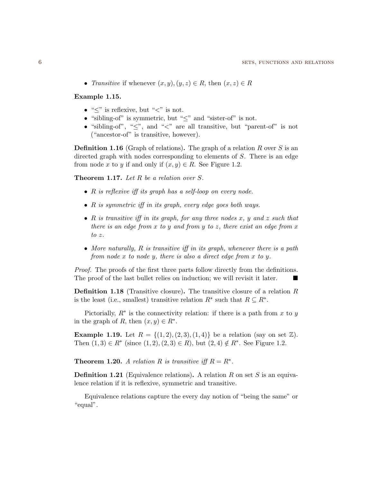• Transitive if whenever  $(x, y), (y, z) \in R$ , then  $(x, z) \in R$ 

### Example 1.15.

- " $\leq$ " is reflexive, but " $\lt$ " is not.
- $\bullet$  "sibling-of" is symmetric, but " $\leq$  " and "sister-of" is not.
- "sibling-of", " $\leq$ ", and " $\lt$ " are all transitive, but "parent-of" is not ("ancestor-of" is transitive, however).

**Definition 1.16** (Graph of relations). The graph of a relation R over S is an directed graph with nodes corresponding to elements of S. There is an edge from node x to y if and only if  $(x, y) \in R$ . See Figure 1.2.

**Theorem 1.17.** Let R be a relation over S.

- R is reflexive iff its graph has a self-loop on every node.
- $R$  is symmetric iff in its graph, every edge goes both ways.
- R is transitive iff in its graph, for any three nodes  $x, y$  and  $z$  such that there is an edge from x to y and from y to z, there exist an edge from x to z.
- More naturally,  $R$  is transitive iff in its graph, whenever there is a path from node x to node y, there is also a direct edge from x to y.

*Proof.* The proofs of the first three parts follow directly from the definitions. The proof of the last bullet relies on induction; we will revisit it later.

**Definition 1.18** (Transitive closure). The transitive closure of a relation  $R$ is the least (i.e., smallest) transitive relation  $R^*$  such that  $R \subseteq R^*$ .

Pictorially,  $R^*$  is the connectivity relation: if there is a path from x to y in the graph of R, then  $(x, y) \in R^*$ .

**Example 1.19.** Let  $R = \{(1, 2), (2, 3), (1, 4)\}$  be a relation (say on set  $\mathbb{Z}$ ). Then  $(1,3) \in R^*$  (since  $(1,2), (2,3) \in R$ ), but  $(2,4) \notin R^*$ . See Figure 1.2.

**Theorem 1.20.** A relation R is transitive iff  $R = R^*$ .

**Definition 1.21** (Equivalence relations). A relation R on set S is an equivalence relation if it is reflexive, symmetric and transitive.

Equivalence relations capture the every day notion of "being the same" or "equal".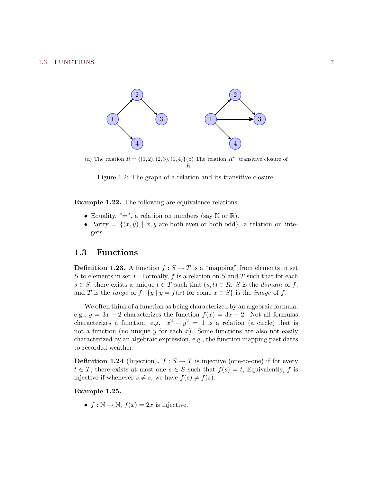

(a) The relation  $R = \{(1, 2), (2, 3), (1, 4)\}$  (b) The relation  $R^*$ , transitive closure of R

Figure 1.2: The graph of a relation and its transitive closure.

Example 1.22. The following are equivalence relations:

- Equality, "=", a relation on numbers (say  $\mathbb N$  or  $\mathbb R$ ).
- Parity =  $\{(x, y) | x, y \text{ are both even or both odd}\},\$ a relation on integers.

# 1.3 Functions

**Definition 1.23.** A function  $f : S \to T$  is a "mapping" from elements in set S to elements in set T. Formally, f is a relation on S and T such that for each  $s \in S$ , there exists a unique  $t \in T$  such that  $(s, t) \in R$ . S is the *domain* of f, and T is the range of f.  $\{y \mid y = f(x) \text{ for some } x \in S\}$  is the *image* of f.

We often think of a function as being characterized by an algebraic formula, e.g.,  $y = 3x - 2$  characterizes the function  $f(x) = 3x - 2$ . Not all formulas characterizes a function, e.g.  $x^2 + y^2 = 1$  is a relation (a circle) that is not a function (no unique  $y$  for each  $x$ ). Some functions are also not easily characterized by an algebraic expression, e.g., the function mapping past dates to recorded weather.

**Definition 1.24** (Injection).  $f : S \to T$  is injective (one-to-one) if for every  $t \in T$ , there exists at most one  $s \in S$  such that  $f(s) = t$ , Equivalently, f is injective if whenever  $s \neq s$ , we have  $f(s) \neq f(s)$ .

## Example 1.25.

•  $f : \mathbb{N} \to \mathbb{N}, f(x) = 2x$  is injective.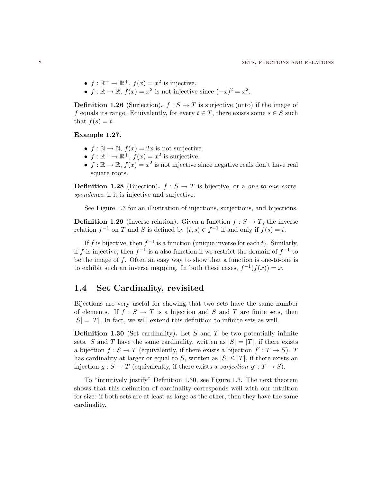- $f: \mathbb{R}^+ \to \mathbb{R}^+$ ,  $f(x) = x^2$  is injective.
- $f: \mathbb{R} \to \mathbb{R}, f(x) = x^2$  is not injective since  $(-x)^2 = x^2$ .

**Definition 1.26** (Surjection).  $f : S \to T$  is surjective (onto) if the image of f equals its range. Equivalently, for every  $t \in T$ , there exists some  $s \in S$  such that  $f(s) = t$ .

Example 1.27.

- $f : \mathbb{N} \to \mathbb{N}, f(x) = 2x$  is not surjective.
- $f: \mathbb{R}^+ \to \mathbb{R}^+$ ,  $f(x) = x^2$  is surjective.
- $f : \mathbb{R} \to \mathbb{R}$ ,  $f(x) = x^2$  is not injective since negative reals don't have real square roots.

**Definition 1.28** (Bijection).  $f : S \to T$  is bijective, or a *one-to-one corre*spondence, if it is injective and surjective.

See Figure 1.3 for an illustration of injections, surjections, and bijections.

**Definition 1.29** (Inverse relation). Given a function  $f : S \to T$ , the inverse relation  $f^{-1}$  on T and S is defined by  $(t, s) \in f^{-1}$  if and only if  $f(s) = t$ .

If f is bijective, then  $f^{-1}$  is a function (unique inverse for each t). Similarly, if f is injective, then  $f^{-1}$  is a also function if we restrict the domain of  $f^{-1}$  to be the image of f. Often an easy way to show that a function is one-to-one is to exhibit such an inverse mapping. In both these cases,  $f^{-1}(f(x)) = x$ .

# 1.4 Set Cardinality, revisited

Bijections are very useful for showing that two sets have the same number of elements. If  $f : S \to T$  is a bijection and S and T are finite sets, then  $|S| = |T|$ . In fact, we will extend this definition to infinite sets as well.

**Definition 1.30** (Set cardinality). Let S and T be two potentially infinite sets. S and T have the same cardinality, written as  $|S| = |T|$ , if there exists a bijection  $f: S \to T$  (equivalently, if there exists a bijection  $f': T \to S$ ). T has cardinality at larger or equal to S, written as  $|S| \leq |T|$ , if there exists an injection  $g: S \to T$  (equivalently, if there exists a surjection  $g': T \to S$ ).

To "intuitively justify" Definition 1.30, see Figure 1.3. The next theorem shows that this definition of cardinality corresponds well with our intuition for size: if both sets are at least as large as the other, then they have the same cardinality.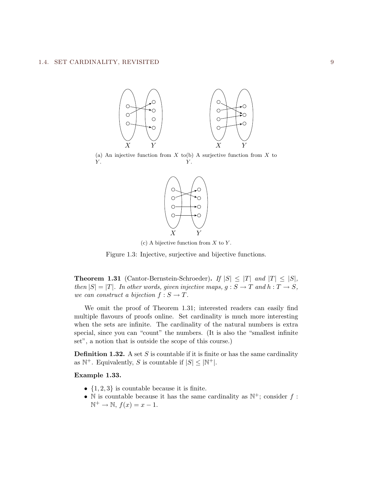

(a) An injective function from  $X$  to (b) A surjective function from  $X$  to  $Y$ .  $Y$ .



(c) A bijective function from  $X$  to  $Y$ .

Figure 1.3: Injective, surjective and bijective functions.

**Theorem 1.31** (Cantor-Bernstein-Schroeder). If  $|S| \leq |T|$  and  $|T| \leq |S|$ , then  $|S| = |T|$ . In other words, given injective maps,  $g : S \to T$  and  $h : T \to S$ , we can construct a bijection  $f : S \to T$ .

We omit the proof of Theorem 1.31; interested readers can easily find multiple flavours of proofs online. Set cardinality is much more interesting when the sets are infinite. The cardinality of the natural numbers is extra special, since you can "count" the numbers. (It is also the "smallest infinite set", a notion that is outside the scope of this course.)

**Definition 1.32.** A set  $S$  is countable if it is finite or has the same cardinality as  $\mathbb{N}^+$ . Equivalently, S is countable if  $|S| \leq |\mathbb{N}^+|$ .

## Example 1.33.

- $\{1, 2, 3\}$  is countable because it is finite.
- $\mathbb N$  is countable because it has the same cardinality as  $\mathbb N^+$ ; consider f:  $\mathbb{N}^+ \to \mathbb{N}, f(x) = x - 1.$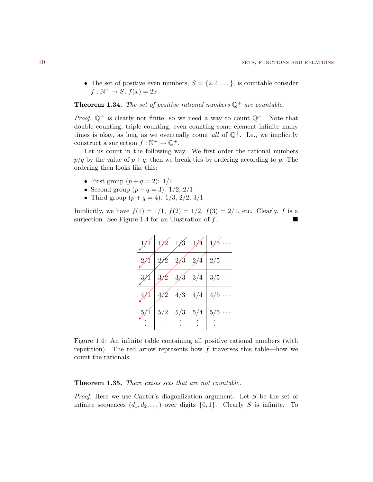• The set of positive even numbers,  $S = \{2, 4, \dots\}$ , is countable consider  $f: \mathbb{N}^+ \to S, f(x) = 2x.$ 

**Theorem 1.34.** The set of positive rational numbers  $\mathbb{Q}^+$  are countable.

*Proof.*  $\mathbb{Q}^+$  is clearly not finite, so we need a way to count  $\mathbb{Q}^+$ . Note that double counting, triple counting, even counting some element infinite many times is okay, as long as we eventually count all of  $\mathbb{Q}^+$ . I.e., we implicitly construct a surjection  $f : \mathbb{N}^+ \to \mathbb{Q}^+$ .

Let us count in the following way. We first order the rational numbers  $p/q$  by the value of  $p+q$ ; then we break ties by ordering according to p. The ordering then looks like this:

- First group  $(p+q=2)$ : 1/1
- Second group  $(p+q=3)$ :  $1/2$ ,  $2/1$
- Third group  $(p+q=4)$ :  $1/3$ ,  $2/2$ ,  $3/1$

Implicitly, we have  $f(1) = 1/1$ ,  $f(2) = 1/2$ ,  $f(3) = 2/1$ , etc. Clearly, f is a surjection. See Figure 1.4 for an illustration of  $f$ .

| 1/2 | $\frac{1}{3}$ | $\frac{1}{4}$     | 1/5 |
|-----|---------------|-------------------|-----|
|     | 2/3           | $2\!\!\!/_A$<br>4 | 2/5 |
| 3/2 | 3/3           | 3/4               | 3/5 |
| 4/2 | 4/3           | 4/4               | 4/5 |
| 5/2 | 5/3           | 5/4               | 5/5 |

Figure 1.4: An infinite table containing all positive rational numbers (with repetition). The red arrow represents how  $f$  traverses this table—how we count the rationals.

### Theorem 1.35. There exists sets that are not countable.

Proof. Here we use Cantor's diagonlization argument. Let S be the set of infinite sequences  $(d_1, d_2, ...)$  over digits  $\{0, 1\}$ . Clearly S is infinite. To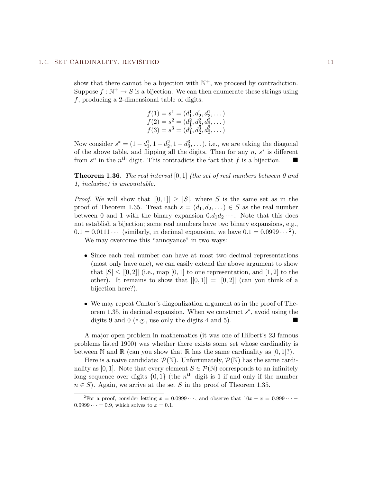show that there cannot be a bijection with  $\mathbb{N}^+$ , we proceed by contradiction. Suppose  $f : \mathbb{N}^+ \to S$  is a bijection. We can then enumerate these strings using  $f$ , producing a 2-dimensional table of digits:

$$
f(1) = s1 = (d11, d21, d31, ...)
$$
  
\n
$$
f(2) = s2 = (d12, d22, d32, ...)
$$
  
\n
$$
f(3) = s3 = (d13, d23, d33, ...)
$$

Now consider  $s^* = (1 - d_1^1, 1 - d_2^2, 1 - d_3^3, \dots)$ , i.e., we are taking the diagonal of the above table, and flipping all the digits. Then for any  $n, s^*$  is different from  $s^n$  in the  $n^{\text{th}}$  digit. This contradicts the fact that f is a bijection.

**Theorem 1.36.** The real interval  $[0, 1]$  (the set of real numbers between 0 and 1, inclusive) is uncountable.

*Proof.* We will show that  $|[0, 1]| \geq |S|$ , where S is the same set as in the proof of Theorem 1.35. Treat each  $s = (d_1, d_2, ...) \in S$  as the real number between 0 and 1 with the binary expansion  $0.d_1d_2\cdots$ . Note that this does not establish a bijection; some real numbers have two binary expansions, e.g.,  $0.1 = 0.0111 \cdots$  (similarly, in decimal expansion, we have  $0.1 = 0.0999 \cdots^2$ ).

We may overcome this "annoyance" in two ways:

- Since each real number can have at most two decimal representations (most only have one), we can easily extend the above argument to show that  $|S| \leq |[0,2]|$  (i.e., map  $[0,1]$  to one representation, and  $[1,2]$  to the other). It remains to show that  $|[0,1]| = |[0,2]|$  (can you think of a bijection here?).
- We may repeat Cantor's diagonlization argument as in the proof of Theorem 1.35, in decimal expansion. When we construct  $s^*$ , avoid using the digits 9 and 0 (e.g., use only the digits 4 and 5).

A major open problem in mathematics (it was one of Hilbert's 23 famous problems listed 1900) was whether there exists some set whose cardinality is between N and R (can you show that R has the same cardinality as  $[0, 1]$ ?).

Here is a naive candidate:  $\mathcal{P}(\mathbb{N})$ . Unfortunately,  $\mathcal{P}(\mathbb{N})$  has the same cardinality as [0, 1]. Note that every element  $S \in \mathcal{P}(\mathbb{N})$  corresponds to an infinitely long sequence over digits  $\{0,1\}$  (the  $n^{\text{th}}$  digit is 1 if and only if the number  $n \in S$ ). Again, we arrive at the set S in the proof of Theorem 1.35.

<sup>&</sup>lt;sup>2</sup>For a proof, consider letting  $x = 0.0999...$ , and observe that  $10x - x = 0.999...$  $0.0999 \dots = 0.9$ , which solves to  $x = 0.1$ .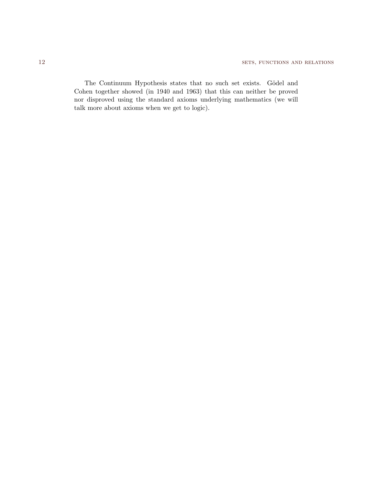The Continuum Hypothesis states that no such set exists. Gödel and Cohen together showed (in 1940 and 1963) that this can neither be proved nor disproved using the standard axioms underlying mathematics (we will talk more about axioms when we get to logic).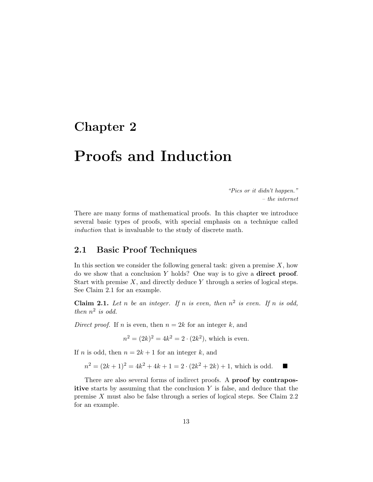# Chapter 2

# Proofs and Induction

"Pics or it didn't happen." – the internet

There are many forms of mathematical proofs. In this chapter we introduce several basic types of proofs, with special emphasis on a technique called induction that is invaluable to the study of discrete math.

# 2.1 Basic Proof Techniques

In this section we consider the following general task: given a premise  $X$ , how do we show that a conclusion  $Y$  holds? One way is to give a **direct proof.** Start with premise  $X$ , and directly deduce  $Y$  through a series of logical steps. See Claim 2.1 for an example.

**Claim 2.1.** Let n be an integer. If n is even, then  $n^2$  is even. If n is odd, then  $n^2$  is odd.

Direct proof. If n is even, then  $n = 2k$  for an integer k, and

$$
n^2 = (2k)^2 = 4k^2 = 2 \cdot (2k^2)
$$
, which is even.

If n is odd, then  $n = 2k + 1$  for an integer k, and

 $n^2 = (2k+1)^2 = 4k^2 + 4k + 1 = 2 \cdot (2k^2 + 2k) + 1$ , which is odd.

There are also several forms of indirect proofs. A proof by contrapositive starts by assuming that the conclusion  $Y$  is false, and deduce that the premise X must also be false through a series of logical steps. See Claim 2.2 for an example.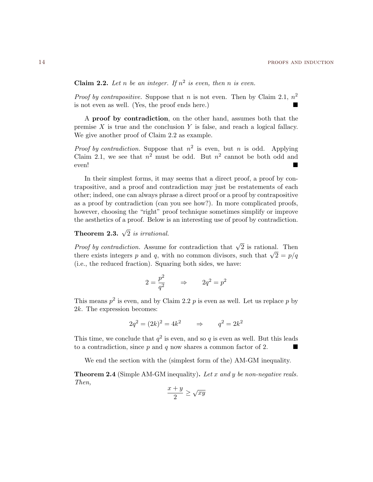# **Claim 2.2.** Let n be an integer. If  $n^2$  is even, then n is even.

*Proof by contrapositive.* Suppose that *n* is not even. Then by Claim 2.1,  $n^2$ is not even as well. (Yes, the proof ends here.)

A proof by contradiction, on the other hand, assumes both that the premise  $X$  is true and the conclusion  $Y$  is false, and reach a logical fallacy. We give another proof of Claim 2.2 as example.

*Proof by contradiction.* Suppose that  $n^2$  is even, but *n* is odd. Applying Claim 2.1, we see that  $n^2$  must be odd. But  $n^2$  cannot be both odd and even!

In their simplest forms, it may seems that a direct proof, a proof by contrapositive, and a proof and contradiction may just be restatements of each other; indeed, one can always phrase a direct proof or a proof by contrapositive as a proof by contradiction (can you see how?). In more complicated proofs, however, choosing the "right" proof technique sometimes simplify or improve the aesthetics of a proof. Below is an interesting use of proof by contradiction.

# **Theorem 2.3.**  $\sqrt{2}$  is irrational.

*Proof by contradiction.* Assume for contradiction that  $\sqrt{2}$  is rational. Then *there exists integers p and q, with no common divisors, such that*  $\sqrt{2} = p/q$ (i.e., the reduced fraction). Squaring both sides, we have:

$$
2 = \frac{p^2}{q^2} \qquad \Rightarrow \qquad 2q^2 = p^2
$$

This means  $p^2$  is even, and by Claim 2.2 p is even as well. Let us replace p by  $2k$ . The expression becomes:

$$
2q^2 = (2k)^2 = 4k^2 \qquad \Rightarrow \qquad q^2 = 2k^2
$$

This time, we conclude that  $q^2$  is even, and so q is even as well. But this leads to a contradiction, since p and q now shares a common factor of 2.  $\Box$ 

We end the section with the (simplest form of the) AM-GM inequality.

**Theorem 2.4** (Simple AM-GM inequality). Let x and y be non-negative reals. Then,

$$
\frac{x+y}{2} \geq \sqrt{xy}
$$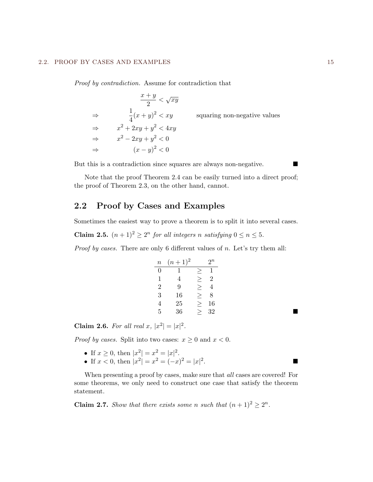### 2.2. PROOF BY CASES AND EXAMPLES 15

Proof by contradiction. Assume for contradiction that

 $x + y$  $\frac{+y}{2} < \sqrt{xy}$ ⇒  $\frac{1}{4}(x+y)^2 < xy$  squaring non-negative values 4  $\Rightarrow$   $x^2 + 2xy + y^2 < 4xy$  $\Rightarrow$   $x^2 - 2xy + y^2 < 0$  $\Rightarrow$   $(x-y)^2 < 0$ 

But this is a contradiction since squares are always non-negative.

Note that the proof Theorem 2.4 can be easily turned into a direct proof; the proof of Theorem 2.3, on the other hand, cannot.

# 2.2 Proof by Cases and Examples

Sometimes the easiest way to prove a theorem is to split it into several cases.

**Claim 2.5.**  $(n+1)^2 \geq 2^n$  for all integers n satisfying  $0 \leq n \leq 5$ .

*Proof by cases.* There are only 6 different values of  $n$ . Let's try them all:

| $\,n$ | $(n+1)^2$ |          | $2^n$          |
|-------|-----------|----------|----------------|
| U     |           | $\geq$   |                |
|       |           | $\geq 2$ |                |
| 2     | 9         | $\geq$   | $\overline{4}$ |
| 3     | 16        | $\geq$ 8 |                |
|       | 25        |          | >16            |
| 5     | 36        | >        | 32             |

Claim 2.6. For all real x,  $|x^2| = |x|^2$ .

*Proof by cases.* Split into two cases:  $x \ge 0$  and  $x < 0$ .

- If  $x \ge 0$ , then  $|x^2| = x^2 = |x|^2$ .
- If  $x < 0$ , then  $|x^2| = x^2 = (-x)^2 = |x|^2$

When presenting a proof by cases, make sure that *all* cases are covered! For some theorems, we only need to construct one case that satisfy the theorem statement.

.

**Claim 2.7.** Show that there exists some n such that  $(n+1)^2 \geq 2^n$ .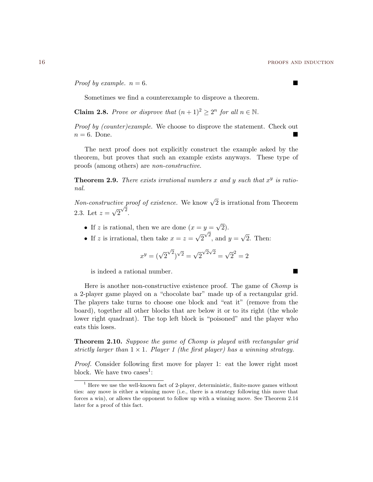Proof by example.  $n = 6$ .

Sometimes we find a counterexample to disprove a theorem.

**Claim 2.8.** Prove or disprove that  $(n+1)^2 \ge 2^n$  for all  $n \in \mathbb{N}$ .

Proof by (counter)example. We choose to disprove the statement. Check out  $n = 6$ . Done.

The next proof does not explicitly construct the example asked by the theorem, but proves that such an example exists anyways. These type of proofs (among others) are non-constructive.

**Theorem 2.9.** There exists irrational numbers x and y such that  $x^y$  is rational.

*Non-constructive proof of existence.* We know  $\sqrt{2}$  is irrational from Theorem 2.3. Let  $z =$ √  $\overline{2}^{\sqrt{2}}$ .

- If z is rational, then we are done  $(x = y =$ √  $y = \sqrt{2}$ . √
- If z is irrational, then take  $x = z =$  $\overline{2}^{\sqrt{2}}$ , and  $y=$ √ 2. Then:

$$
x^y = (\sqrt{2}^{\sqrt{2}})^{\sqrt{2}} = \sqrt{2}^{\sqrt{2}\sqrt{2}} = \sqrt{2}^2 = 2
$$

is indeed a rational number.

Here is another non-constructive existence proof. The game of Chomp is a 2-player game played on a "chocolate bar" made up of a rectangular grid. The players take turns to choose one block and "eat it" (remove from the board), together all other blocks that are below it or to its right (the whole lower right quadrant). The top left block is "poisoned" and the player who eats this loses.

**Theorem 2.10.** Suppose the game of Chomp is played with rectangular grid strictly larger than  $1 \times 1$ . Player 1 (the first player) has a winning strategy.

Proof. Consider following first move for player 1: eat the lower right most block. We have two  $\text{cases}^1$ :

<sup>&</sup>lt;sup>1</sup> Here we use the well-known fact of 2-player, deterministic, finite-move games without ties: any move is either a winning move (i.e., there is a strategy following this move that forces a win), or allows the opponent to follow up with a winning move. See Theorem 2.14 later for a proof of this fact.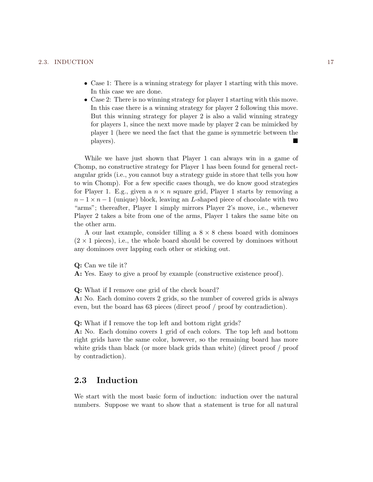#### 2.3. INDUCTION 17

- Case 1: There is a winning strategy for player 1 starting with this move. In this case we are done.
- Case 2: There is no winning strategy for player 1 starting with this move. In this case there is a winning strategy for player 2 following this move. But this winning strategy for player 2 is also a valid winning strategy for players 1, since the next move made by player 2 can be mimicked by player 1 (here we need the fact that the game is symmetric between the players).

While we have just shown that Player 1 can always win in a game of Chomp, no constructive strategy for Player 1 has been found for general rectangular grids (i.e., you cannot buy a strategy guide in store that tells you how to win Chomp). For a few specific cases though, we do know good strategies for Player 1. E.g., given a  $n \times n$  square grid, Player 1 starts by removing a  $n-1 \times n-1$  (unique) block, leaving an L-shaped piece of chocolate with two "arms"; thereafter, Player 1 simply mirrors Player 2's move, i.e., whenever Player 2 takes a bite from one of the arms, Player 1 takes the same bite on the other arm.

A our last example, consider tilling a  $8 \times 8$  chess board with dominoes  $(2 \times 1)$  pieces), i.e., the whole board should be covered by dominoes without any dominoes over lapping each other or sticking out.

Q: Can we tile it?

A: Yes. Easy to give a proof by example (constructive existence proof).

Q: What if I remove one grid of the check board?

A: No. Each domino covers 2 grids, so the number of covered grids is always even, but the board has 63 pieces (direct proof / proof by contradiction).

Q: What if I remove the top left and bottom right grids?

A: No. Each domino covers 1 grid of each colors. The top left and bottom right grids have the same color, however, so the remaining board has more white grids than black (or more black grids than white) (direct proof / proof by contradiction).

# 2.3 Induction

We start with the most basic form of induction: induction over the natural numbers. Suppose we want to show that a statement is true for all natural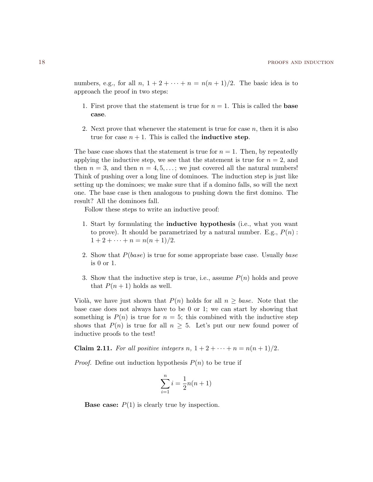numbers, e.g., for all  $n, 1 + 2 + \cdots + n = n(n + 1)/2$ . The basic idea is to approach the proof in two steps:

- 1. First prove that the statement is true for  $n = 1$ . This is called the **base** case.
- 2. Next prove that whenever the statement is true for case  $n$ , then it is also true for case  $n + 1$ . This is called the **inductive step**.

The base case shows that the statement is true for  $n = 1$ . Then, by repeatedly applying the inductive step, we see that the statement is true for  $n = 2$ , and then  $n = 3$ , and then  $n = 4, 5, \ldots$ ; we just covered all the natural numbers! Think of pushing over a long line of dominoes. The induction step is just like setting up the dominoes; we make sure that if a domino falls, so will the next one. The base case is then analogous to pushing down the first domino. The result? All the dominoes fall.

Follow these steps to write an inductive proof:

- 1. Start by formulating the inductive hypothesis (i.e., what you want to prove). It should be parametrized by a natural number. E.g.,  $P(n)$ :  $1 + 2 + \cdots + n = n(n + 1)/2.$
- 2. Show that  $P(base)$  is true for some appropriate base case. Usually base is 0 or 1.
- 3. Show that the inductive step is true, i.e., assume  $P(n)$  holds and prove that  $P(n + 1)$  holds as well.

Violà, we have just shown that  $P(n)$  holds for all  $n \geq base$ . Note that the base case does not always have to be 0 or 1; we can start by showing that something is  $P(n)$  is true for  $n = 5$ ; this combined with the inductive step shows that  $P(n)$  is true for all  $n \geq 5$ . Let's put our new found power of inductive proofs to the test!

Claim 2.11. For all positive integers  $n, 1 + 2 + \cdots + n = n(n + 1)/2$ .

*Proof.* Define out induction hypothesis  $P(n)$  to be true if

$$
\sum_{i=1}^{n} i = \frac{1}{2}n(n+1)
$$

**Base case:**  $P(1)$  is clearly true by inspection.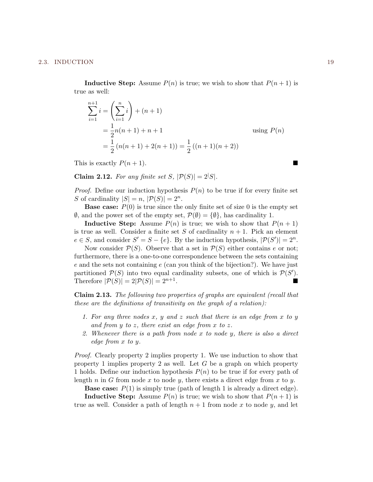#### 2.3. INDUCTION 19

**Inductive Step:** Assume  $P(n)$  is true; we wish to show that  $P(n+1)$  is true as well:

$$
\sum_{i=1}^{n+1} i = \left(\sum_{i=1}^{n} i\right) + (n+1)
$$
  
=  $\frac{1}{2}n(n+1) + n + 1$  using  $P(n)$   
=  $\frac{1}{2}(n(n+1) + 2(n+1)) = \frac{1}{2}((n+1)(n+2))$ 

This is exactly  $P(n + 1)$ .

Claim 2.12. For any finite set S,  $|\mathcal{P}(S)| = 2|S|$ .

*Proof.* Define our induction hypothesis  $P(n)$  to be true if for every finite set S of cardinality  $|S| = n$ ,  $|\mathcal{P}(S)| = 2^n$ .

**Base case:**  $P(0)$  is true since the only finite set of size 0 is the empty set  $\emptyset$ , and the power set of the empty set,  $\mathcal{P}(\emptyset) = {\emptyset}$ , has cardinality 1.

**Inductive Step:** Assume  $P(n)$  is true; we wish to show that  $P(n+1)$ is true as well. Consider a finite set S of cardinality  $n + 1$ . Pick an element  $e \in S$ , and consider  $S' = S - \{e\}$ . By the induction hypothesis,  $|\mathcal{P}(S')| = 2^n$ .

Now consider  $\mathcal{P}(S)$ . Observe that a set in  $\mathcal{P}(S)$  either contains e or not; furthermore, there is a one-to-one correspondence between the sets containing  $e$  and the sets not containing  $e$  (can you think of the bijection?). We have just partitioned  $P(S)$  into two equal cardinality subsets, one of which is  $P(S')$ . Therefore  $|\mathcal{P}(S)| = 2|\mathcal{P}(S)| = 2^{n+1}$ . .

Claim 2.13. The following two properties of graphs are equivalent (recall that these are the definitions of transitivity on the graph of a relation):

- 1. For any three nodes x, y and z such that there is an edge from x to y and from y to z, there exist an edge from x to z.
- 2. Whenever there is a path from node x to node y, there is also a direct edge from x to y.

*Proof.* Clearly property 2 implies property 1. We use induction to show that property 1 implies property 2 as well. Let  $G$  be a graph on which property 1 holds. Define our induction hypothesis  $P(n)$  to be true if for every path of length n in G from node x to node y, there exists a direct edge from x to y.

**Base case:**  $P(1)$  is simply true (path of length 1 is already a direct edge).

**Inductive Step:** Assume  $P(n)$  is true; we wish to show that  $P(n+1)$  is true as well. Consider a path of length  $n + 1$  from node x to node y, and let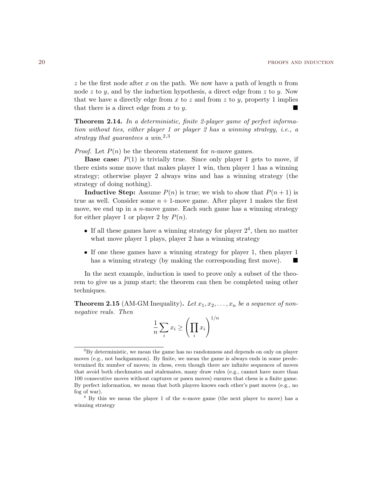$z$  be the first node after x on the path. We now have a path of length n from node z to y, and by the induction hypothesis, a direct edge from z to y. Now that we have a directly edge from  $x$  to  $z$  and from  $z$  to  $y$ , property 1 implies that there is a direct edge from  $x$  to  $y$ .

**Theorem 2.14.** In a deterministic, finite 2-player game of perfect information without ties, either player 1 or player 2 has a winning strategy, i.e., a strategy that guarantees a win.<sup>2,3</sup>

*Proof.* Let  $P(n)$  be the theorem statement for *n*-move games.

**Base case:**  $P(1)$  is trivially true. Since only player 1 gets to move, if there exists some move that makes player 1 win, then player 1 has a winning strategy; otherwise player 2 always wins and has a winning strategy (the strategy of doing nothing).

**Inductive Step:** Assume  $P(n)$  is true; we wish to show that  $P(n+1)$  is true as well. Consider some  $n + 1$ -move game. After player 1 makes the first move, we end up in a  $n$ -move game. Each such game has a winning strategy for either player 1 or player 2 by  $P(n)$ .

- If all these games have a winning strategy for player  $2<sup>4</sup>$ , then no matter what move player 1 plays, player 2 has a winning strategy
- If one these games have a winning strategy for player 1, then player 1 has a winning strategy (by making the corresponding first move).

In the next example, induction is used to prove only a subset of the theorem to give us a jump start; the theorem can then be completed using other techniques.

**Theorem 2.15** (AM-GM Inequality). Let  $x_1, x_2, \ldots, x_n$  be a sequence of nonnegative reals. Then

$$
\frac{1}{n}\sum_{i}x_{i}\geq\left(\prod_{i}x_{i}\right)^{1/n}
$$

<sup>&</sup>lt;sup>3</sup>By deterministic, we mean the game has no randomness and depends on only on player moves (e.g., not backgammon). By finite, we mean the game is always ends in some predetermined fix number of moves; in chess, even though there are infinite sequences of moves that avoid both checkmates and stalemates, many draw rules (e.g., cannot have more than 100 consecutive moves without captures or pawn moves) ensures that chess is a finite game. By perfect information, we mean that both players knows each other's past moves (e.g., no fog of war).

 $4$  By this we mean the player 1 of the *n*-move game (the next player to move) has a winning strategy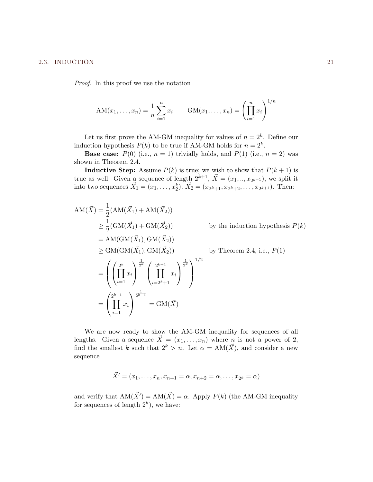### 2.3. INDUCTION 21

Proof. In this proof we use the notation

$$
AM(x_1,...,x_n) = \frac{1}{n} \sum_{i=1}^n x_i
$$
  $GM(x_1,...,x_n) = \left(\prod_{i=1}^n x_i\right)^{1/n}$ 

Let us first prove the AM-GM inequality for values of  $n = 2<sup>k</sup>$ . Define our induction hypothesis  $P(k)$  to be true if AM-GM holds for  $n = 2<sup>k</sup>$ .

**Base case:**  $P(0)$  (i.e.,  $n = 1$ ) trivially holds, and  $P(1)$  (i.e.,  $n = 2$ ) was shown in Theorem 2.4.

**Inductive Step:** Assume  $P(k)$  is true; we wish to show that  $P(k+1)$  is true as well. Given a sequence of length  $2^{k+1}$ ,  $\vec{X} = (x_1, ..., x_{2^{k+1}})$ , we split it into two sequences  $\vec{X}_1 = (x_1, \ldots, x_2^k), \vec{X}_2 = (x_{2^k+1}, x_{2^k+2}, \ldots, x_{2^{k+1}}).$  Then:

$$
AM(\vec{X}) = \frac{1}{2}(AM(\vec{X}_1) + AM(\vec{X}_2))
$$
  
\n
$$
\geq \frac{1}{2}(GM(\vec{X}_1) + GM(\vec{X}_2))
$$
 by the induction hypothesis  $P(k)$   
\n
$$
= AM(GM(\vec{X}_1), GM(\vec{X}_2))
$$
  
\n
$$
\geq GM(GM(\vec{X}_1), GM(\vec{X}_2))
$$
 by Theorem 2.4, i.e.,  $P(1)$   
\n
$$
= \left(\prod_{i=1}^{2^k} x_i\right)^{\frac{1}{2^k}} \left(\prod_{i=2^{k+1}}^{2^{k+1}} x_i\right)^{\frac{1}{2^k}}\right)^{1/2}
$$
  
\n
$$
= \left(\prod_{i=1}^{2^{k+1}} x_i\right)^{\frac{1}{2^{k+1}}} = GM(\vec{X})
$$

We are now ready to show the AM-GM inequality for sequences of all lengths. Given a sequence  $\vec{X} = (x_1, \ldots, x_n)$  where n is not a power of 2, find the smallest k such that  $2^k > n$ . Let  $\alpha = AM(\vec{X})$ , and consider a new sequence

$$
\vec{X}' = (x_1, \dots, x_n, x_{n+1} = \alpha, x_{n+2} = \alpha, \dots, x_{2^k} = \alpha)
$$

and verify that  $AM(\vec{X}') = AM(\vec{X}) = \alpha$ . Apply  $P(k)$  (the AM-GM inequality for sequences of length  $2^k$ ), we have: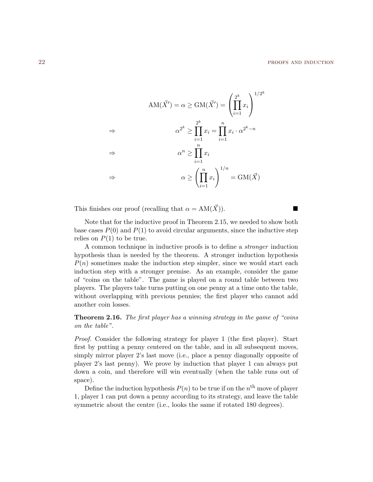$$
AM(\vec{X}') = \alpha \ge GM(\vec{X}') = \left(\prod_{i=1}^{2^k} x_i\right)^{1/2^k}
$$
  
\n
$$
\Rightarrow \qquad \alpha^{2^k} \ge \prod_{i=1}^{2^k} x_i = \prod_{i=1}^n x_i \cdot \alpha^{2^k - n}
$$
  
\n
$$
\Rightarrow \qquad \alpha^n \ge \prod_{i=1}^n x_i
$$
  
\n
$$
\Rightarrow \qquad \alpha \ge \left(\prod_{i=1}^n x_i\right)^{1/n} = GM(\vec{X})
$$

This finishes our proof (recalling that  $\alpha = AM(\vec{X})$ ).

Note that for the inductive proof in Theorem 2.15, we needed to show both base cases  $P(0)$  and  $P(1)$  to avoid circular arguments, since the inductive step relies on  $P(1)$  to be true.

A common technique in inductive proofs is to define a stronger induction hypothesis than is needed by the theorem. A stronger induction hypothesis  $P(n)$  sometimes make the induction step simpler, since we would start each induction step with a stronger premise. As an example, consider the game of "coins on the table". The game is played on a round table between two players. The players take turns putting on one penny at a time onto the table, without overlapping with previous pennies; the first player who cannot add another coin losses.

Theorem 2.16. The first player has a winning strategy in the game of "coins" on the table".

Proof. Consider the following strategy for player 1 (the first player). Start first by putting a penny centered on the table, and in all subsequent moves, simply mirror player 2's last move (i.e., place a penny diagonally opposite of player 2's last penny). We prove by induction that player 1 can always put down a coin, and therefore will win eventually (when the table runs out of space).

Define the induction hypothesis  $P(n)$  to be true if on the  $n<sup>th</sup>$  move of player 1, player 1 can put down a penny according to its strategy, and leave the table symmetric about the centre (i.e., looks the same if rotated 180 degrees).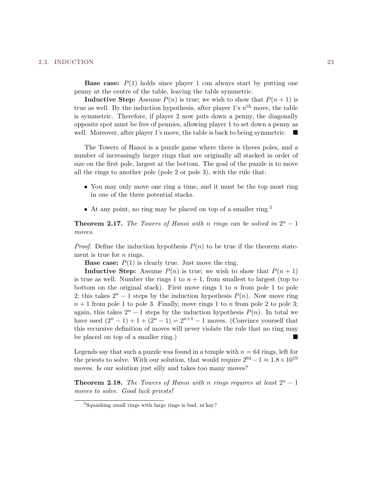**Base case:**  $P(1)$  holds since player 1 can always start by putting one penny at the centre of the table, leaving the table symmetric.

**Inductive Step:** Assume  $P(n)$  is true; we wish to show that  $P(n+1)$  is true as well. By the induction hypothesis, after player 1's  $n<sup>th</sup>$  move, the table is symmetric. Therefore, if player 2 now puts down a penny, the diagonally opposite spot must be free of pennies, allowing player 1 to set down a penny as well. Moreover, after player 1's move, the table is back to being symmetric.  $\blacksquare$ 

The Towers of Hanoi is a puzzle game where there is threes poles, and a number of increasingly larger rings that are originally all stacked in order of size on the first pole, largest at the bottom. The goal of the puzzle is to move all the rings to another pole (pole 2 or pole 3), with the rule that:

- You may only move one ring a time, and it must be the top most ring in one of the three potential stacks.
- At any point, no ring may be placed on top of a smaller ring.<sup>5</sup>

**Theorem 2.17.** The Towers of Hanoi with n rings can be solved in  $2^n - 1$ moves.

*Proof.* Define the induction hypothesis  $P(n)$  to be true if the theorem statement is true for  $n$  rings.

**Base case:**  $P(1)$  is clearly true. Just move the ring.

**Inductive Step:** Assume  $P(n)$  is true; we wish to show that  $P(n + 1)$ is true as well. Number the rings 1 to  $n + 1$ , from smallest to largest (top to bottom on the original stack). First move rings 1 to  $n$  from pole 1 to pole 2; this takes  $2^{n} - 1$  steps by the induction hypothesis  $P(n)$ . Now move ring  $n+1$  from pole 1 to pole 3. Finally, move rings 1 to n from pole 2 to pole 3; again, this takes  $2^{n} - 1$  steps by the induction hypothesis  $P(n)$ . In total we have used  $(2^{n} - 1) + 1 + (2^{n} - 1) = 2^{n+1} - 1$  moves. (Convince yourself that this recursive definition of moves will never violate the rule that no ring may be placed on top of a smaller ring.)

Legends say that such a puzzle was found in a temple with  $n = 64$  rings, left for the priests to solve. With our solution, that would require  $2^{64} - 1 \approx 1.8 \times 10^{19}$ moves. Is our solution just silly and takes too many moves?

**Theorem 2.18.** The Towers of Hanoi with n rings requires at least  $2^n - 1$ moves to solve. Good luck priests!

<sup>5</sup>Squashing small rings with large rings is bad, m'kay?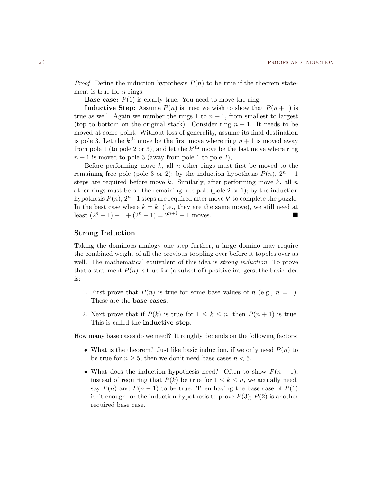*Proof.* Define the induction hypothesis  $P(n)$  to be true if the theorem statement is true for  $n$  rings.

**Base case:**  $P(1)$  is clearly true. You need to move the ring.

**Inductive Step:** Assume  $P(n)$  is true; we wish to show that  $P(n+1)$  is true as well. Again we number the rings 1 to  $n + 1$ , from smallest to largest (top to bottom on the original stack). Consider ring  $n + 1$ . It needs to be moved at some point. Without loss of generality, assume its final destination is pole 3. Let the  $k^{\text{th}}$  move be the first move where ring  $n+1$  is moved away from pole 1 (to pole 2 or 3), and let the  $k<sup>'th</sup>$  move be the last move where ring  $n+1$  is moved to pole 3 (away from pole 1 to pole 2),

Before performing move  $k$ , all  $n$  other rings must first be moved to the remaining free pole (pole 3 or 2); by the induction hypothesis  $P(n)$ ,  $2<sup>n</sup> - 1$ steps are required before move  $k$ . Similarly, after performing move  $k$ , all  $n$ other rings must be on the remaining free pole (pole 2 or 1); by the induction hypothesis  $P(n)$ ,  $2<sup>n</sup> - 1$  steps are required after move k' to complete the puzzle. In the best case where  $k = k'$  (i.e., they are the same move), we still need at least  $(2^{n} - 1) + 1 + (2^{n} - 1) = 2^{n+1} - 1$  moves.

### Strong Induction

Taking the dominoes analogy one step further, a large domino may require the combined weight of all the previous toppling over before it topples over as well. The mathematical equivalent of this idea is *strong induction*. To prove that a statement  $P(n)$  is true for (a subset of) positive integers, the basic idea is:

- 1. First prove that  $P(n)$  is true for some base values of n (e.g.,  $n = 1$ ). These are the base cases.
- 2. Next prove that if  $P(k)$  is true for  $1 \leq k \leq n$ , then  $P(n + 1)$  is true. This is called the inductive step.

How many base cases do we need? It roughly depends on the following factors:

- What is the theorem? Just like basic induction, if we only need  $P(n)$  to be true for  $n \geq 5$ , then we don't need base cases  $n < 5$ .
- What does the induction hypothesis need? Often to show  $P(n + 1)$ , instead of requiring that  $P(k)$  be true for  $1 \leq k \leq n$ , we actually need, say  $P(n)$  and  $P(n-1)$  to be true. Then having the base case of  $P(1)$ isn't enough for the induction hypothesis to prove  $P(3)$ ;  $P(2)$  is another required base case.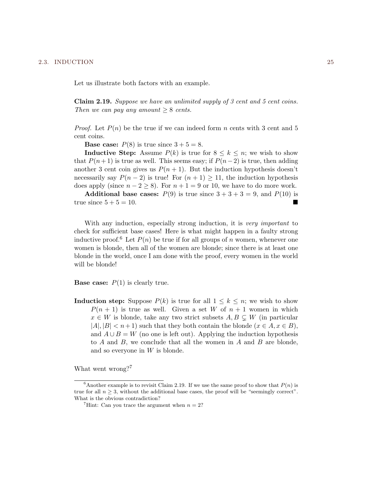#### 2.3. INDUCTION 25

Let us illustrate both factors with an example.

Claim 2.19. Suppose we have an unlimited supply of 3 cent and 5 cent coins. Then we can pay any amount  $\geq 8$  cents.

*Proof.* Let  $P(n)$  be the true if we can indeed form n cents with 3 cent and 5 cent coins.

**Base case:**  $P(8)$  is true since  $3 + 5 = 8$ .

**Inductive Step:** Assume  $P(k)$  is true for  $8 \leq k \leq n$ ; we wish to show that  $P(n+1)$  is true as well. This seems easy; if  $P(n-2)$  is true, then adding another 3 cent coin gives us  $P(n + 1)$ . But the induction hypothesis doesn't necessarily say  $P(n-2)$  is true! For  $(n+1) \ge 11$ , the induction hypothesis does apply (since  $n - 2 \ge 8$ ). For  $n + 1 = 9$  or 10, we have to do more work.

**Additional base cases:**  $P(9)$  is true since  $3 + 3 + 3 = 9$ , and  $P(10)$  is true since  $5 + 5 = 10$ .

With any induction, especially strong induction, it is *very important* to check for sufficient base cases! Here is what might happen in a faulty strong inductive proof.<sup>6</sup> Let  $P(n)$  be true if for all groups of n women, whenever one women is blonde, then all of the women are blonde; since there is at least one blonde in the world, once I am done with the proof, every women in the world will be blonde!

**Base case:**  $P(1)$  is clearly true.

**Induction step:** Suppose  $P(k)$  is true for all  $1 \leq k \leq n$ ; we wish to show  $P(n + 1)$  is true as well. Given a set W of  $n + 1$  women in which  $x \in W$  is blonde, take any two strict subsets  $A, B \subsetneq W$  (in particular  $|A|, |B| < n+1$ ) such that they both contain the blonde  $(x \in A, x \in B)$ , and  $A \cup B = W$  (no one is left out). Applying the induction hypothesis to  $A$  and  $B$ , we conclude that all the women in  $A$  and  $B$  are blonde, and so everyone in  $W$  is blonde.

What went wrong?<sup>7</sup>

<sup>&</sup>lt;sup>6</sup>Another example is to revisit Claim 2.19. If we use the same proof to show that  $P(n)$  is true for all  $n \geq 3$ , without the additional base cases, the proof will be "seemingly correct". What is the obvious contradiction?

<sup>&</sup>lt;sup>7</sup>Hint: Can you trace the argument when  $n = 2$ ?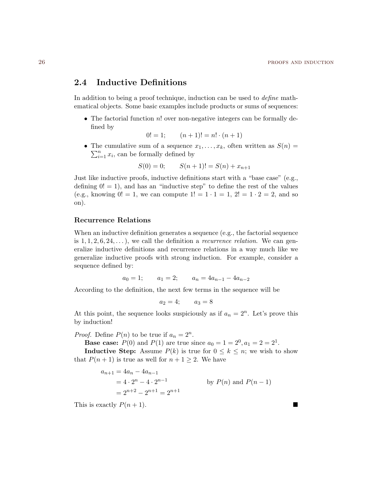# 2.4 Inductive Definitions

In addition to being a proof technique, induction can be used to *define* mathematical objects. Some basic examples include products or sums of sequences:

• The factorial function  $n!$  over non-negative integers can be formally defined by

$$
0! = 1; \qquad (n+1)! = n! \cdot (n+1)
$$

• The cumulative sum of a sequence  $x_1, \ldots, x_k$ , often written as  $S(n) =$  $\sum_{i=1}^{n} x_i$ , can be formally defined by

$$
S(0) = 0; \qquad S(n+1)! = S(n) + x_{n+1}
$$

Just like inductive proofs, inductive definitions start with a "base case" (e.g., defining  $0! = 1$ , and has an "inductive step" to define the rest of the values (e.g., knowing  $0! = 1$ , we can compute  $1! = 1 \cdot 1 = 1$ ,  $2! = 1 \cdot 2 = 2$ , and so on).

### Recurrence Relations

When an inductive definition generates a sequence (e.g., the factorial sequence is  $1, 1, 2, 6, 24, \ldots$ , we call the definition a *recurrence relation*. We can generalize inductive definitions and recurrence relations in a way much like we generalize inductive proofs with strong induction. For example, consider a sequence defined by:

$$
a_0 = 1; \qquad a_1 = 2; \qquad a_n = 4a_{n-1} - 4a_{n-2}
$$

According to the definition, the next few terms in the sequence will be

$$
a_2 = 4; \qquad a_3 = 8
$$

At this point, the sequence looks suspiciously as if  $a_n = 2^n$ . Let's prove this by induction!

*Proof.* Define  $P(n)$  to be true if  $a_n = 2^n$ .

**Base case:**  $P(0)$  and  $P(1)$  are true since  $a_0 = 1 = 2^0, a_1 = 2 = 2^1$ .

**Inductive Step:** Assume  $P(k)$  is true for  $0 \leq k \leq n$ ; we wish to show that  $P(n + 1)$  is true as well for  $n + 1 \geq 2$ . We have

$$
a_{n+1} = 4a_n - 4a_{n-1}
$$
  
=  $4 \cdot 2^n - 4 \cdot 2^{n-1}$  by  $P(n)$  and  $P(n-1)$   
=  $2^{n+2} - 2^{n+1} = 2^{n+1}$ 

This is exactly  $P(n + 1)$ .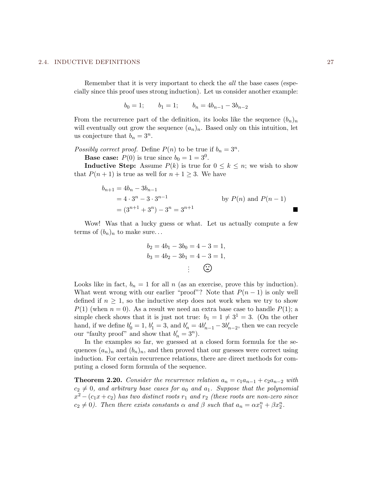#### 2.4. INDUCTIVE DEFINITIONS 27

Remember that it is very important to check the *all* the base cases (especially since this proof uses strong induction). Let us consider another example:

$$
b_0 = 1; \qquad b_1 = 1; \qquad b_n = 4b_{n-1} - 3b_{n-2}
$$

From the recurrence part of the definition, its looks like the sequence  $(b_n)_n$ will eventually out grow the sequence  $(a_n)_n$ . Based only on this intuition, let us conjecture that  $b_n = 3^n$ .

Possibly correct proof. Define  $P(n)$  to be true if  $b_n = 3^n$ .

**Base case:**  $P(0)$  is true since  $b_0 = 1 = 3^0$ .

**Inductive Step:** Assume  $P(k)$  is true for  $0 \leq k \leq n$ ; we wish to show that  $P(n + 1)$  is true as well for  $n + 1 \geq 3$ . We have

$$
b_{n+1} = 4b_n - 3b_{n-1}
$$
  
=  $4 \cdot 3^n - 3 \cdot 3^{n-1}$  by  $P(n)$  and  $P(n-1)$   
=  $(3^{n+1} + 3^n) - 3^n = 3^{n+1}$ 

Wow! Was that a lucky guess or what. Let us actually compute a few terms of  $(b_n)_n$  to make sure...

$$
b_2 = 4b_1 - 3b_0 = 4 - 3 = 1,
$$
  
\n
$$
b_3 = 4b_2 - 3b_1 = 4 - 3 = 1,
$$
  
\n
$$
\vdots
$$

Looks like in fact,  $b_n = 1$  for all n (as an exercise, prove this by induction). What went wrong with our earlier "proof"? Note that  $P(n-1)$  is only well defined if  $n \geq 1$ , so the inductive step does not work when we try to show  $P(1)$  (when  $n = 0$ ). As a result we need an extra base case to handle  $P(1)$ ; a simple check shows that it is just not true:  $b_1 = 1 \neq 3^1 = 3$ . (On the other hand, if we define  $b'_0 = 1$ ,  $b'_1 = 3$ , and  $b'_n = 4b'_{n-1} - 3b'_{n-2}$ , then we can recycle our "faulty proof" and show that  $b'_n = 3^n$ ).

In the examples so far, we guessed at a closed form formula for the sequences  $(a_n)_n$  and  $(b_n)_n$ , and then proved that our guesses were correct using induction. For certain recurrence relations, there are direct methods for computing a closed form formula of the sequence.

**Theorem 2.20.** Consider the recurrence relation  $a_n = c_1 a_{n-1} + c_2 a_{n-2}$  with  $c_2 \neq 0$ , and arbitrary base cases for  $a_0$  and  $a_1$ . Suppose that the polynomial  $x^2 - (c_1x + c_2)$  has two distinct roots  $r_1$  and  $r_2$  (these roots are non-zero since  $c_2 \neq 0$ ). Then there exists constants  $\alpha$  and  $\beta$  such that  $a_n = \alpha x_1^n + \beta x_2^n$ .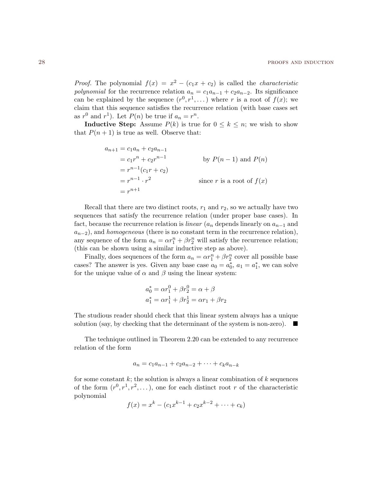*Proof.* The polynomial  $f(x) = x^2 - (c_1x + c_2)$  is called the *characteristic* polynomial for the recurrence relation  $a_n = c_1 a_{n-1} + c_2 a_{n-2}$ . Its significance can be explained by the sequence  $(r^0, r^1, \dots)$  where r is a root of  $f(x)$ ; we claim that this sequence satisfies the recurrence relation (with base cases set as  $r^0$  and  $r^1$ ). Let  $P(n)$  be true if  $a_n = r^n$ .

**Inductive Step:** Assume  $P(k)$  is true for  $0 \leq k \leq n$ ; we wish to show that  $P(n + 1)$  is true as well. Observe that:

$$
a_{n+1} = c_1 a_n + c_2 a_{n-1}
$$
  
\n
$$
= c_1 r^n + c_2 r^{n-1}
$$
  
\n
$$
= r^{n-1} (c_1 r + c_2)
$$
  
\n
$$
= r^{n-1} \cdot r^2
$$
  
\n
$$
= r^{n+1}
$$
  
\nby  $P(n-1)$  and  $P(n)$   
\n
$$
= r^{n-1} \cdot r^2
$$
  
\nsince  $r$  is a root of  $f(x)$   
\n
$$
= r^{n+1}
$$

Recall that there are two distinct roots,  $r_1$  and  $r_2$ , so we actually have two sequences that satisfy the recurrence relation (under proper base cases). In fact, because the recurrence relation is *linear* ( $a_n$  depends linearly on  $a_{n-1}$  and  $a_{n-2}$ ), and homogeneous (there is no constant term in the recurrence relation), any sequence of the form  $a_n = \alpha r_1^n + \beta r_2^n$  will satisfy the recurrence relation; (this can be shown using a similar inductive step as above).

Finally, does sequences of the form  $a_n = \alpha r_1^n + \beta r_2^n$  cover all possible base cases? The answer is yes. Given any base case  $a_0 = a_0^*$ ,  $a_1 = a_1^*$ , we can solve for the unique value of  $\alpha$  and  $\beta$  using the linear system:

$$
a_0^* = \alpha r_1^0 + \beta r_2^0 = \alpha + \beta
$$
  

$$
a_1^* = \alpha r_1^1 + \beta r_2^1 = \alpha r_1 + \beta r_2
$$

The studious reader should check that this linear system always has a unique solution (say, by checking that the determinant of the system is non-zero).  $\blacksquare$ 

The technique outlined in Theorem 2.20 can be extended to any recurrence relation of the form

$$
a_n = c_1 a_{n-1} + c_2 a_{n-2} + \dots + c_k a_{n-k}
$$

for some constant k; the solution is always a linear combination of  $k$  sequences of the form  $(r^0, r^1, r^2, \dots)$ , one for each distinct root r of the characteristic polynomial

$$
f(x) = x^{k} - (c_1 x^{k-1} + c_2 x^{k-2} + \dots + c_k)
$$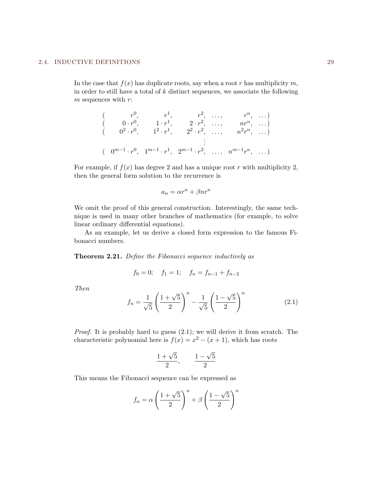### 2.4. INDUCTIVE DEFINITIONS 29

In the case that  $f(x)$  has duplicate roots, say when a root r has multiplicity m, in order to still have a total of  $k$  distinct sequences, we associate the following  $m$  sequences with  $r$ :

> $(r^0, r^1, r^2, ..., r^n, ...)$  $($  0 ·  $r^0$ ,  $1 \cdot r^1$ ,  $2 \cdot r^2$ , ...,  $nr^n$ , ...)  $($  0<sup>2</sup> ·  $r^0$ , 1<sup>2</sup> ·  $r^1$ , 2<sup>2</sup> ·  $r^2$ , ...,  $n^2 r^n$ , ... . . .  $(0^{m-1} \cdot r^0, 1^{m-1} \cdot r^1, 2^{m-1} \cdot r^2, \ldots, n^{m-1} r^n, \ldots)$

For example, if  $f(x)$  has degree 2 and has a unique root r with multiplicity 2, then the general form solution to the recurrence is

$$
a_n = \alpha r^n + \beta n r^n
$$

We omit the proof of this general construction. Interestingly, the same technique is used in many other branches of mathematics (for example, to solve linear ordinary differential equations).

As an example, let us derive a closed form expression to the famous Fibonacci numbers.

Theorem 2.21. Define the Fibonacci sequence inductively as

$$
f_0 = 0;
$$
  $f_1 = 1;$   $f_n = f_{n-1} + f_{n-2}$ 

Then

$$
f_n = \frac{1}{\sqrt{5}} \left( \frac{1 + \sqrt{5}}{2} \right)^n - \frac{1}{\sqrt{5}} \left( \frac{1 - \sqrt{5}}{2} \right)^n
$$
 (2.1)

*Proof.* It is probably hard to guess  $(2.1)$ ; we will derive it from scratch. The characteristic polynomial here is  $f(x) = x^2 - (x+1)$ , which has roots

$$
\frac{1+\sqrt{5}}{2}, \qquad \frac{1-\sqrt{5}}{2}
$$

This means the Fibonacci sequence can be expressed as

$$
f_n = \alpha \left(\frac{1+\sqrt{5}}{2}\right)^n + \beta \left(\frac{1-\sqrt{5}}{2}\right)^n
$$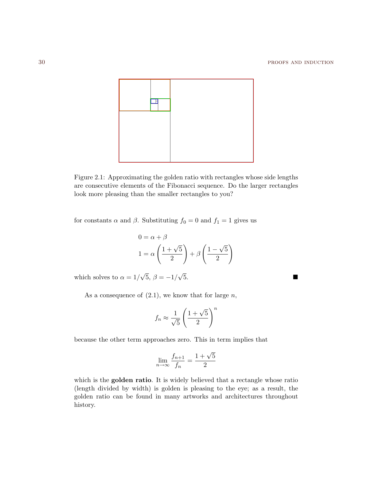

Figure 2.1: Approximating the golden ratio with rectangles whose side lengths are consecutive elements of the Fibonacci sequence. Do the larger rectangles look more pleasing than the smaller rectangles to you?

for constants  $\alpha$  and  $\beta$ . Substituting  $f_0 = 0$  and  $f_1 = 1$  gives us

$$
0 = \alpha + \beta
$$
  

$$
1 = \alpha \left(\frac{1 + \sqrt{5}}{2}\right) + \beta \left(\frac{1 - \sqrt{5}}{2}\right)
$$

which solves to  $\alpha = 1/$ √  $5, \beta = -1/$ √

As a consequence of  $(2.1)$ , we know that for large n,

$$
f_n \approx \frac{1}{\sqrt{5}} \left(\frac{1+\sqrt{5}}{2}\right)^n
$$

because the other term approaches zero. This in term implies that

$$
\lim_{n \to \infty} \frac{f_{n+1}}{f_n} = \frac{1 + \sqrt{5}}{2}
$$

which is the **golden ratio**. It is widely believed that a rectangle whose ratio (length divided by width) is golden is pleasing to the eye; as a result, the golden ratio can be found in many artworks and architectures throughout history.

 $\overline{5}$ .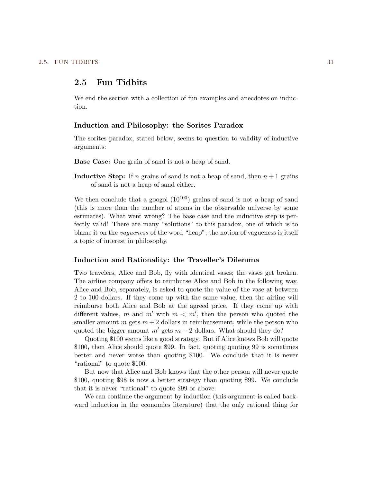### 2.5. FUN TIDBITS 31

# 2.5 Fun Tidbits

We end the section with a collection of fun examples and anecdotes on induction.

### Induction and Philosophy: the Sorites Paradox

The sorites paradox, stated below, seems to question to validity of inductive arguments:

Base Case: One grain of sand is not a heap of sand.

**Inductive Step:** If n grains of sand is not a heap of sand, then  $n + 1$  grains of sand is not a heap of sand either.

We then conclude that a googol  $(10^{100})$  grains of sand is not a heap of sand (this is more than the number of atoms in the observable universe by some estimates). What went wrong? The base case and the inductive step is perfectly valid! There are many "solutions" to this paradox, one of which is to blame it on the vagueness of the word "heap"; the notion of vagueness is itself a topic of interest in philosophy.

### Induction and Rationality: the Traveller's Dilemma

Two travelers, Alice and Bob, fly with identical vases; the vases get broken. The airline company offers to reimburse Alice and Bob in the following way. Alice and Bob, separately, is asked to quote the value of the vase at between 2 to 100 dollars. If they come up with the same value, then the airline will reimburse both Alice and Bob at the agreed price. If they come up with different values, m and m' with  $m < m'$ , then the person who quoted the smaller amount m gets  $m + 2$  dollars in reimbursement, while the person who quoted the bigger amount m' gets  $m - 2$  dollars. What should they do?

Quoting \$100 seems like a good strategy. But if Alice knows Bob will quote \$100, then Alice should quote \$99. In fact, quoting quoting 99 is sometimes better and never worse than quoting \$100. We conclude that it is never "rational" to quote \$100.

But now that Alice and Bob knows that the other person will never quote \$100, quoting \$98 is now a better strategy than quoting \$99. We conclude that it is never "rational" to quote \$99 or above.

We can continue the argument by induction (this argument is called backward induction in the economics literature) that the only rational thing for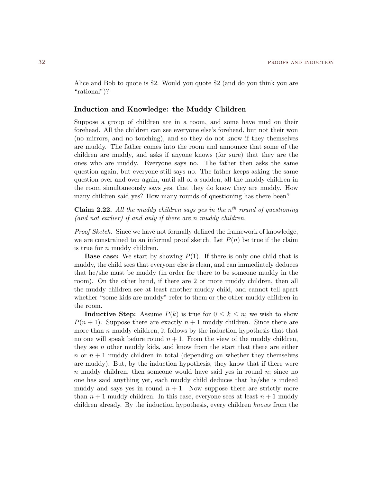Alice and Bob to quote is \$2. Would you quote \$2 (and do you think you are "rational")?

## Induction and Knowledge: the Muddy Children

Suppose a group of children are in a room, and some have mud on their forehead. All the children can see everyone else's forehead, but not their won (no mirrors, and no touching), and so they do not know if they themselves are muddy. The father comes into the room and announce that some of the children are muddy, and asks if anyone knows (for sure) that they are the ones who are muddy. Everyone says no. The father then asks the same question again, but everyone still says no. The father keeps asking the same question over and over again, until all of a sudden, all the muddy children in the room simultaneously says yes, that they do know they are muddy. How many children said yes? How many rounds of questioning has there been?

**Claim 2.22.** All the muddy children says yes in the  $n^{th}$  round of questioning (and not earlier) if and only if there are n muddy children.

Proof Sketch. Since we have not formally defined the framework of knowledge, we are constrained to an informal proof sketch. Let  $P(n)$  be true if the claim is true for  $n$  muddy children.

**Base case:** We start by showing  $P(1)$ . If there is only one child that is muddy, the child sees that everyone else is clean, and can immediately deduces that he/she must be muddy (in order for there to be someone muddy in the room). On the other hand, if there are 2 or more muddy children, then all the muddy children see at least another muddy child, and cannot tell apart whether "some kids are muddy" refer to them or the other muddy children in the room.

**Inductive Step:** Assume  $P(k)$  is true for  $0 \leq k \leq n$ ; we wish to show  $P(n + 1)$ . Suppose there are exactly  $n + 1$  muddy children. Since there are more than  $n$  muddy children, it follows by the induction hypothesis that that no one will speak before round  $n + 1$ . From the view of the muddy children, they see n other muddy kids, and know from the start that there are either  $n \text{ or } n+1$  muddy children in total (depending on whether they themselves are muddy). But, by the induction hypothesis, they know that if there were n muddy children, then someone would have said yes in round  $n$ ; since no one has said anything yet, each muddy child deduces that he/she is indeed muddy and says yes in round  $n + 1$ . Now suppose there are strictly more than  $n + 1$  muddy children. In this case, everyone sees at least  $n + 1$  muddy children already. By the induction hypothesis, every children knows from the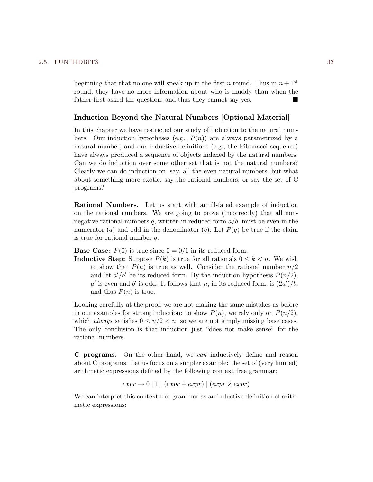#### 2.5. FUN TIDBITS 33

beginning that that no one will speak up in the first n round. Thus in  $n+1<sup>st</sup>$ round, they have no more information about who is muddy than when the father first asked the question, and thus they cannot say yes.

### Induction Beyond the Natural Numbers [Optional Material]

In this chapter we have restricted our study of induction to the natural numbers. Our induction hypotheses (e.g.,  $P(n)$ ) are always parametrized by a natural number, and our inductive definitions (e.g., the Fibonacci sequence) have always produced a sequence of objects indexed by the natural numbers. Can we do induction over some other set that is not the natural numbers? Clearly we can do induction on, say, all the even natural numbers, but what about something more exotic, say the rational numbers, or say the set of C programs?

Rational Numbers. Let us start with an ill-fated example of induction on the rational numbers. We are going to prove (incorrectly) that all nonnegative rational numbers q, written in reduced form  $a/b$ , must be even in the numerator (a) and odd in the denominator (b). Let  $P(q)$  be true if the claim is true for rational number  $q$ .

**Base Case:**  $P(0)$  is true since  $0 = 0/1$  in its reduced form.

**Inductive Step:** Suppose  $P(k)$  is true for all rationals  $0 \leq k < n$ . We wish to show that  $P(n)$  is true as well. Consider the rational number  $n/2$ and let  $a'/b'$  be its reduced form. By the induction hypothesis  $P(n/2)$ , a' is even and b' is odd. It follows that n, in its reduced form, is  $(2a')/b$ , and thus  $P(n)$  is true.

Looking carefully at the proof, we are not making the same mistakes as before in our examples for strong induction: to show  $P(n)$ , we rely only on  $P(n/2)$ , which *always* satisfies  $0 \leq n/2 < n$ , so we are not simply missing base cases. The only conclusion is that induction just "does not make sense" for the rational numbers.

C programs. On the other hand, we can inductively define and reason about C programs. Let us focus on a simpler example: the set of (very limited) arithmetic expressions defined by the following context free grammar:

$$
expr \rightarrow 0 | 1 | (expr + expr) | (expr \times expr)
$$

We can interpret this context free grammar as an inductive definition of arithmetic expressions: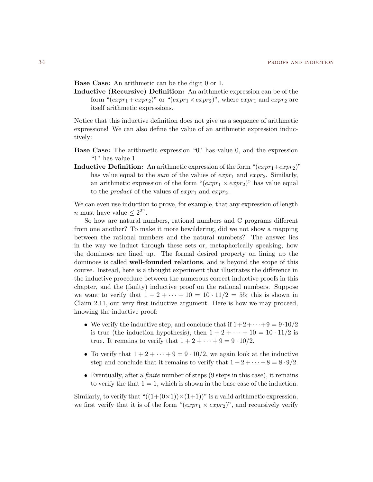Base Case: An arithmetic can be the digit 0 or 1.

Inductive (Recursive) Definition: An arithmetic expression can be of the form " $(exp_1 + expr_2)$ " or " $(exp_1 \times expr_2)$ ", where  $expr_1$  and  $expr_2$  are itself arithmetic expressions.

Notice that this inductive definition does not give us a sequence of arithmetic expressions! We can also define the value of an arithmetic expression inductively:

- Base Case: The arithmetic expression "0" has value 0, and the expression "1" has value 1.
- **Inductive Definition:** An arithmetic expression of the form " $(exp_1+expr_2)$ " has value equal to the sum of the values of  $expr_1$  and  $expr_2$ . Similarly, an arithmetic expression of the form " $(exp_1 \times expr_2)$ " has value equal to the *product* of the values of  $expr_1$  and  $expr_2$ .

We can even use induction to prove, for example, that any expression of length *n* must have value  $\leq 2^{2^n}$ .

So how are natural numbers, rational numbers and C programs different from one another? To make it more bewildering, did we not show a mapping between the rational numbers and the natural numbers? The answer lies in the way we induct through these sets or, metaphorically speaking, how the dominoes are lined up. The formal desired property on lining up the dominoes is called well-founded relations, and is beyond the scope of this course. Instead, here is a thought experiment that illustrates the difference in the inductive procedure between the numerous correct inductive proofs in this chapter, and the (faulty) inductive proof on the rational numbers. Suppose we want to verify that  $1 + 2 + \cdots + 10 = 10 \cdot 11/2 = 55$ ; this is shown in Claim 2.11, our very first inductive argument. Here is how we may proceed, knowing the inductive proof:

- We verify the inductive step, and conclude that if  $1+2+\cdots+9=9.10/2$ is true (the induction hypothesis), then  $1 + 2 + \cdots + 10 = 10 \cdot 11/2$  is true. It remains to verify that  $1 + 2 + \cdots + 9 = 9 \cdot 10/2$ .
- To verify that  $1 + 2 + \cdots + 9 = 9 \cdot 10/2$ , we again look at the inductive step and conclude that it remains to verify that  $1 + 2 + \cdots + 8 = 8 \cdot 9/2$ .
- Eventually, after a *finite* number of steps  $(9$  steps in this case), it remains to verify the that  $1 = 1$ , which is shown in the base case of the induction.

Similarly, to verify that " $((1+(0\times1))\times(1+1))$ " is a valid arithmetic expression, we first verify that it is of the form " $(exp_1 \times expr_2)$ ", and recursively verify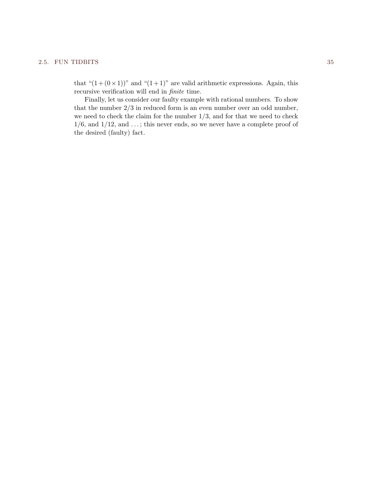#### 2.5. FUN TIDBITS 35

that " $(1+(0\times1))$ " and " $(1+1)$ " are valid arithmetic expressions. Again, this recursive verification will end in finite time.

Finally, let us consider our faulty example with rational numbers. To show that the number  $2/3$  in reduced form is an even number over an odd number, we need to check the claim for the number  $1/3$ , and for that we need to check  $1/6$ , and  $1/12$ , and  $\ldots$ ; this never ends, so we never have a complete proof of the desired (faulty) fact.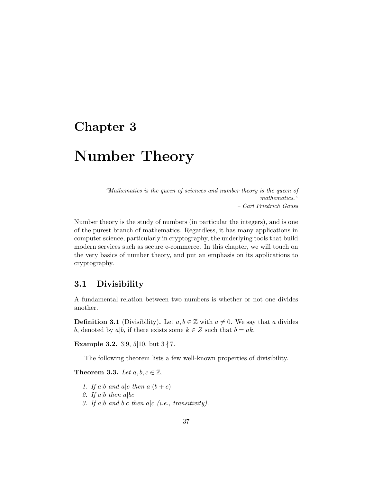# Chapter 3

# Number Theory

"Mathematics is the queen of sciences and number theory is the queen of mathematics." – Carl Friedrich Gauss

Number theory is the study of numbers (in particular the integers), and is one of the purest branch of mathematics. Regardless, it has many applications in computer science, particularly in cryptography, the underlying tools that build modern services such as secure e-commerce. In this chapter, we will touch on the very basics of number theory, and put an emphasis on its applications to cryptography.

# 3.1 Divisibility

A fundamental relation between two numbers is whether or not one divides another.

**Definition 3.1** (Divisibility). Let  $a, b \in \mathbb{Z}$  with  $a \neq 0$ . We say that a divides b, denoted by a|b, if there exists some  $k \in \mathbb{Z}$  such that  $b = ak$ .

**Example 3.2.** 3|9, 5|10, but  $3 \nmid 7$ .

The following theorem lists a few well-known properties of divisibility.

Theorem 3.3. Let  $a, b, c \in \mathbb{Z}$ .

- 1. If a|b and a|c then  $a|(b+c)$
- 2. If a|b then a|bc
- 3. If a|b and b|c then a|c (i.e., transitivity).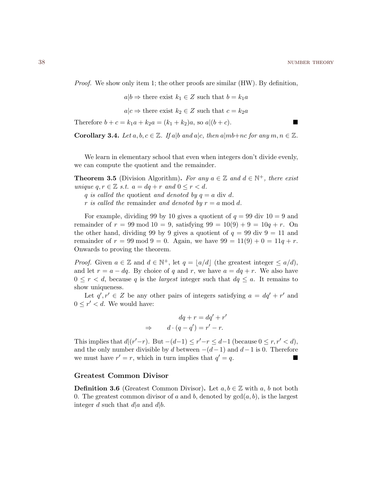Proof. We show only item 1; the other proofs are similar (HW). By definition,

 $a|b \Rightarrow$  there exist  $k_1 \in Z$  such that  $b = k_1 a$ 

 $a|c \Rightarrow$  there exist  $k_2 \in Z$  such that  $c = k_2 a$ 

Therefore  $b + c = k_1 a + k_2 a = (k_1 + k_2)a$ , so  $a|(b+c)$ .

**Corollary 3.4.** Let  $a, b, c \in \mathbb{Z}$ . If  $a|b$  and  $a|c$ , then  $a|mb+nc$  for any  $m, n \in \mathbb{Z}$ .

We learn in elementary school that even when integers don't divide evenly, we can compute the quotient and the remainder.

**Theorem 3.5** (Division Algorithm). For any  $a \in \mathbb{Z}$  and  $d \in \mathbb{N}^+$ , there exist unique  $q, r \in \mathbb{Z}$  s.t.  $a = dq + r$  and  $0 \le r < d$ .

- q is called the quotient and denoted by  $q = a$  div d.
- r is called the remainder and denoted by  $r = a \mod d$ .

For example, dividing 99 by 10 gives a quotient of  $q = 99$  div  $10 = 9$  and remainder of  $r = 99 \text{ mod } 10 = 9$ , satisfying  $99 = 10(9) + 9 = 10q + r$ . On the other hand, dividing 99 by 9 gives a quotient of  $q = 99$  div  $9 = 11$  and remainder of  $r = 99 \text{ mod } 9 = 0$ . Again, we have  $99 = 11(9) + 0 = 11q + r$ . Onwards to proving the theorem.

*Proof.* Given  $a \in \mathbb{Z}$  and  $d \in \mathbb{N}^+$ , let  $q = |a/d|$  (the greatest integer  $\leq a/d$ ), and let  $r = a - dq$ . By choice of q and r, we have  $a = dq + r$ . We also have  $0 \leq r < d$ , because q is the *largest* integer such that  $dq \leq a$ . It remains to show uniqueness.

Let  $q', r' \in Z$  be any other pairs of integers satisfying  $a = dq' + r'$  and  $0 \leq r' < d$ . We would have:

$$
dq + r = dq' + r'
$$
  
\n
$$
\Rightarrow \qquad d \cdot (q - q') = r' - r.
$$

This implies that  $d|(r'-r)$ . But  $-(d-1) \leq r'-r \leq d-1$  (because  $0 \leq r, r' < d$ ), and the only number divisible by d between  $-(d-1)$  and  $d-1$  is 0. Therefore we must have  $r' = r$ , which in turn implies that  $q' = q$ .

### Greatest Common Divisor

**Definition 3.6** (Greatest Common Divisor). Let  $a, b \in \mathbb{Z}$  with a, b not both 0. The greatest common divisor of a and b, denoted by  $gcd(a, b)$ , is the largest integer d such that  $d|a$  and  $d|b$ .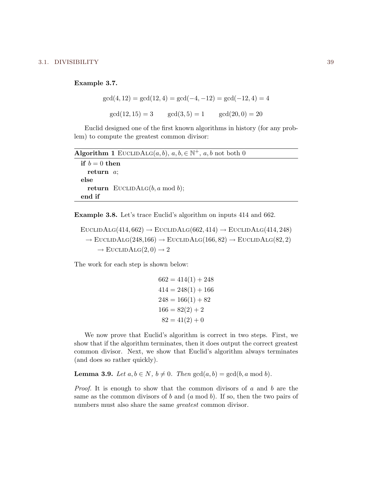#### 3.1. DIVISIBILITY 39

#### Example 3.7.

 $gcd(4, 12) = gcd(12, 4) = gcd(-4, -12) = gcd(-12, 4) = 4$  $gcd(12, 15) = 3$   $gcd(3, 5) = 1$   $gcd(20, 0) = 20$ 

Euclid designed one of the first known algorithms in history (for any problem) to compute the greatest common divisor:

| <b>Algorithm 1</b> EUCLIDALG $(a, b)$ , $a, b \in \mathbb{N}^+$ , $a, b$ not both 0 |  |
|-------------------------------------------------------------------------------------|--|
| if $b=0$ then                                                                       |  |
| return $a$ ;                                                                        |  |
| else                                                                                |  |
| <b>return</b> EUCLIDALG $(b, a \mod b)$ ;                                           |  |
| end if                                                                              |  |
|                                                                                     |  |

Example 3.8. Let's trace Euclid's algorithm on inputs 414 and 662.

 $EucunAlg(414, 662) \rightarrow EucunAlg(662, 414) \rightarrow EucunAlg(414, 248)$  $\rightarrow$  EUCLIDALG(248,166)  $\rightarrow$  EUCLIDALG(166, 82)  $\rightarrow$  EUCLIDALG(82, 2)  $\rightarrow$  EUCLIDALG $(2, 0)$   $\rightarrow$  2

The work for each step is shown below:

```
662 = 414(1) + 248414 = 248(1) + 166248 = 166(1) + 82166 = 82(2) + 282 = 41(2) + 0
```
We now prove that Euclid's algorithm is correct in two steps. First, we show that if the algorithm terminates, then it does output the correct greatest common divisor. Next, we show that Euclid's algorithm always terminates (and does so rather quickly).

**Lemma 3.9.** Let  $a, b \in N$ ,  $b \neq 0$ . Then  $gcd(a, b) = gcd(b, a \mod b)$ .

*Proof.* It is enough to show that the common divisors of  $a$  and  $b$  are the same as the common divisors of b and  $(a \mod b)$ . If so, then the two pairs of numbers must also share the same *greatest* common divisor.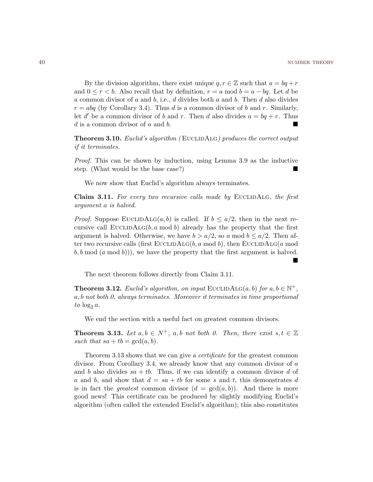By the division algorithm, there exist unique  $q, r \in \mathbb{Z}$  such that  $a = bq + r$ and  $0 \leq r < b$ . Also recall that by definition,  $r = a \mod b = a - bq$ . Let d be a common divisor of  $a$  and  $b$ , i.e.,  $d$  divides both  $a$  and  $b$ . Then  $d$  also divides  $r = abq$  (by Corollary 3.4). Thus d is a common divisor of b and r. Similarly, let d' be a common divisor of b and r. Then d also divides  $a = bq + r$ . Thus  $d$  is a common divisor of  $a$  and  $b$ .

**Theorem 3.10.** Euclid's algorithm (EUCLIDALG) produces the correct output if it terminates.

Proof. This can be shown by induction, using Lemma 3.9 as the inductive step. (What would be the base case?)

We now show that Euclid's algorithm always terminates.

Claim 3.11. For every two recursive calls made by EUCLIDALG, the first argument a is halved.

*Proof.* Suppose EUCLIDALG $(a, b)$  is called. If  $b \leq a/2$ , then in the next recursive call EUCLIDALG( $b$ ,  $a \mod b$ ) already has the property that the first argument is halved. Otherwise, we have  $b > a/2$ , so a mod  $b \leq a/2$ . Then after two recursive calls (first EUCLIDALG(b, a mod b), then EUCLIDALG(a mod  $(b, b \mod (a \mod b))$ , we have the property that the first argument is halved.  $\blacksquare$ 

The next theorem follows directly from Claim 3.11.

**Theorem 3.12.** Euclid's algorithm, on input  $\text{EUCLIDALG}(a, b)$  for  $a, b \in \mathbb{N}^+$ , a, b not both 0, always terminates. Moreover it terminates in time proportional to  $\log_2 a$ .

We end the section with a useful fact on greatest common divisors.

**Theorem 3.13.** Let  $a, b \in N^+$ ,  $a, b$  not both 0. Then, there exist  $s, t \in \mathbb{Z}$ such that  $sa + tb = \gcd(a, b)$ .

Theorem 3.13 shows that we can give a *certificate* for the greatest common divisor. From Corollary 3.4, we already know that any common divisor of a and b also divides  $sa + tb$ . Thus, if we can identify a common divisor d of a and b, and show that  $d = sa + tb$  for some s and t, this demonstrates d is in fact the *greatest* common divisor  $(d = \gcd(a, b))$ . And there is more good news! This certificate can be produced by slightly modifying Euclid's algorithm (often called the extended Euclid's algorithm); this also constitutes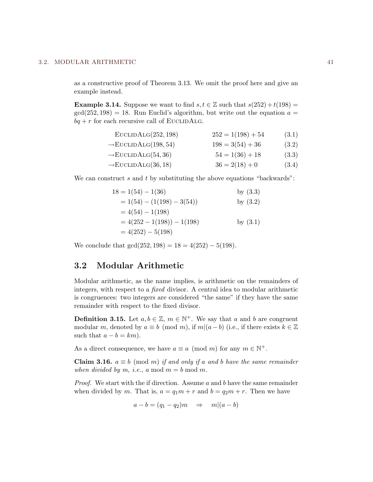#### 3.2. MODULAR ARITHMETIC 41

as a constructive proof of Theorem 3.13. We omit the proof here and give an example instead.

**Example 3.14.** Suppose we want to find  $s, t \in \mathbb{Z}$  such that  $s(252) + t(198) =$  $gcd(252, 198) = 18$ . Run Euclid's algorithm, but write out the equation  $a =$  $bq + r$  for each recursive call of EUCLIDALG.

| EucLIDALG(252,198)                 | $252 = 1(198) + 54$ | (3.1) |
|------------------------------------|---------------------|-------|
| $\rightarrow$ EUCLIDALG(198, 54)   | $198 = 3(54) + 36$  | (3.2) |
| $\rightarrow$ EUCLIDALG(54,36)     | $54 = 1(36) + 18$   | (3.3) |
| $\rightarrow$ EUCLIDALG $(36, 18)$ | $36 = 2(18) + 0$    | (3.4) |

We can construct s and t by substituting the above equations "backwards":

$$
18 = 1(54) - 1(36)
$$
 by (3.3)  
= 1(54) - (1(198) - 3(54)) by (3.2)  
= 4(54) - 1(198)  
= 4(252 - 1(198)) - 1(198) by (3.1)  
= 4(252) - 5(198)

We conclude that  $gcd(252, 198) = 18 = 4(252) - 5(198)$ .

# 3.2 Modular Arithmetic

Modular arithmetic, as the name implies, is arithmetic on the remainders of integers, with respect to a fixed divisor. A central idea to modular arithmetic is congruences: two integers are considered "the same" if they have the same remainder with respect to the fixed divisor.

**Definition 3.15.** Let  $a, b \in \mathbb{Z}$ ,  $m \in \mathbb{N}^+$ . We say that a and b are congruent modular m, denoted by  $a \equiv b \pmod{m}$ , if  $m|(a-b)$  (i.e., if there exists  $k \in \mathbb{Z}$ such that  $a - b = km$ ).

As a direct consequence, we have  $a \equiv a \pmod{m}$  for any  $m \in \mathbb{N}^+$ .

**Claim 3.16.**  $a \equiv b \pmod{m}$  if and only if a and b have the same remainder when divided by m, i.e., a mod  $m = b \mod m$ .

*Proof.* We start with the if direction. Assume a and b have the same remainder when divided by m. That is,  $a = q_1m + r$  and  $b = q_2m + r$ . Then we have

$$
a - b = (q_1 - q_2)m \Rightarrow m|(a - b)
$$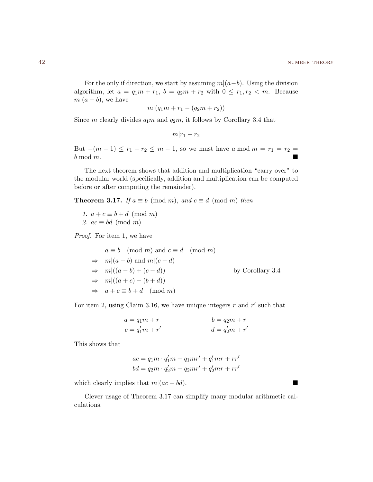For the only if direction, we start by assuming  $m|(a-b)$ . Using the division algorithm, let  $a = q_1m + r_1$ ,  $b = q_2m + r_2$  with  $0 \leq r_1, r_2 < m$ . Because  $m|(a - b)$ , we have

$$
m|(q_1m + r_1 - (q_2m + r_2))
$$

Since m clearly divides  $q_1m$  and  $q_2m$ , it follows by Corollary 3.4 that

$$
m|r_1-r_2
$$

But  $-(m-1) \le r_1 - r_2 \le m-1$ , so we must have a mod  $m = r_1 = r_2 =$  $b \mod m$ .

The next theorem shows that addition and multiplication "carry over" to the modular world (specifically, addition and multiplication can be computed before or after computing the remainder).

**Theorem 3.17.** If  $a \equiv b \pmod{m}$ , and  $c \equiv d \pmod{m}$  then

1.  $a + c \equiv b + d \pmod{m}$ 2.  $ac \equiv bd \pmod{m}$ 

Proof. For item 1, we have

$$
a \equiv b \pmod{m} \text{ and } c \equiv d \pmod{m}
$$
  
\n
$$
\Rightarrow m|(a-b) \text{ and } m|(c-d)
$$
  
\n
$$
\Rightarrow m|((a-b)+(c-d))
$$
  
\n
$$
\Rightarrow m|((a+c)-(b+d))
$$
  
\n
$$
\Rightarrow a+c \equiv b+d \pmod{m}
$$

For item 2, using Claim 3.16, we have unique integers  $r$  and  $r'$  such that

$$
a = q_1 m + r
$$
  
\n
$$
c = q'_1 m + r'
$$
  
\n
$$
b = q_2 m + r
$$
  
\n
$$
d = q'_2 m + r'
$$

This shows that

$$
ac = q_1m \cdot q'_1m + q_1mr' + q'_1mr + rr'
$$
  

$$
bd = q_2m \cdot q'_2m + q_2mr' + q'_2mr + rr'
$$

which clearly implies that  $m|(ac - bd)$ .

Clever usage of Theorem 3.17 can simplify many modular arithmetic calculations.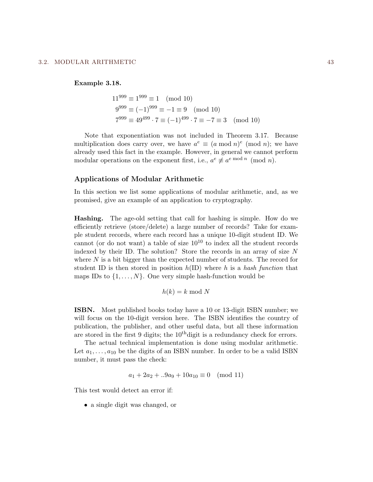Example 3.18.

$$
11^{999} \equiv 1^{999} \equiv 1 \pmod{10}
$$
  
\n
$$
9^{999} \equiv (-1)^{999} \equiv -1 \equiv 9 \pmod{10}
$$
  
\n
$$
7^{999} \equiv 49^{499} \cdot 7 \equiv (-1)^{499} \cdot 7 \equiv -7 \equiv 3 \pmod{10}
$$

Note that exponentiation was not included in Theorem 3.17. Because multiplication does carry over, we have  $a^e \equiv (a \mod n)^e \pmod{n}$ ; we have already used this fact in the example. However, in general we cannot perform modular operations on the exponent first, i.e.,  $a^e \not\equiv a^{e \mod n} \pmod{n}$ .

## Applications of Modular Arithmetic

In this section we list some applications of modular arithmetic, and, as we promised, give an example of an application to cryptography.

Hashing. The age-old setting that call for hashing is simple. How do we efficiently retrieve (store/delete) a large number of records? Take for example student records, where each record has a unique 10-digit student ID. We cannot (or do not want) a table of size  $10^{10}$  to index all the student records indexed by their ID. The solution? Store the records in an array of size  $N$ where  $N$  is a bit bigger than the expected number of students. The record for student ID is then stored in position  $h(\text{ID})$  where h is a hash function that maps IDs to  $\{1, \ldots, N\}$ . One very simple hash-function would be

$$
h(k) = k \bmod N
$$

ISBN. Most published books today have a 10 or 13-digit ISBN number; we will focus on the 10-digit version here. The ISBN identifies the country of publication, the publisher, and other useful data, but all these information are stored in the first 9 digits; the  $10<sup>th</sup>$  digit is a redundancy check for errors.

The actual technical implementation is done using modular arithmetic. Let  $a_1, \ldots, a_{10}$  be the digits of an ISBN number. In order to be a valid ISBN number, it must pass the check:

$$
a_1 + 2a_2 + ...9a_9 + 10a_{10} \equiv 0 \pmod{11}
$$

This test would detect an error if:

• a single digit was changed, or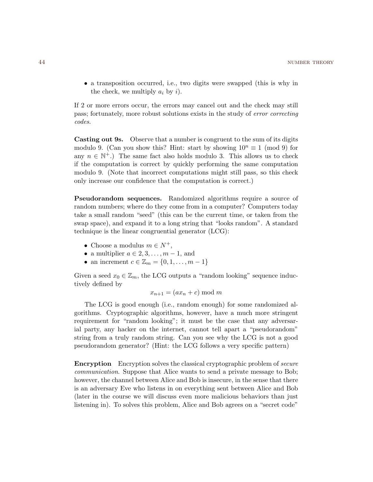• a transposition occurred, i.e., two digits were swapped (this is why in the check, we multiply  $a_i$  by i).

If 2 or more errors occur, the errors may cancel out and the check may still pass; fortunately, more robust solutions exists in the study of error correcting codes.

Casting out 9s. Observe that a number is congruent to the sum of its digits modulo 9. (Can you show this? Hint: start by showing  $10^n \equiv 1 \pmod{9}$  for any  $n \in \mathbb{N}^+$ .) The same fact also holds modulo 3. This allows us to check if the computation is correct by quickly performing the same computation modulo 9. (Note that incorrect computations might still pass, so this check only increase our confidence that the computation is correct.)

Pseudorandom sequences. Randomized algorithms require a source of random numbers; where do they come from in a computer? Computers today take a small random "seed" (this can be the current time, or taken from the swap space), and expand it to a long string that "looks random". A standard technique is the linear congruential generator (LCG):

- Choose a modulus  $m \in N^+$ ,
- a multiplier  $a \in 2, 3, \ldots, m-1$ , and
- an increment  $c \in \mathbb{Z}_m = \{0, 1, \ldots, m-1\}$

Given a seed  $x_0 \in \mathbb{Z}_m$ , the LCG outputs a "random looking" sequence inductively defined by

$$
x_{n+1} = (ax_n + c) \bmod m
$$

The LCG is good enough (i.e., random enough) for some randomized algorithms. Cryptographic algorithms, however, have a much more stringent requirement for "random looking"; it must be the case that any adversarial party, any hacker on the internet, cannot tell apart a "pseudorandom" string from a truly random string. Can you see why the LCG is not a good pseudorandom generator? (Hint: the LCG follows a very specific pattern)

**Encryption** Encryption solves the classical cryptographic problem of *secure* communication. Suppose that Alice wants to send a private message to Bob; however, the channel between Alice and Bob is insecure, in the sense that there is an adversary Eve who listens in on everything sent between Alice and Bob (later in the course we will discuss even more malicious behaviors than just listening in). To solves this problem, Alice and Bob agrees on a "secret code"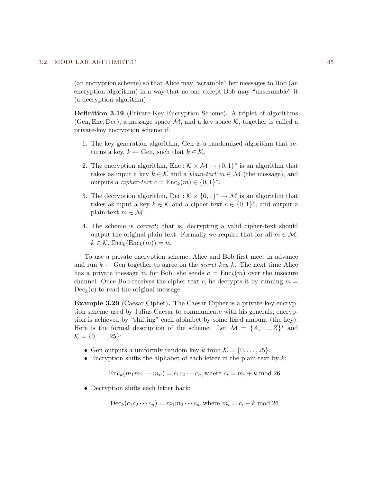#### 3.2. MODULAR ARITHMETIC 45

(an encryption scheme) so that Alice may "scramble" her messages to Bob (an encryption algorithm) in a way that no one except Bob may "unscramble" it (a decryption algorithm).

Definition 3.19 (Private-Key Encryption Scheme). A triplet of algorithms (Gen, Enc, Dec), a message space  $\mathcal{M}$ , and a key space  $\mathcal{K}$ , together is called a private-key encryption scheme if:

- 1. The key-generation algorithm, Gen is a randomized algorithm that returns a key,  $k \leftarrow$  Gen, such that  $k \in \mathcal{K}$ .
- 2. The encryption algorithm,  $Enc : K \times M \rightarrow \{0,1\}^*$  is an algorithm that takes as input a key  $k \in \mathcal{K}$  and a plain-text  $m \in \mathcal{M}$  (the message), and outputs a *cipher-text*  $c = \text{Enc}_k(m) \in \{0, 1\}^*$ .
- 3. The decryption algorithm, Dec:  $K \times \{0,1\}^* \to \mathcal{M}$  is an algorithm that takes as input a key  $k \in \mathcal{K}$  and a cipher-text  $c \in \{0,1\}^*$ , and output a plain-text  $m \in \mathcal{M}$ .
- 4. The scheme is correct; that is, decrypting a valid cipher-text should output the original plain text. Formally we require that for all  $m \in \mathcal{M}$ ,  $k \in \mathcal{K}$ ,  $\text{Dec}_k(\text{Enc}_k(m)) = m$ .

To use a private encryption scheme, Alice and Bob first meet in advance and run  $k \leftarrow$  Gen together to agree on the *secret key k*. The next time Alice has a private message m for Bob, she sends  $c = \text{Enc}_k(m)$  over the insecure channel. Once Bob receives the cipher-text c, he decrypts it by running  $m =$  $Dec_k(c)$  to read the original message.

Example 3.20 (Caesar Cipher). The Caesar Cipher is a private-key encryption scheme used by Julius Caesar to communicate with his generals; encryption is achieved by "shifting" each alphabet by some fixed amount (the key). Here is the formal description of the scheme. Let  $\mathcal{M} = \{A, \ldots, Z\}^*$  and  $\mathcal{K} = \{0, \ldots, 25\}$ :

- Gen outputs a uniformly random key k from  $\mathcal{K} = \{0, \ldots, 25\}.$
- Encryption shifts the alphabet of each letter in the plain-text by  $k$ :

 $Enc_k(m_1m_2\cdots m_n) = c_1c_2\cdots c_n$ , where  $c_i = m_i + k \mod 26$ 

• Decryption shifts each letter back:

$$
\mathrm{Dec}_k(c_1c_2\cdots c_n)=m_1m_2\cdots c_n, \text{where } m_i=c_i-k \text{ mod } 26
$$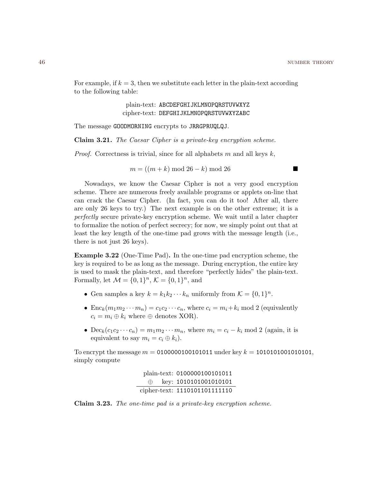For example, if  $k = 3$ , then we substitute each letter in the plain-text according to the following table:

> plain-text: ABCDEFGHIJKLMNOPQRSTUVWXYZ cipher-text: DEFGHIJKLMNOPQRSTUVWXYZABC

The message GOODMORNING encrypts to JRRGPRUQLQJ.

Claim 3.21. The Caesar Cipher is a private-key encryption scheme.

*Proof.* Correctness is trivial, since for all alphabets m and all keys  $k$ ,

 $m = ((m + k) \mod 26 - k) \mod 26$ 

Nowadays, we know the Caesar Cipher is not a very good encryption scheme. There are numerous freely available programs or applets on-line that can crack the Caesar Cipher. (In fact, you can do it too! After all, there are only 26 keys to try.) The next example is on the other extreme; it is a perfectly secure private-key encryption scheme. We wait until a later chapter to formalize the notion of perfect secrecy; for now, we simply point out that at least the key length of the one-time pad grows with the message length (i.e., there is not just 26 keys).

Example 3.22 (One-Time Pad). In the one-time pad encryption scheme, the key is required to be as long as the message. During encryption, the entire key is used to mask the plain-text, and therefore "perfectly hides" the plain-text. Formally, let  $\mathcal{M} = \{0, 1\}^n$ ,  $\mathcal{K} = \{0, 1\}^n$ , and

- Gen samples a key  $k = k_1 k_2 \cdots k_n$  uniformly from  $\mathcal{K} = \{0, 1\}^n$ .
- Enc<sub>k</sub> $(m_1m_2\cdots m_n) = c_1c_2\cdots c_n$ , where  $c_i = m_i + k_i \mod 2$  (equivalently  $c_i = m_i \oplus k_i$  where  $\oplus$  denotes XOR).
- Dec<sub>k</sub>(c<sub>1</sub>c<sub>2</sub> · · · c<sub>n</sub>) =  $m_1m_2 \cdots m_n$ , where  $m_i = c_i k_i \mod 2$  (again, it is equivalent to say  $m_i = c_i \oplus k_i$ .

To encrypt the message  $m = 0100000100101011$  under key  $k = 1010101001010101$ , simply compute

> plain-text: 0100000100101011 ⊕ key: 1010101001010101 cipher-text: 1110101101111110

Claim 3.23. The one-time pad is a private-key encryption scheme.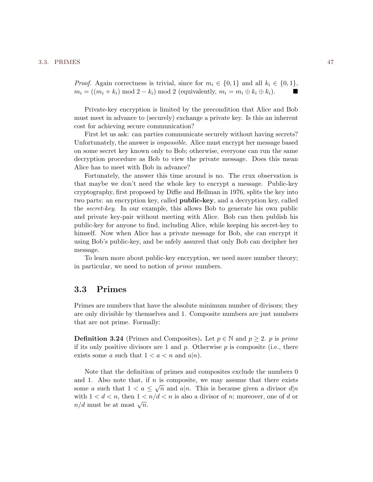*Proof.* Again correctness is trivial, since for  $m_i \in \{0,1\}$  and all  $k_i \in \{0,1\}$ ,  $m_i = ((m_i + k_i) \mod 2 - k_i) \mod 2$  (equivalently,  $m_i = m_i \oplus k_i \oplus k_i$ ).

Private-key encryption is limited by the precondition that Alice and Bob must meet in advance to (securely) exchange a private key. Is this an inherent cost for achieving secure communication?

First let us ask: can parties communicate securely without having secrets? Unfortunately, the answer is impossible. Alice must encrypt her message based on some secret key known only to Bob; otherwise, everyone can run the same decryption procedure as Bob to view the private message. Does this mean Alice has to meet with Bob in advance?

Fortunately, the answer this time around is no. The crux observation is that maybe we don't need the whole key to encrypt a message. Public-key cryptography, first proposed by Diffie and Hellman in 1976, splits the key into two parts: an encryption key, called public-key, and a decryption key, called the secret-key. In our example, this allows Bob to generate his own public and private key-pair without meeting with Alice. Bob can then publish his public-key for anyone to find, including Alice, while keeping his secret-key to himself. Now when Alice has a private message for Bob, she can encrypt it using Bob's public-key, and be safely assured that only Bob can decipher her message.

To learn more about public-key encryption, we need more number theory; in particular, we need to notion of prime numbers.

# 3.3 Primes

Primes are numbers that have the absolute minimum number of divisors; they are only divisible by themselves and 1. Composite numbers are just numbers that are not prime. Formally:

**Definition 3.24** (Primes and Composites). Let  $p \in \mathbb{N}$  and  $p \geq 2$ . p is prime if its only positive divisors are 1 and p. Otherwise  $p$  is composite (i.e., there exists some a such that  $1 < a < n$  and  $a|n$ .

Note that the definition of primes and composites exclude the numbers 0 and 1. Also note that, if n is composite, we may assume that there exists some a such that  $1 < a \leq \sqrt{n}$  and  $a|n$ . This is because given a divisor  $d|n$ with  $1 < d < n$ , then  $1 < n/d < n$  is also a divisor of n; moreover, one of d or when  $1 < a < n$ , then  $1 < n$ ,  $n/d$  must be at most  $\sqrt{n}$ .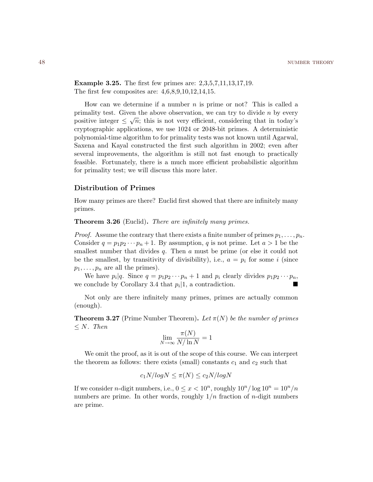**Example 3.25.** The first few primes are: 2,3,5,7,11,13,17,19. The first few composites are: 4,6,8,9,10,12,14,15.

How can we determine if a number n is prime or not? This is called a primality test. Given the above observation, we can try to divide n by every positive integer  $\leq \sqrt{n}$ ; this is not very efficient, considering that in today's cryptographic applications, we use 1024 or 2048-bit primes. A deterministic polynomial-time algorithm to for primality tests was not known until Agarwal, Saxena and Kayal constructed the first such algorithm in 2002; even after several improvements, the algorithm is still not fast enough to practically feasible. Fortunately, there is a much more efficient probabilistic algorithm for primality test; we will discuss this more later.

### Distribution of Primes

How many primes are there? Euclid first showed that there are infinitely many primes.

#### **Theorem 3.26** (Euclid). There are infinitely many primes.

*Proof.* Assume the contrary that there exists a finite number of primes  $p_1, \ldots, p_n$ . Consider  $q = p_1p_2\cdots p_n + 1$ . By assumption, q is not prime. Let  $a > 1$  be the smallest number that divides  $q$ . Then  $q$  must be prime (or else it could not be the smallest, by transitivity of divisibility), i.e.,  $a = p_i$  for some i (since  $p_1, \ldots, p_n$  are all the primes).

We have  $p_i|q$ . Since  $q = p_1p_2\cdots p_n + 1$  and  $p_i$  clearly divides  $p_1p_2\cdots p_n$ , we conclude by Corollary 3.4 that  $p_i|1$ , a contradiction.

Not only are there infinitely many primes, primes are actually common (enough).

**Theorem 3.27** (Prime Number Theorem). Let  $\pi(N)$  be the number of primes  $\leq N$ . Then

$$
\lim_{N \to \infty} \frac{\pi(N)}{N/\ln N} = 1
$$

We omit the proof, as it is out of the scope of this course. We can interpret the theorem as follows: there exists (small) constants  $c_1$  and  $c_2$  such that

$$
c_1N/logN \le \pi(N) \le c_2N/logN
$$

If we consider *n*-digit numbers, i.e.,  $0 \le x < 10^n$ , roughly  $10^n / \log 10^n = 10^n / n$ numbers are prime. In other words, roughly  $1/n$  fraction of *n*-digit numbers are prime.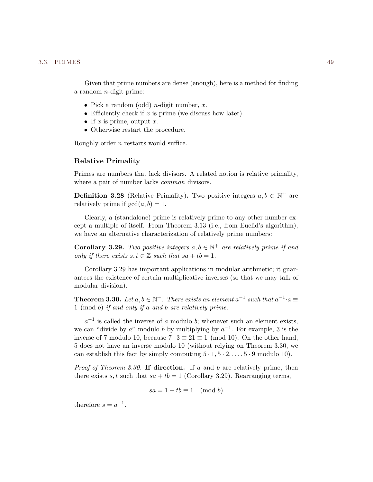Given that prime numbers are dense (enough), here is a method for finding a random n-digit prime:

- Pick a random (odd) *n*-digit number,  $x$ .
- Efficiently check if  $x$  is prime (we discuss how later).
- If x is prime, output x.
- Otherwise restart the procedure.

Roughly order n restarts would suffice.

### Relative Primality

Primes are numbers that lack divisors. A related notion is relative primality, where a pair of number lacks *common* divisors.

**Definition 3.28** (Relative Primality). Two positive integers  $a, b \in \mathbb{N}^+$  are relatively prime if  $gcd(a, b) = 1$ .

Clearly, a (standalone) prime is relatively prime to any other number except a multiple of itself. From Theorem 3.13 (i.e., from Euclid's algorithm), we have an alternative characterization of relatively prime numbers:

**Corollary 3.29.** Two positive integers  $a, b \in \mathbb{N}^+$  are relatively prime if and only if there exists  $s, t \in \mathbb{Z}$  such that  $sa + tb = 1$ .

Corollary 3.29 has important applications in modular arithmetic; it guarantees the existence of certain multiplicative inverses (so that we may talk of modular division).

**Theorem 3.30.** Let  $a, b \in \mathbb{N}^+$ . There exists an element  $a^{-1}$  such that  $a^{-1} \cdot a \equiv$ 1 (mod b) if and only if a and b are relatively prime.

 $a^{-1}$  is called the inverse of a modulo b; whenever such an element exists, we can "divide by a" modulo b by multiplying by  $a^{-1}$ . For example, 3 is the inverse of 7 modulo 10, because  $7 \cdot 3 \equiv 21 \equiv 1 \pmod{10}$ . On the other hand, 5 does not have an inverse modulo 10 (without relying on Theorem 3.30, we can establish this fact by simply computing  $5 \cdot 1, 5 \cdot 2, \ldots, 5 \cdot 9$  modulo 10).

*Proof of Theorem 3.30.* If direction. If  $a$  and  $b$  are relatively prime, then there exists s, t such that  $sa + tb = 1$  (Corollary 3.29). Rearranging terms,

$$
sa = 1 - tb \equiv 1 \pmod{b}
$$

therefore  $s = a^{-1}$ .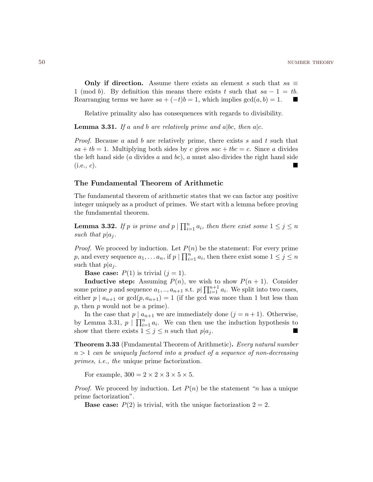Only if direction. Assume there exists an element s such that sa  $\equiv$ 1 (mod b). By definition this means there exists t such that  $sa - 1 = tb$ . Rearranging terms we have  $sa + (-t)b = 1$ , which implies  $gcd(a, b) = 1$ .

Relative primality also has consequences with regards to divisibility.

**Lemma 3.31.** If a and b are relatively prime and a|bc, then  $a|c$ .

*Proof.* Because a and b are relatively prime, there exists s and t such that  $sa + tb = 1$ . Multiplying both sides by c gives  $sac + tbc = c$ . Since a divides the left hand side  $(a \text{ divides } a \text{ and } bc), a \text{ must also divides the right hand side}$  $(i.e., c).$ 

# The Fundamental Theorem of Arithmetic

The fundamental theorem of arithmetic states that we can factor any positive integer uniquely as a product of primes. We start with a lemma before proving the fundamental theorem.

**Lemma 3.32.** If p is prime and  $p | \prod_{i=1}^{n} a_i$ , then there exist some  $1 \leq j \leq n$ such that  $p|a_i$ .

*Proof.* We proceed by induction. Let  $P(n)$  be the statement: For every prime p, and every sequence  $a_1, \ldots a_n$ , if  $p \mid \prod_{i=1}^n a_i$ , then there exist some  $1 \leq j \leq n$ such that  $p|a_i$ .

**Base case:**  $P(1)$  is trivial  $(j = 1)$ .

**Inductive step:** Assuming  $P(n)$ , we wish to show  $P(n + 1)$ . Consider some prime p and sequence  $a_1, ..., a_{n+1}$  s.t.  $p | \prod_{i=1}^{n+1} a_i$ . We split into two cases, either  $p | a_{n+1}$  or  $gcd(p, a_{n+1}) = 1$  (if the gcd was more than 1 but less than p, then p would not be a prime).

In the case that  $p \mid a_{n+1}$  we are immediately done  $(j = n+1)$ . Otherwise, by Lemma 3.31,  $p \mid \prod_{i=1}^{n} a_i$ . We can then use the induction hypothesis to show that there exists  $1 \leq j \leq n$  such that  $p|a_j$ .

Theorem 3.33 (Fundamental Theorem of Arithmetic). Every natural number  $n > 1$  can be uniquely factored into a product of a sequence of non-decreasing primes, i.e., the unique prime factorization.

For example,  $300 = 2 \times 2 \times 3 \times 5 \times 5$ .

*Proof.* We proceed by induction. Let  $P(n)$  be the statement "*n* has a unique prime factorization".

**Base case:**  $P(2)$  is trivial, with the unique factorization  $2 = 2$ .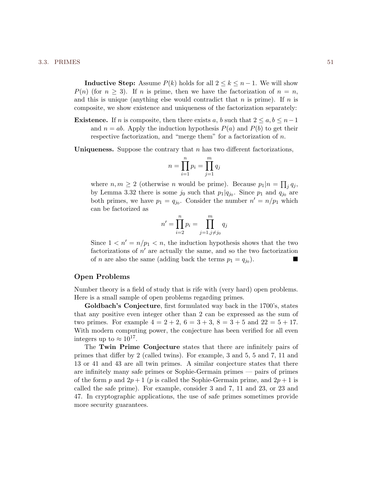#### $3.3.$  PRIMES  $51$

**Inductive Step:** Assume  $P(k)$  holds for all  $2 \le k \le n-1$ . We will show  $P(n)$  (for  $n \geq 3$ ). If n is prime, then we have the factorization of  $n = n$ , and this is unique (anything else would contradict that  $n$  is prime). If  $n$  is composite, we show existence and uniqueness of the factorization separately:

**Existence.** If *n* is composite, then there exists a, b such that  $2 \le a, b \le n-1$ and  $n = ab$ . Apply the induction hypothesis  $P(a)$  and  $P(b)$  to get their respective factorization, and "merge them" for a factorization of n.

**Uniqueness.** Suppose the contrary that  $n$  has two different factorizations,

$$
n = \prod_{i=1}^{n} p_i = \prod_{j=1}^{m} q_j
$$

where  $n, m \geq 2$  (otherwise n would be prime). Because  $p_1 | n = \prod_j q_j$ , by Lemma 3.32 there is some  $j_0$  such that  $p_1|q_{j_0}$ . Since  $p_1$  and  $q_{j_0}$  are both primes, we have  $p_1 = q_{j_0}$ . Consider the number  $n' = n/p_1$  which can be factorized as

$$
n' = \prod_{i=2}^{n} p_i = \prod_{j=1, j \neq j_0}^{m} q_j
$$

Since  $1 < n' = n/p_1 < n$ , the induction hypothesis shows that the two factorizations of  $n'$  are actually the same, and so the two factorization of *n* are also the same (adding back the terms  $p_1 = q_{j_0}$ ).  $\Box$ 

## Open Problems

Number theory is a field of study that is rife with (very hard) open problems. Here is a small sample of open problems regarding primes.

Goldbach's Conjecture, first formulated way back in the 1700's, states that any positive even integer other than 2 can be expressed as the sum of two primes. For example  $4 = 2 + 2$ ,  $6 = 3 + 3$ ,  $8 = 3 + 5$  and  $22 = 5 + 17$ . With modern computing power, the conjecture has been verified for all even integers up to  $\approx 10^{17}$ .

The Twin Prime Conjecture states that there are infinitely pairs of primes that differ by 2 (called twins). For example, 3 and 5, 5 and 7, 11 and 13 or 41 and 43 are all twin primes. A similar conjecture states that there are infinitely many safe primes or Sophie-Germain primes — pairs of primes of the form p and  $2p+1$  (p is called the Sophie-Germain prime, and  $2p+1$  is called the safe prime). For example, consider 3 and 7, 11 and 23, or 23 and 47. In cryptographic applications, the use of safe primes sometimes provide more security guarantees.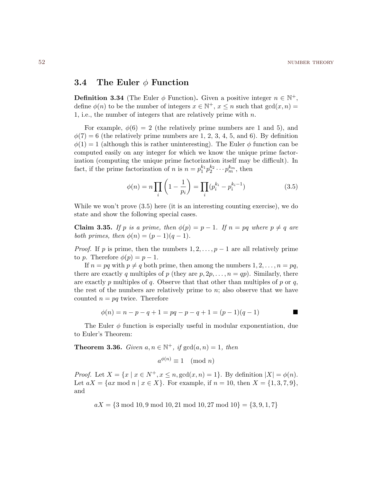# **3.4** The Euler  $\phi$  Function

**Definition 3.34** (The Euler  $\phi$  Function). Given a positive integer  $n \in \mathbb{N}^+$ , define  $\phi(n)$  to be the number of integers  $x \in \mathbb{N}^+$ ,  $x \leq n$  such that  $gcd(x, n) =$ 1, i.e., the number of integers that are relatively prime with  $n$ .

For example,  $\phi(6) = 2$  (the relatively prime numbers are 1 and 5), and  $\phi(7) = 6$  (the relatively prime numbers are 1, 2, 3, 4, 5, and 6). By definition  $\phi(1) = 1$  (although this is rather uninteresting). The Euler  $\phi$  function can be computed easily on any integer for which we know the unique prime factorization (computing the unique prime factorization itself may be difficult). In fact, if the prime factorization of *n* is  $n = p_1^{k_1} p_2^{k_2} \cdots p_m^{k_m}$ , then

$$
\phi(n) = n \prod_{i} \left( 1 - \frac{1}{p_i} \right) = \prod_{i} (p_i^{k_i} - p_i^{k_i - 1}) \tag{3.5}
$$

While we won't prove (3.5) here (it is an interesting counting exercise), we do state and show the following special cases.

**Claim 3.35.** If p is a prime, then  $\phi(p) = p - 1$ . If  $n = pq$  where  $p \neq q$  are both primes, then  $\phi(n) = (p-1)(q-1)$ .

*Proof.* If p is prime, then the numbers  $1, 2, \ldots, p-1$  are all relatively prime to p. Therefore  $\phi(p) = p - 1$ .

If  $n = pq$  with  $p \neq q$  both prime, then among the numbers  $1, 2, \ldots, n = pq$ , there are exactly q multiples of p (they are  $p, 2p, \ldots, n = qp$ ). Similarly, there are exactly p multiples of q. Observe that that other than multiples of p or q, the rest of the numbers are relatively prime to  $n$ ; also observe that we have counted  $n = pq$  twice. Therefore

$$
\phi(n) = n - p - q + 1 = pq - p - q + 1 = (p - 1)(q - 1)
$$

The Euler  $\phi$  function is especially useful in modular exponentiation, due to Euler's Theorem:

**Theorem 3.36.** Given  $a, n \in \mathbb{N}^+$ , if  $gcd(a, n) = 1$ , then

$$
a^{\phi(n)} \equiv 1 \pmod{n}
$$

*Proof.* Let  $X = \{x \mid x \in N^+, x \leq n, \text{gcd}(x, n) = 1\}$ . By definition  $|X| = \phi(n)$ . Let  $aX = \{ax \mod n \mid x \in X\}$ . For example, if  $n = 10$ , then  $X = \{1, 3, 7, 9\}$ , and

 $aX = \{3 \text{ mod } 10, 9 \text{ mod } 10, 21 \text{ mod } 10, 27 \text{ mod } 10\} = \{3, 9, 1, 7\}$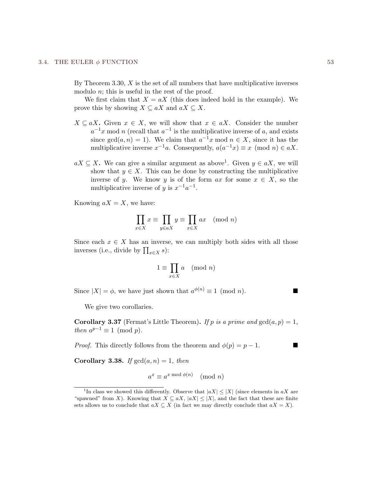#### 3.4. THE EULER  $\phi$  FUNCTION 53

By Theorem 3.30,  $X$  is the set of all numbers that have multiplicative inverses modulo  $n$ ; this is useful in the rest of the proof.

We first claim that  $X = aX$  (this does indeed hold in the example). We prove this by showing  $X \subseteq aX$  and  $aX \subseteq X$ .

- $X \subseteq aX$ . Given  $x \in X$ , we will show that  $x \in aX$ . Consider the number  $a^{-1}x \mod n$  (recall that  $a^{-1}$  is the multiplicative inverse of a, and exists since  $gcd(a, n) = 1$ ). We claim that  $a^{-1}x \mod n \in X$ , since it has the multiplicative inverse  $x^{-1}a$ . Consequently,  $a(a^{-1}x) \equiv x \pmod{n} \in aX$ .
- $aX \subseteq X$ . We can give a similar argument as above<sup>1</sup>. Given  $y \in aX$ , we will show that  $y \in X$ . This can be done by constructing the multiplicative inverse of y. We know y is of the form  $ax$  for some  $x \in X$ , so the multiplicative inverse of y is  $x^{-1}a^{-1}$ .

Knowing  $aX = X$ , we have:

$$
\prod_{x \in X} x \equiv \prod_{y \in aX} y \equiv \prod_{x \in X} ax \pmod{n}
$$

Since each  $x \in X$  has an inverse, we can multiply both sides with all those inverses (i.e., divide by  $\prod_{x \in X} s$ ):

$$
1 \equiv \prod_{x \in X} a \pmod{n}
$$

Since  $|X| = \phi$ , we have just shown that  $a^{\phi(n)} \equiv 1 \pmod{n}$ .

We give two corollaries.

**Corollary 3.37** (Fermat's Little Theorem). If p is a prime and  $gcd(a, p) = 1$ , then  $a^{p-1} \equiv 1 \pmod{p}$ .

*Proof.* This directly follows from the theorem and  $\phi(p) = p - 1$ .

Corollary 3.38. If  $gcd(a, n) = 1$ , then

$$
a^x \equiv a^{x \bmod{\phi(n)}} \pmod{n}
$$

<sup>&</sup>lt;sup>1</sup>In class we showed this differently. Observe that  $|aX| \leq |X|$  (since elements in  $aX$  are "spawned" from X). Knowing that  $X \subseteq aX$ ,  $|aX| \leq |X|$ , and the fact that these are finite sets allows us to conclude that  $aX \subseteq X$  (in fact we may directly conclude that  $aX = X$ ).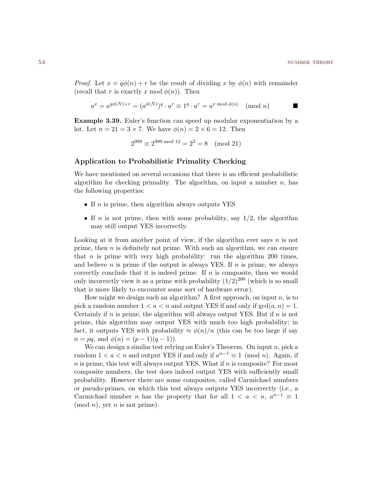*Proof.* Let  $x = q\phi(n) + r$  be the result of dividing x by  $\phi(n)$  with remainder (recall that r is exactly x mod  $\phi(n)$ ). Then

$$
a^x = a^{q\phi(N)+r} = (a^{\phi(N)})^q \cdot a^r \equiv 1^q \cdot a^r = a^{x \bmod{\phi(n)}} \pmod{n}
$$

Example 3.39. Euler's function can speed up modular exponentiation by a lot. Let  $n = 21 = 3 \times 7$ . We have  $\phi(n) = 2 \times 6 = 12$ . Then

$$
2^{999} \equiv 2^{999 \mod 12} = 2^3 = 8 \pmod{21}
$$

### Application to Probabilistic Primality Checking

We have mentioned on several occasions that there is an efficient probabilistic algorithm for checking primality. The algorithm, on input a number  $n$ , has the following properties:

- If  $n$  is prime, then algorithm always outputs YES
- If n is not prime, then with some probability, say  $1/2$ , the algorithm may still output YES incorrectly.

Looking at it from another point of view, if the algorithm ever says  $n$  is not prime, then  $n$  is definitely not prime. With such an algorithm, we can ensure that  $n$  is prime with very high probability: run the algorithm 200 times, and believe n is prime if the output is always YES. If  $n$  is prime, we always correctly conclude that it is indeed prime. If  $n$  is composite, then we would only incorrectly view it as a prime with probability  $(1/2)^{200}$  (which is so small that is more likely to encounter some sort of hardware error).

How might we design such an algorithm? A first approach, on input  $n$ , is to pick a random number  $1 < a < n$  and output YES if and only if  $gcd(a, n) = 1$ . Certainly if n is prime, the algorithm will always output YES. But if  $n$  is not prime, this algorithm may output YES with much too high probability; in fact, it outputs YES with probability  $\approx \phi(n)/n$  (this can be too large if say  $n = pq$ , and  $\phi(n) = (p-1)(q-1)$ .

We can design a similar test relying on Euler's Theorem. On input  $n$ , pick a random  $1 < a < n$  and output YES if and only if  $a^{n-1} \equiv 1 \pmod{n}$ . Again, if  $n$  is prime, this test will always output YES. What if  $n$  is composite? For most composite numbers, the test does indeed output YES with sufficiently small probability. However there are some composites, called Carmichael numbers or pseudo-primes, on which this test always outputs YES incorrectly (i.e., a Carmichael number *n* has the property that for all  $1 < a < n$ ,  $a^{n-1} \equiv 1$  $(mod n)$ , yet *n* is not prime).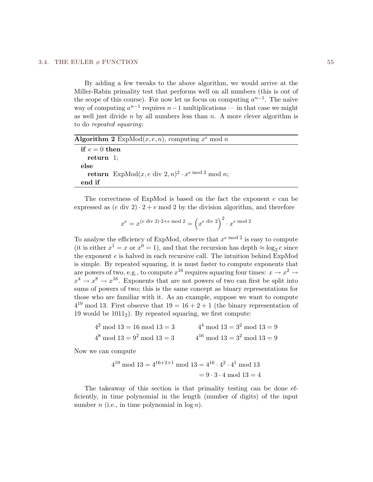#### 3.4. THE EULER  $\phi$  FUNCTION 55

By adding a few tweaks to the above algorithm, we would arrive at the Miller-Rabin primality test that performs well on all numbers (this is out of the scope of this course). For now let us focus on computing  $a^{n-1}$ . The naïve way of computing  $a^{n-1}$  requires  $n-1$  multiplications — in that case we might as well just divide  $n$  by all numbers less than  $n$ . A more clever algorithm is to do repeated squaring:

| <b>Algorithm 2</b> ExpMod $(x, e, n)$ , computing $x^e \mod n$                                |  |
|-----------------------------------------------------------------------------------------------|--|
| if $e=0$ then                                                                                 |  |
| return 1;                                                                                     |  |
| else                                                                                          |  |
| <b>return</b> ExpMod $(x, e \text{ div } 2, n)^2 \cdot x^{e \text{ mod } 2} \text{ mod } n$ ; |  |
| end if                                                                                        |  |

The correctness of ExpMod is based on the fact the exponent e can be expressed as  $(e \div 2) \cdot 2 + e \mod 2$  by the division algorithm, and therefore

$$
x^{e} = x^{(e \text{ div } 2) \cdot 2 + e \text{ mod } 2} = \left(x^{e \text{ div } 2}\right)^{2} \cdot x^{e \text{ mod } 2}
$$

To analyse the efficiency of ExpMod, observe that  $x^{e \mod 2}$  is easy to compute (it is either  $x^1 = x$  or  $x^0 = 1$ ), and that the recursion has depth  $\approx \log_2 e$  since the exponent  $e$  is halved in each recursive call. The intuition behind  $ExpMod$ is simple. By repeated squaring, it is must faster to compute exponents that are powers of two, e.g., to compute  $x^{16}$  requires squaring four times:  $x \to x^2 \to$  $x^4 \to x^8 \to x^{16}$ . Exponents that are not powers of two can first be split into sums of powers of two; this is the same concept as binary representations for those who are familiar with it. As an example, suppose we want to compute  $4^{19}$  mod 13. First observe that  $19 = 16 + 2 + 1$  (the binary representation of 19 would be  $1011<sub>2</sub>$ ). By repeated squaring, we first compute:

| $4^2 \mod 13 = 16 \mod 13 = 3$  | $4^4 \mod 13 = 3^2 \mod 13 = 9$      |
|---------------------------------|--------------------------------------|
| $4^8 \mod 13 = 9^2 \mod 13 = 3$ | $4^{16}$ mod $13 = 3^2$ mod $13 = 9$ |

Now we can compute

$$
4^{19} \text{ mod } 13 = 4^{16+2+1} \text{ mod } 13 = 4^{16} \cdot 4^2 \cdot 4^1 \text{ mod } 13
$$

$$
= 9 \cdot 3 \cdot 4 \text{ mod } 13 = 4
$$

The takeaway of this section is that primality testing can be done efficiently, in time polynomial in the length (number of digits) of the input number  $n$  (i.e., in time polynomial in  $\log n$ ).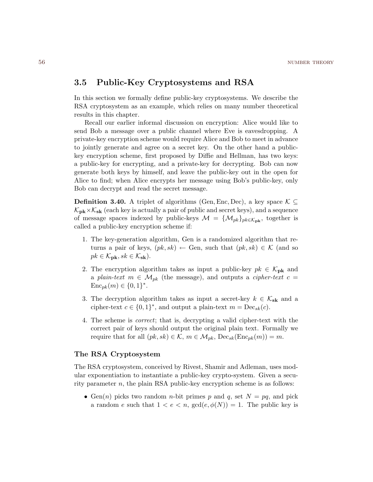# 3.5 Public-Key Cryptosystems and RSA

In this section we formally define public-key cryptosystems. We describe the RSA cryptosystem as an example, which relies on many number theoretical results in this chapter.

Recall our earlier informal discussion on encryption: Alice would like to send Bob a message over a public channel where Eve is eavesdropping. A private-key encryption scheme would require Alice and Bob to meet in advance to jointly generate and agree on a secret key. On the other hand a publickey encryption scheme, first proposed by Diffie and Hellman, has two keys: a public-key for encrypting, and a private-key for decrypting. Bob can now generate both keys by himself, and leave the public-key out in the open for Alice to find; when Alice encrypts her message using Bob's public-key, only Bob can decrypt and read the secret message.

**Definition 3.40.** A triplet of algorithms (Gen, Enc, Dec), a key space  $\mathcal{K} \subseteq$  $\mathcal{K}_{\mathbf{pk}} \times \mathcal{K}_{\mathbf{sk}}$  (each key is actually a pair of public and secret keys), and a sequence of message spaces indexed by public-keys  $\mathcal{M} = \{\mathcal{M}_{pk}\}_{pk\in\mathcal{K}_{pk}}$ , together is called a public-key encryption scheme if:

- 1. The key-generation algorithm, Gen is a randomized algorithm that returns a pair of keys,  $(pk, sk) \leftarrow$  Gen, such that  $(pk, sk) \in \mathcal{K}$  (and so  $pk \in \mathcal{K}_{\mathbf{pk}}, sk \in \mathcal{K}_{\mathbf{sk}}.$
- 2. The encryption algorithm takes as input a public-key  $pk \in \mathcal{K}_{\text{pk}}$  and a plain-text  $m \in \mathcal{M}_{pk}$  (the message), and outputs a *cipher-text*  $c =$  $\text{Enc}_{pk}(m) \in \{0, 1\}^*.$
- 3. The decryption algorithm takes as input a secret-key  $k \in \mathcal{K}_{sk}$  and a cipher-text  $c \in \{0,1\}^*$ , and output a plain-text  $m = \text{Dec}_{sk}(c)$ .
- 4. The scheme is correct; that is, decrypting a valid cipher-text with the correct pair of keys should output the original plain text. Formally we require that for all  $(pk, sk) \in \mathcal{K}$ ,  $m \in \mathcal{M}_{pk}$ ,  $\text{Dec}_{sk}(\text{Enc}_{pk}(m)) = m$ .

### The RSA Cryptosystem

The RSA cryptosystem, conceived by Rivest, Shamir and Adleman, uses modular exponentiation to instantiate a public-key crypto-system. Given a security parameter  $n$ , the plain RSA public-key encryption scheme is as follows:

• Gen(n) picks two random n-bit primes p and q, set  $N = pq$ , and pick a random e such that  $1 < e < n$ ,  $gcd(e, \phi(N)) = 1$ . The public key is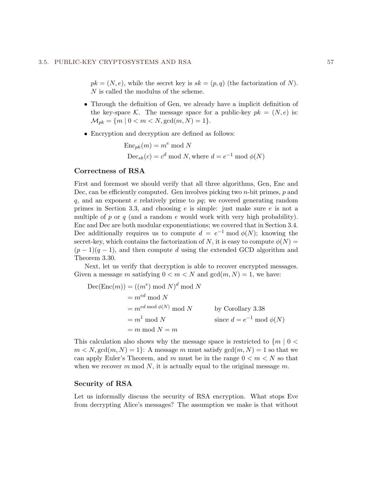$pk = (N, e)$ , while the secret key is  $sk = (p, q)$  (the factorization of N). N is called the modulus of the scheme.

- Through the definition of Gen, we already have a implicit definition of the key-space K. The message space for a public-key  $pk = (N, e)$  is:  $\mathcal{M}_{pk} = \{m \mid 0 < m < N, \gcd(m, N) = 1\}.$
- Encryption and decryption are defined as follows:

Enc<sub>pk</sub>(m) = 
$$
m^e
$$
 mod N  
Dec<sub>sk</sub>(c) =  $c^d$  mod N, where  $d = e^{-1}$  mod  $\phi(N)$ 

# Correctness of RSA

First and foremost we should verify that all three algorithms, Gen, Enc and Dec, can be efficiently computed. Gen involves picking two  $n$ -bit primes,  $p$  and q, and an exponent e relatively prime to  $pq$ ; we covered generating random primes in Section 3.3, and choosing  $e$  is simple: just make sure  $e$  is not a multiple of  $p$  or  $q$  (and a random  $e$  would work with very high probability). Enc and Dec are both modular exponentiations; we covered that in Section 3.4. Dec additionally requires us to compute  $d = e^{-1} \text{ mod } \phi(N)$ ; knowing the secret-key, which contains the factorization of N, it is easy to compute  $\phi(N)$  =  $(p-1)(q-1)$ , and then compute d using the extended GCD algorithm and Theorem 3.30.

Next, let us verify that decryption is able to recover encrypted messages. Given a message m satisfying  $0 < m < N$  and  $gcd(m, N) = 1$ , we have:

$$
Dec(Enc(m)) = ((me) mod N)d mod N
$$
  
=  $med mod N$   
=  $med mod \phi(N)$  mod N by Corollary 3.38  
=  $m1 mod N$  by Corollary 3.38  
=  $m1 mod N$   
=  $m$  mod  $N = m$ 

This calculation also shows why the message space is restricted to  ${m \mid 0}$  $m \lt N$ , gcd $(m, N) = 1$ : A message m must satisfy gcd $(m, N) = 1$  so that we can apply Euler's Theorem, and m must be in the range  $0 < m < N$  so that when we recover m mod  $N$ , it is actually equal to the original message m.

#### Security of RSA

Let us informally discuss the security of RSA encryption. What stops Eve from decrypting Alice's messages? The assumption we make is that without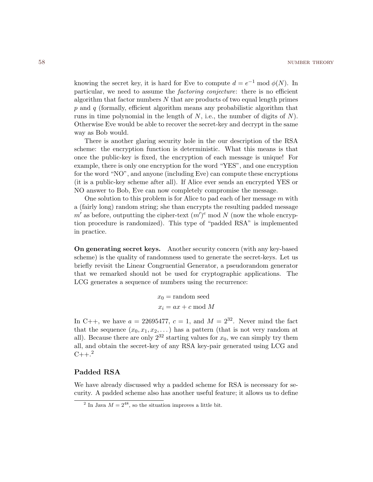knowing the secret key, it is hard for Eve to compute  $d = e^{-1} \bmod \phi(N)$ . In particular, we need to assume the factoring conjecture: there is no efficient algorithm that factor numbers  $N$  that are products of two equal length primes  $p$  and  $q$  (formally, efficient algorithm means any probabilistic algorithm that runs in time polynomial in the length of  $N$ , i.e., the number of digits of  $N$ ). Otherwise Eve would be able to recover the secret-key and decrypt in the same way as Bob would.

There is another glaring security hole in the our description of the RSA scheme: the encryption function is deterministic. What this means is that once the public-key is fixed, the encryption of each message is unique! For example, there is only one encryption for the word "YES", and one encryption for the word "NO", and anyone (including Eve) can compute these encryptions (it is a public-key scheme after all). If Alice ever sends an encrypted YES or NO answer to Bob, Eve can now completely compromise the message.

One solution to this problem is for Alice to pad each of her message  $m$  with a (fairly long) random string; she than encrypts the resulting padded message  $m'$  as before, outputting the cipher-text  $(m')^e$  mod N (now the whole encryption procedure is randomized). This type of "padded RSA" is implemented in practice.

On generating secret keys. Another security concern (with any key-based scheme) is the quality of randomness used to generate the secret-keys. Let us briefly revisit the Linear Congruential Generator, a pseudorandom generator that we remarked should not be used for cryptographic applications. The LCG generates a sequence of numbers using the recurrence:

> $x_0$  = random seed  $x_i = ax + c \bmod M$

In C++, we have  $a = 22695477$ ,  $c = 1$ , and  $M = 2^{32}$ . Never mind the fact that the sequence  $(x_0, x_1, x_2, \dots)$  has a pattern (that is not very random at all). Because there are only  $2^{32}$  starting values for  $x_0$ , we can simply try them all, and obtain the secret-key of any RSA key-pair generated using LCG and  $C_{++}$ .<sup>2</sup>

## Padded RSA

We have already discussed why a padded scheme for RSA is necessary for security. A padded scheme also has another useful feature; it allows us to define

<sup>&</sup>lt;sup>2</sup> In Java  $M = 2^{48}$ , so the situation improves a little bit.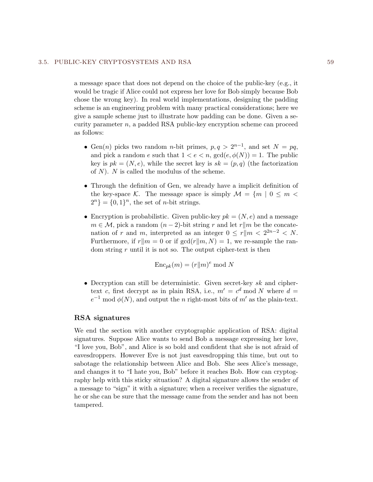a message space that does not depend on the choice of the public-key (e.g., it would be tragic if Alice could not express her love for Bob simply because Bob chose the wrong key). In real world implementations, designing the padding scheme is an engineering problem with many practical considerations; here we give a sample scheme just to illustrate how padding can be done. Given a security parameter n, a padded RSA public-key encryption scheme can proceed as follows:

- Gen(n) picks two random *n*-bit primes,  $p, q > 2^{n-1}$ , and set  $N = pq$ , and pick a random e such that  $1 < e < n$ ,  $gcd(e, \phi(N)) = 1$ . The public key is  $pk = (N, e)$ , while the secret key is  $sk = (p, q)$  (the factorization of  $N$ ). N is called the modulus of the scheme.
- Through the definition of Gen, we already have a implicit definition of the key-space K. The message space is simply  $\mathcal{M} = \{m \mid 0 \leq m$  $2^{n}$ } = {0, 1}<sup>n</sup>, the set of *n*-bit strings.
- Encryption is probabilistic. Given public-key  $pk = (N, e)$  and a message  $m \in \mathcal{M}$ , pick a random  $(n-2)$ -bit string r and let r||m be the concatenation of r and m, interpreted as an integer  $0 \leq r \Vert m < 2^{2n-2} < N$ . Furthermore, if  $r||m = 0$  or if  $gcd(r||m, N) = 1$ , we re-sample the random string  $r$  until it is not so. The output cipher-text is then

$$
\mathrm{Enc}_{pk}(m) = (r||m)^e \bmod N
$$

• Decryption can still be deterministic. Given secret-key  $sk$  and ciphertext c, first decrypt as in plain RSA, i.e.,  $m' = c^d \mod N$  where  $d =$  $e^{-1}$  mod  $\phi(N)$ , and output the *n* right-most bits of *m'* as the plain-text.

## RSA signatures

We end the section with another cryptographic application of RSA: digital signatures. Suppose Alice wants to send Bob a message expressing her love, "I love you, Bob", and Alice is so bold and confident that she is not afraid of eavesdroppers. However Eve is not just eavesdropping this time, but out to sabotage the relationship between Alice and Bob. She sees Alice's message, and changes it to "I hate you, Bob" before it reaches Bob. How can cryptography help with this sticky situation? A digital signature allows the sender of a message to "sign" it with a signature; when a receiver verifies the signature, he or she can be sure that the message came from the sender and has not been tampered.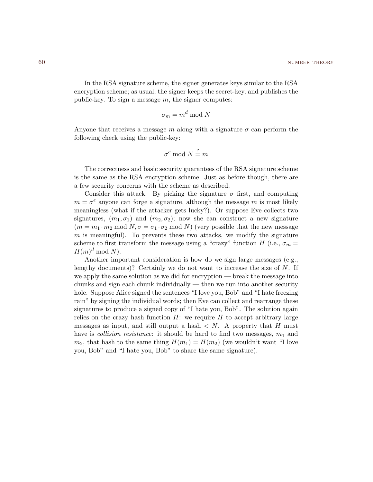In the RSA signature scheme, the signer generates keys similar to the RSA encryption scheme; as usual, the signer keeps the secret-key, and publishes the public-key. To sign a message  $m$ , the signer computes:

$$
\sigma_m = m^d \bmod N
$$

Anyone that receives a message m along with a signature  $\sigma$  can perform the following check using the public-key:

$$
\sigma^e \bmod N \stackrel{?}{=} m
$$

The correctness and basic security guarantees of the RSA signature scheme is the same as the RSA encryption scheme. Just as before though, there are a few security concerns with the scheme as described.

Consider this attack. By picking the signature  $\sigma$  first, and computing  $m = \sigma^e$  anyone can forge a signature, although the message m is most likely meaningless (what if the attacker gets lucky?). Or suppose Eve collects two signatures,  $(m_1, \sigma_1)$  and  $(m_2, \sigma_2)$ ; now she can construct a new signature  $(m = m_1 \cdot m_2 \mod N, \sigma = \sigma_1 \cdot \sigma_2 \mod N)$  (very possible that the new message  $m$  is meaningful). To prevents these two attacks, we modify the signature scheme to first transform the message using a "crazy" function H (i.e.,  $\sigma_m =$  $H(m)^d \bmod N$ .

Another important consideration is how do we sign large messages (e.g., lengthy documents)? Certainly we do not want to increase the size of N. If we apply the same solution as we did for encryption — break the message into chunks and sign each chunk individually — then we run into another security hole. Suppose Alice signed the sentences "I love you, Bob" and "I hate freezing rain" by signing the individual words; then Eve can collect and rearrange these signatures to produce a signed copy of "I hate you, Bob". The solution again relies on the crazy hash function  $H$ : we require  $H$  to accept arbitrary large messages as input, and still output a hash  $\lt N$ . A property that H must have is *collision resistance*: it should be hard to find two messages,  $m_1$  and  $m_2$ , that hash to the same thing  $H(m_1) = H(m_2)$  (we wouldn't want "I love you, Bob" and "I hate you, Bob" to share the same signature).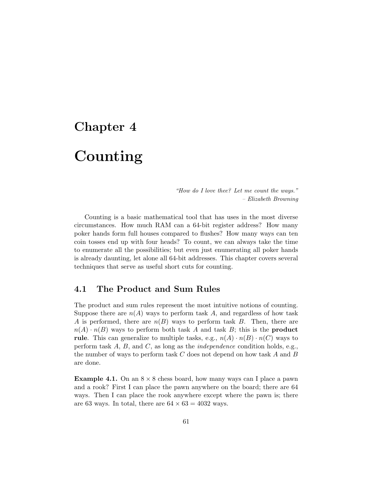# Chapter 4

# Counting

"How do I love thee? Let me count the ways." – Elizabeth Browning

Counting is a basic mathematical tool that has uses in the most diverse circumstances. How much RAM can a 64-bit register address? How many poker hands form full houses compared to flushes? How many ways can ten coin tosses end up with four heads? To count, we can always take the time to enumerate all the possibilities; but even just enumerating all poker hands is already daunting, let alone all 64-bit addresses. This chapter covers several techniques that serve as useful short cuts for counting.

# 4.1 The Product and Sum Rules

The product and sum rules represent the most intuitive notions of counting. Suppose there are  $n(A)$  ways to perform task A, and regardless of how task A is performed, there are  $n(B)$  ways to perform task B. Then, there are  $n(A) \cdot n(B)$  ways to perform both task A and task B; this is the **product** rule. This can generalize to multiple tasks, e.g.,  $n(A) \cdot n(B) \cdot n(C)$  ways to perform task  $A, B$ , and  $C$ , as long as the *independence* condition holds, e.g., the number of ways to perform task  $C$  does not depend on how task  $A$  and  $B$ are done.

**Example 4.1.** On an  $8 \times 8$  chess board, how many ways can I place a pawn and a rook? First I can place the pawn anywhere on the board; there are 64 ways. Then I can place the rook anywhere except where the pawn is; there are 63 ways. In total, there are  $64 \times 63 = 4032$  ways.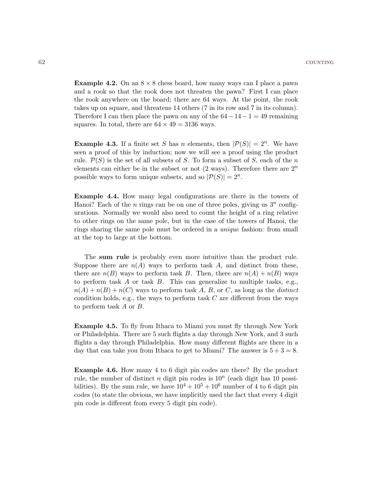**Example 4.2.** On an  $8 \times 8$  chess board, how many ways can I place a pawn and a rook so that the rook does not threaten the pawn? First I can place the rook anywhere on the board; there are 64 ways. At the point, the rook takes up on square, and threatens 14 others (7 in its row and 7 in its column). Therefore I can then place the pawn on any of the  $64 - 14 - 1 = 49$  remaining squares. In total, there are  $64 \times 49 = 3136$  ways.

**Example 4.3.** If a finite set S has n elements, then  $|\mathcal{P}(S)| = 2^n$ . We have seen a proof of this by induction; now we will see a proof using the product rule.  $\mathcal{P}(S)$  is the set of all subsets of S. To form a subset of S, each of the n elements can either be in the subset or not  $(2 \text{ ways})$ . Therefore there are  $2^n$ possible ways to form unique subsets, and so  $|\mathcal{P}(S)| = 2^n$ .

Example 4.4. How many legal configurations are there in the towers of Hanoi? Each of the *n* rings can be on one of three poles, giving us  $3^n$  configurations. Normally we would also need to count the height of a ring relative to other rings on the same pole, but in the case of the towers of Hanoi, the rings sharing the same pole must be ordered in a unique fashion: from small at the top to large at the bottom.

The sum rule is probably even more intuitive than the product rule. Suppose there are  $n(A)$  ways to perform task A, and distinct from these, there are  $n(B)$  ways to perform task B. Then, there are  $n(A) + n(B)$  ways to perform task A or task B. This can generalize to multiple tasks, e.g.,  $n(A) + n(B) + n(C)$  ways to perform task A, B, or C, as long as the distinct condition holds, e.g., the ways to perform task  $C$  are different from the ways to perform task A or B.

Example 4.5. To fly from Ithaca to Miami you must fly through New York or Philadelphia. There are 5 such flights a day through New York, and 3 such flights a day through Philadelphia. How many different flights are there in a day that can take you from Ithaca to get to Miami? The answer is  $5 + 3 = 8$ .

Example 4.6. How many 4 to 6 digit pin codes are there? By the product rule, the number of distinct *n* digit pin codes is  $10^n$  (each digit has 10 possibilities). By the sum rule, we have  $10^4 + 10^5 + 10^6$  number of 4 to 6 digit pin codes (to state the obvious, we have implicitly used the fact that every 4 digit pin code is different from every 5 digit pin code).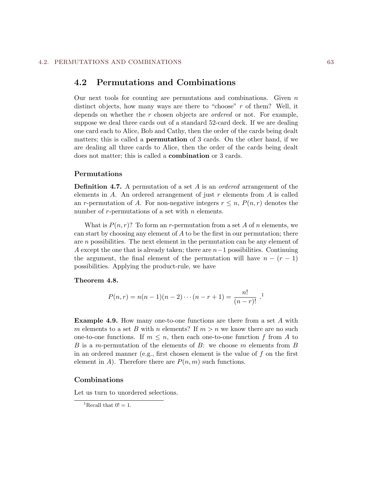#### 4.2. PERMUTATIONS AND COMBINATIONS 63

# 4.2 Permutations and Combinations

Our next tools for counting are permutations and combinations. Given  $n$ distinct objects, how many ways are there to "choose" r of them? Well, it depends on whether the  $r$  chosen objects are *ordered* or not. For example, suppose we deal three cards out of a standard 52-card deck. If we are dealing one card each to Alice, Bob and Cathy, then the order of the cards being dealt matters; this is called a permutation of 3 cards. On the other hand, if we are dealing all three cards to Alice, then the order of the cards being dealt does not matter; this is called a combination or 3 cards.

## Permutations

**Definition 4.7.** A permutation of a set A is an *ordered* arrangement of the elements in  $A$ . An ordered arrangement of just  $r$  elements from  $A$  is called an r-permutation of A. For non-negative integers  $r \leq n$ ,  $P(n,r)$  denotes the number of  $r$ -permutations of a set with  $n$  elements.

What is  $P(n, r)$ ? To form an r-permutation from a set A of n elements, we can start by choosing any element of A to be the first in our permutation; there are n possibilities. The next element in the permutation can be any element of A except the one that is already taken; there are  $n-1$  possibilities. Continuing the argument, the final element of the permutation will have  $n - (r - 1)$ possibilities. Applying the product-rule, we have

## Theorem 4.8.

$$
P(n,r) = n(n-1)(n-2)\cdots(n-r+1) = \frac{n!}{(n-r)!}.
$$
<sup>1</sup>

**Example 4.9.** How many one-to-one functions are there from a set A with m elements to a set B with n elements? If  $m > n$  we know there are no such one-to-one functions. If  $m \leq n$ , then each one-to-one function f from A to B is a m-permutation of the elements of B: we choose m elements from B in an ordered manner (e.g., first chosen element is the value of  $f$  on the first element in A). Therefore there are  $P(n, m)$  such functions.

### Combinations

Let us turn to unordered selections.

<sup>&</sup>lt;sup>1</sup>Recall that  $0! = 1$ .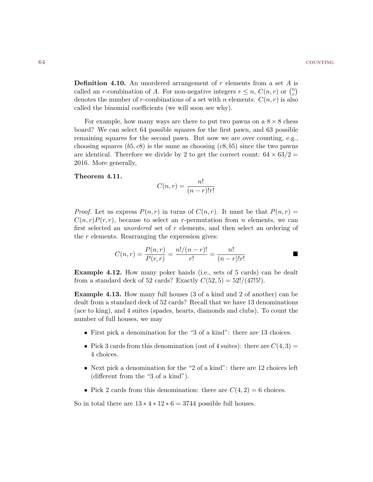$\blacksquare$ 

**Definition 4.10.** An unordered arrangement of r elements from a set  $A$  is called an *r*-combination of A. For non-negative integers  $r \leq n$ ,  $C(n,r)$  or  $\binom{n}{r}$  $\binom{n}{r}$ denotes the number of r-combinations of a set with n elements.  $C(n,r)$  is also called the binomial coefficients (we will soon see why).

For example, how many ways are there to put two pawns on a  $8 \times 8$  chess board? We can select 64 possible squares for the first pawn, and 63 possible remaining squares for the second pawn. But now we are over counting, e.g., choosing squares ( $b5, c8$ ) is the same as choosing ( $c8, b5$ ) since the two pawns are identical. Therefore we divide by 2 to get the correct count:  $64 \times 63/2 =$ 2016. More generally,

#### Theorem 4.11.

$$
C(n,r) = \frac{n!}{(n-r)!r!}
$$

*Proof.* Let us express  $P(n,r)$  in turns of  $C(n,r)$ . It must be that  $P(n,r)$  $C(n, r)P(r, r)$ , because to select an r-permutation from n elements, we can first selected an unordered set of r elements, and then select an ordering of the r elements. Rearranging the expression gives:

$$
C(n,r) = \frac{P(n,r)}{P(r,r)} = \frac{n!/(n-r)!}{r!} = \frac{n!}{(n-r)!r!}
$$

Example 4.12. How many poker hands (i.e., sets of 5 cards) can be dealt from a standard deck of 52 cards? Exactly  $C(52, 5) = 52!/(47!5!)$ .

Example 4.13. How many full houses (3 of a kind and 2 of another) can be dealt from a standard deck of 52 cards? Recall that we have 13 denominations (ace to king), and 4 suites (spades, hearts, diamonds and clubs). To count the number of full houses, we may

- First pick a denomination for the "3 of a kind": there are 13 choices.
- Pick 3 cards from this denomination (out of 4 suites): there are  $C(4,3)$  = 4 choices.
- Next pick a denomination for the "2 of a kind": there are 12 choices left (different from the "3 of a kind").
- Pick 2 cards from this denomination: there are  $C(4, 2) = 6$  choices.

So in total there are  $13 * 4 * 12 * 6 = 3744$  possible full houses.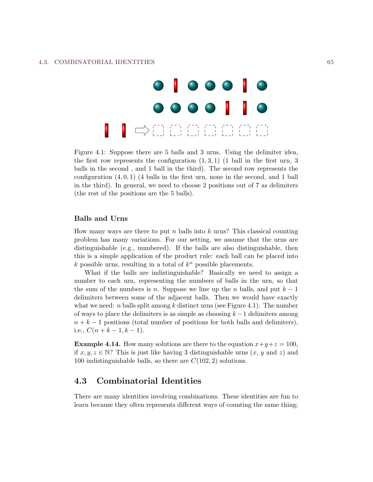

Figure 4.1: Suppose there are 5 balls and 3 urns. Using the delimiter idea, the first row represents the configuration  $(1, 3, 1)$   $(1$  ball in the first urn, 3 balls in the second , and 1 ball in the third). The second row represents the configuration  $(4, 0, 1)$   $(4$  balls in the first urn, none in the second, and 1 ball in the third). In general, we need to choose 2 positions out of 7 as delimiters (the rest of the positions are the 5 balls).

### Balls and Urns

How many ways are there to put  $n$  balls into  $k$  urns? This classical counting problem has many variations. For our setting, we assume that the urns are distinguishable (e.g., numbered). If the balls are also distinguishable, then this is a simple application of the product rule: each ball can be placed into  $k$  possible urns, resulting in a total of  $k^n$  possible placements.

What if the balls are indistinguishable? Basically we need to assign a number to each urn, representing the numbers of balls in the urn, so that the sum of the numbers is n. Suppose we line up the n balls, and put  $k-1$ delimiters between some of the adjacent balls. Then we would have exactly what we need:  $n$  balls split among  $k$  distinct urns (see Figure 4.1). The number of ways to place the delimiters is as simple as choosing  $k-1$  delimiters among  $n + k - 1$  positions (total number of positions for both balls and delimiters), i.e.,  $C(n+k-1,k-1)$ .

**Example 4.14.** How many solutions are there to the equation  $x+y+z=100$ , if  $x, y, z \in \mathbb{N}$ ? This is just like having 3 distinguishable urns  $(x, y \text{ and } z)$  and 100 indistinguishable balls, so there are  $C(102, 2)$  solutions.

# 4.3 Combinatorial Identities

There are many identities involving combinations. These identities are fun to learn because they often represents different ways of counting the same thing;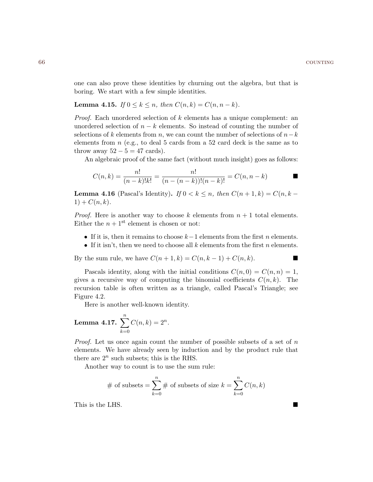one can also prove these identities by churning out the algebra, but that is boring. We start with a few simple identities.

**Lemma 4.15.** If  $0 \le k \le n$ , then  $C(n, k) = C(n, n - k)$ .

*Proof.* Each unordered selection of  $k$  elements has a unique complement: an unordered selection of  $n - k$  elements. So instead of counting the number of selections of k elements from n, we can count the number of selections of  $n-k$ elements from  $n$  (e.g., to deal 5 cards from a 52 card deck is the same as to throw away  $52 - 5 = 47$  cards).

An algebraic proof of the same fact (without much insight) goes as follows:

$$
C(n,k) = \frac{n!}{(n-k)!k!} = \frac{n!}{(n-(n-k))!(n-k)!} = C(n,n-k)
$$

**Lemma 4.16** (Pascal's Identity). If  $0 < k \leq n$ , then  $C(n+1, k) = C(n, k - 1)$  $1) + C(n, k).$ 

*Proof.* Here is another way to choose k elements from  $n + 1$  total elements. Either the  $n + 1$ <sup>st</sup> element is chosen or not:

- If it is, then it remains to choose  $k-1$  elements from the first n elements.
- If it isn't, then we need to choose all k elements from the first n elements.

By the sum rule, we have  $C(n + 1, k) = C(n, k - 1) + C(n, k)$ .

Pascals identity, along with the initial conditions  $C(n, 0) = C(n, n) = 1$ , gives a recursive way of computing the binomial coefficients  $C(n, k)$ . The recursion table is often written as a triangle, called Pascal's Triangle; see Figure 4.2.

Here is another well-known identity.

**Lemma 4.17.** 
$$
\sum_{k=0}^{n} C(n,k) = 2^{n}.
$$

*Proof.* Let us once again count the number of possible subsets of a set of  $n$ elements. We have already seen by induction and by the product rule that there are  $2^n$  such subsets; this is the RHS.

Another way to count is to use the sum rule:

# of subsets = 
$$
\sum_{k=0}^{n}
$$
 # of subsets of size  $k = \sum_{k=0}^{n} C(n, k)$ 

This is the LHS.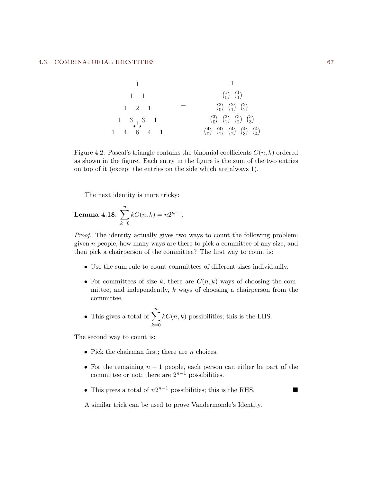1 1 1 1 2 1 1 3 3 1 1 4 6 4 1 + = 1 1 0 1 1 2 0 2 1 2 2 3 0 3 1 3 2 3 3 4 0 4 1 4 2 4 3 4 4 

Figure 4.2: Pascal's triangle contains the binomial coefficients  $C(n, k)$  ordered as shown in the figure. Each entry in the figure is the sum of the two entries on top of it (except the entries on the side which are always 1).

The next identity is more tricky:

**Lemma 4.18.** 
$$
\sum_{k=0}^{n} kC(n,k) = n2^{n-1}.
$$

Proof. The identity actually gives two ways to count the following problem: given  $n$  people, how many ways are there to pick a committee of any size, and then pick a chairperson of the committee? The first way to count is:

- Use the sum rule to count committees of different sizes individually.
- For committees of size k, there are  $C(n, k)$  ways of choosing the committee, and independently,  $k$  ways of choosing a chairperson from the committee.
- This gives a total of  $\sum_{n=1}^n$  $_{k=0}$  $kC(n, k)$  possibilities; this is the LHS.

The second way to count is:

- Pick the chairman first; there are  $n$  choices.
- For the remaining  $n-1$  people, each person can either be part of the committee or not; there are  $2^{n-1}$  possibilities.
- This gives a total of  $n2^{n-1}$  possibilities; this is the RHS.

A similar trick can be used to prove Vandermonde's Identity.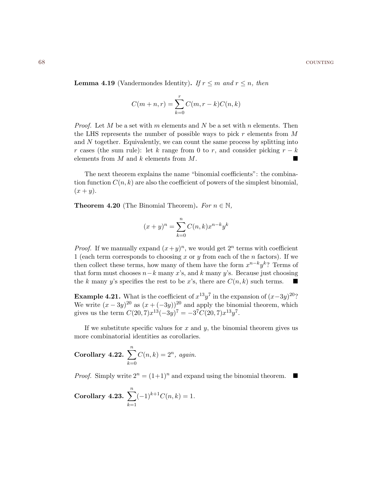**Lemma 4.19** (Vandermondes Identity). If  $r \leq m$  and  $r \leq n$ , then

$$
C(m + n, r) = \sum_{k=0}^{r} C(m, r - k)C(n, k)
$$

*Proof.* Let M be a set with m elements and N be a set with n elements. Then the LHS represents the number of possible ways to pick  $r$  elements from  $M$ and N together. Equivalently, we can count the same process by splitting into r cases (the sum rule): let k range from 0 to r, and consider picking  $r - k$ elements from  $M$  and  $k$  elements from  $M$ .

The next theorem explains the name "binomial coefficients": the combination function  $C(n, k)$  are also the coefficient of powers of the simplest binomial,  $(x + y)$ .

**Theorem 4.20** (The Binomial Theorem). For  $n \in \mathbb{N}$ ,

$$
(x+y)^n = \sum_{k=0}^{n} C(n,k)x^{n-k}y^k
$$

*Proof.* If we manually expand  $(x+y)^n$ , we would get  $2^n$  terms with coefficient 1 (each term corresponds to choosing x or y from each of the n factors). If we then collect these terms, how many of them have the form  $x^{n-k}y^k$ ? Terms of that form must chooses  $n-k$  many x's, and k many y's. Because just choosing the k many y's specifies the rest to be x's, there are  $C(n, k)$  such terms.

**Example 4.21.** What is the coefficient of  $x^{13}y^7$  in the expansion of  $(x-3y)^{20}$ ? We write  $(x-3y)^{20}$  as  $(x+(-3y))^{20}$  and apply the binomial theorem, which gives us the term  $C(20, 7)x^{13}(-3y)^7 = -3^7C(20, 7)x^{13}y^7$ .

If we substitute specific values for  $x$  and  $y$ , the binomial theorem gives us more combinatorial identities as corollaries.

Corollary 4.22.  $\sum_{n=1}^{\infty}$  $_{k=0}$  $C(n,k) = 2^n$ , again.

*Proof.* Simply write  $2^n = (1+1)^n$  and expand using the binomial theorem.  $\blacksquare$ 

Corollary 4.23.  $\sum_{n=1}^{\infty}$  $_{k=1}$  $(-1)^{k+1}C(n,k) = 1.$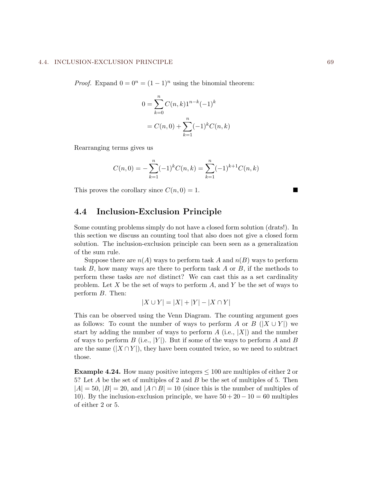#### 4.4. INCLUSION-EXCLUSION PRINCIPLE 69

*Proof.* Expand  $0 = 0^n = (1 - 1)^n$  using the binomial theorem:

$$
0 = \sum_{k=0}^{n} C(n,k)1^{n-k}(-1)^k
$$
  
=  $C(n,0) + \sum_{k=1}^{n} (-1)^k C(n,k)$ 

Rearranging terms gives us

$$
C(n,0) = -\sum_{k=1}^{n} (-1)^{k} C(n,k) = \sum_{k=1}^{n} (-1)^{k+1} C(n,k)
$$

This proves the corollary since  $C(n, 0) = 1$ .

## 4.4 Inclusion-Exclusion Principle

Some counting problems simply do not have a closed form solution (drats!). In this section we discuss an counting tool that also does not give a closed form solution. The inclusion-exclusion principle can been seen as a generalization of the sum rule.

Suppose there are  $n(A)$  ways to perform task A and  $n(B)$  ways to perform task  $B$ , how many ways are there to perform task  $A$  or  $B$ , if the methods to perform these tasks are not distinct? We can cast this as a set cardinality problem. Let  $X$  be the set of ways to perform  $A$ , and  $Y$  be the set of ways to perform B. Then:

$$
|X \cup Y| = |X| + |Y| - |X \cap Y|
$$

This can be observed using the Venn Diagram. The counting argument goes as follows: To count the number of ways to perform A or B ( $|X \cup Y|$ ) we start by adding the number of ways to perform  $A$  (i.e.,  $|X|$ ) and the number of ways to perform B (i.e.,  $|Y|$ ). But if some of the ways to perform A and B are the same  $(|X \cap Y|)$ , they have been counted twice, so we need to subtract those.

**Example 4.24.** How many positive integers  $\leq 100$  are multiples of either 2 or 5? Let A be the set of multiples of 2 and B be the set of multiples of 5. Then  $|A| = 50$ ,  $|B| = 20$ , and  $|A \cap B| = 10$  (since this is the number of multiples of 10). By the inclusion-exclusion principle, we have  $50 + 20 - 10 = 60$  multiples of either 2 or 5.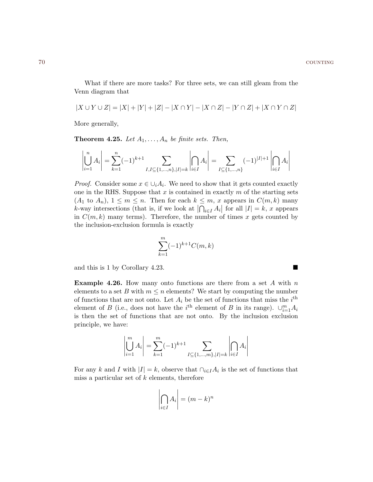What if there are more tasks? For three sets, we can still gleam from the Venn diagram that

$$
|X\cup Y\cup Z|=|X|+|Y|+|Z|-|X\cap Y|-|X\cap Z|-|Y\cap Z|+|X\cap Y\cap Z|
$$

More generally,

**Theorem 4.25.** Let  $A_1, \ldots, A_n$  be finite sets. Then,

$$
\left| \bigcup_{i=1}^{n} A_i \right| = \sum_{k=1}^{n} (-1)^{k+1} \sum_{I, I \subseteq \{1, \dots, n\}, |I| = k} \left| \bigcap_{i \in I} A_i \right| = \sum_{I \subseteq \{1, \dots, n\}} (-1)^{|I|+1} \left| \bigcap_{i \in I} A_i \right|
$$

*Proof.* Consider some  $x \in \bigcup_i A_i$ . We need to show that it gets counted exactly one in the RHS. Suppose that x is contained in exactly m of the starting sets  $(A_1 \text{ to } A_n), 1 \leq m \leq n.$  Then for each  $k \leq m$ , x appears in  $C(m, k)$  many k-way intersections (that is, if we look at  $\left| \bigcap_{i \in I} A_i \right|$  for all  $|I| = k$ , x appears in  $C(m, k)$  many terms). Therefore, the number of times x gets counted by the inclusion-exclusion formula is exactly

$$
\sum_{k=1}^{m} (-1)^{k+1} C(m,k)
$$

and this is 1 by Corollary 4.23.

**Example 4.26.** How many onto functions are there from a set A with n elements to a set B with  $m \leq n$  elements? We start by computing the number of functions that are not onto. Let  $A_i$  be the set of functions that miss the  $i^{\text{th}}$ element of B (i.e., does not have the  $i<sup>th</sup>$  element of B in its range).  $\bigcup_{i=1}^{m} A_i$ is then the set of functions that are not onto. By the inclusion exclusion principle, we have:

$$
\left| \bigcup_{i=1}^{m} A_i \right| = \sum_{k=1}^{m} (-1)^{k+1} \sum_{I \subseteq \{1, \dots, m\}, |I| = k} \left| \bigcap_{i \in I} A_i \right|
$$

For any k and I with  $|I| = k$ , observe that  $\bigcap_{i \in I} A_i$  is the set of functions that miss a particular set of  $k$  elements, therefore

$$
\left| \bigcap_{i \in I} A_i \right| = (m - k)^n
$$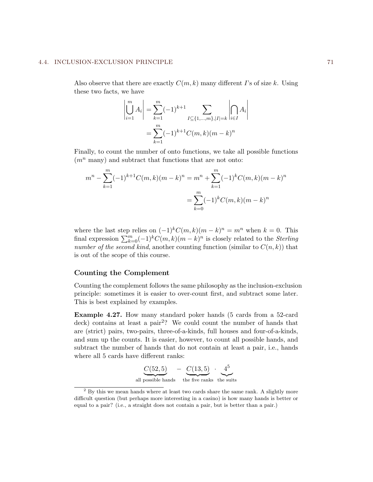#### 4.4. INCLUSION-EXCLUSION PRINCIPLE 71

Also observe that there are exactly  $C(m, k)$  many different I's of size k. Using these two facts, we have

$$
\left| \bigcup_{i=1}^{m} A_i \right| = \sum_{k=1}^{m} (-1)^{k+1} \sum_{I \subseteq \{1, \dots, m\}, |I| = k} \left| \bigcap_{i \in I} A_i \right|
$$

$$
= \sum_{k=1}^{m} (-1)^{k+1} C(m, k) (m - k)^n
$$

Finally, to count the number of onto functions, we take all possible functions  $(m<sup>n</sup>$  many) and subtract that functions that are not onto:

$$
m^{n} - \sum_{k=1}^{m} (-1)^{k+1} C(m,k)(m-k)^{n} = m^{n} + \sum_{k=1}^{m} (-1)^{k} C(m,k)(m-k)^{n}
$$

$$
= \sum_{k=0}^{m} (-1)^{k} C(m,k)(m-k)^{n}
$$

where the last step relies on  $(-1)^k C(m,k)(m-k)^n = m^n$  when  $k = 0$ . This final expression  $\sum_{k=0}^{m}(-1)^kC(m,k)(m-k)^n$  is closely related to the *Sterling* number of the second kind, another counting function (similar to  $C(n, k)$ ) that is out of the scope of this course.

#### Counting the Complement

Counting the complement follows the same philosophy as the inclusion-exclusion principle: sometimes it is easier to over-count first, and subtract some later. This is best explained by examples.

Example 4.27. How many standard poker hands (5 cards from a 52-card deck) contains at least a pair<sup>2</sup>? We could count the number of hands that are (strict) pairs, two-pairs, three-of-a-kinds, full houses and four-of-a-kinds, and sum up the counts. It is easier, however, to count all possible hands, and subtract the number of hands that do not contain at least a pair, i.e., hands where all 5 cards have different ranks:

$$
\underbrace{C(52,5)}_{\text{all possible hands}} - \underbrace{C(13,5)}_{\text{the five ranks}} \cdot \underbrace{4^5}_{\text{the suits}}
$$

<sup>&</sup>lt;sup>2</sup> By this we mean hands where at least two cards share the same rank. A slightly more difficult question (but perhaps more interesting in a casino) is how many hands is better or equal to a pair? (i.e., a straight does not contain a pair, but is better than a pair.)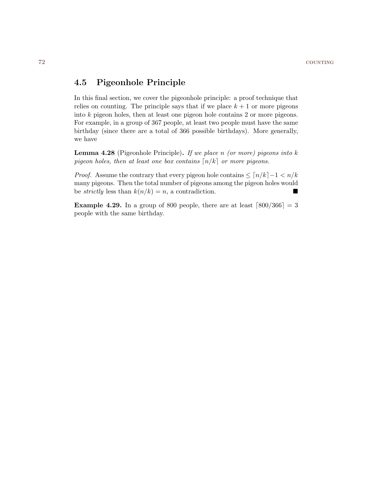## 4.5 Pigeonhole Principle

In this final section, we cover the pigeonhole principle: a proof technique that relies on counting. The principle says that if we place  $k + 1$  or more pigeons into k pigeon holes, then at least one pigeon hole contains 2 or more pigeons. For example, in a group of 367 people, at least two people must have the same birthday (since there are a total of 366 possible birthdays). More generally, we have

**Lemma 4.28** (Pigeonhole Principle). If we place n (or more) pigeons into  $k$ pigeon holes, then at least one box contains  $\lfloor n/k \rfloor$  or more pigeons.

*Proof.* Assume the contrary that every pigeon hole contains  $\leq \lfloor n/k \rfloor -1 < n/k$ many pigeons. Then the total number of pigeons among the pigeon holes would be strictly less than  $k(n/k) = n$ , a contradiction.

**Example 4.29.** In a group of 800 people, there are at least  $\lceil 800/366 \rceil = 3$ people with the same birthday.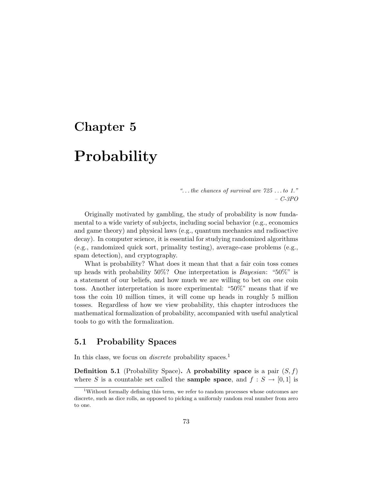## Chapter 5

# Probability

"... the chances of survival are  $725...$  to 1." – C-3PO

Originally motivated by gambling, the study of probability is now fundamental to a wide variety of subjects, including social behavior (e.g., economics and game theory) and physical laws (e.g., quantum mechanics and radioactive decay). In computer science, it is essential for studying randomized algorithms (e.g., randomized quick sort, primality testing), average-case problems (e.g., spam detection), and cryptography.

What is probability? What does it mean that that a fair coin toss comes up heads with probability 50%? One interpretation is Bayesian: "50%" is a statement of our beliefs, and how much we are willing to bet on one coin toss. Another interpretation is more experimental: "50%" means that if we toss the coin 10 million times, it will come up heads in roughly 5 million tosses. Regardless of how we view probability, this chapter introduces the mathematical formalization of probability, accompanied with useful analytical tools to go with the formalization.

## 5.1 Probability Spaces

In this class, we focus on *discrete* probability spaces.<sup>1</sup>

**Definition 5.1** (Probability Space). A probability space is a pair  $(S, f)$ where S is a countable set called the **sample space**, and  $f : S \to [0, 1]$  is

<sup>&</sup>lt;sup>1</sup>Without formally defining this term, we refer to random processes whose outcomes are discrete, such as dice rolls, as opposed to picking a uniformly random real number from zero to one.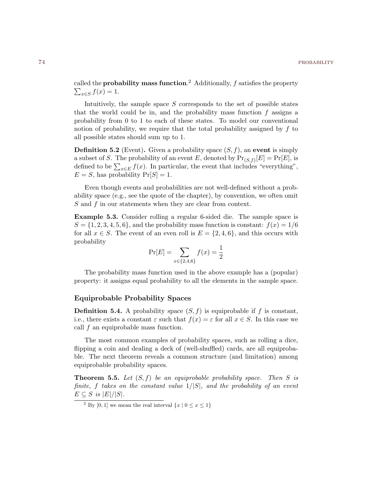called the **probability mass function.**<sup>2</sup> Additionally,  $f$  satisfies the property  $\sum_{x \in S} f(x) = 1.$ 

Intuitively, the sample space  $S$  corresponds to the set of possible states that the world could be in, and the probability mass function  $f$  assigns a probability from 0 to 1 to each of these states. To model our conventional notion of probability, we require that the total probability assigned by  $f$  to all possible states should sum up to 1.

**Definition 5.2** (Event). Given a probability space  $(S, f)$ , an event is simply a subset of S. The probability of an event E, denoted by  $Pr_{(S,f)}[E] = Pr[E]$ , is defined to be  $\sum_{x \in E} f(x)$ . In particular, the event that includes "everything",  $E = S$ , has probability  $Pr[S] = 1$ .

Even though events and probabilities are not well-defined without a probability space (e.g., see the quote of the chapter), by convention, we often omit S and f in our statements when they are clear from context.

Example 5.3. Consider rolling a regular 6-sided die. The sample space is  $S = \{1, 2, 3, 4, 5, 6\}$ , and the probability mass function is constant:  $f(x) = 1/6$ for all  $x \in S$ . The event of an even roll is  $E = \{2, 4, 6\}$ , and this occurs with probability

$$
\Pr[E] = \sum_{x \in \{2, 4, 6\}} f(x) = \frac{1}{2}
$$

The probability mass function used in the above example has a (popular) property: it assigns equal probability to all the elements in the sample space.

#### Equiprobable Probability Spaces

**Definition 5.4.** A probability space  $(S, f)$  is equiprobable if f is constant, i.e., there exists a constant  $\varepsilon$  such that  $f(x) = \varepsilon$  for all  $x \in S$ . In this case we call f an equiprobable mass function.

The most common examples of probability spaces, such as rolling a dice, flipping a coin and dealing a deck of (well-shuffled) cards, are all equiprobable. The next theorem reveals a common structure (and limitation) among equiprobable probability spaces.

**Theorem 5.5.** Let  $(S, f)$  be an equiprobable probability space. Then S is finite, f takes on the constant value  $1/|S|$ , and the probability of an event  $E \subseteq S$  is  $|E|/|S|$ .

 $\frac{2}{x^2}$  By [0, 1] we mean the real interval  $\{x \mid 0 \le x \le 1\}$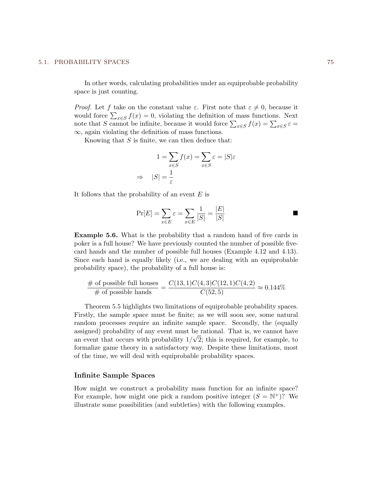#### 5.1. PROBABILITY SPACES 75

In other words, calculating probabilities under an equiprobable probability space is just counting.

*Proof.* Let f take on the constant value  $\varepsilon$ . First note that  $\varepsilon \neq 0$ , because it would force  $\sum_{x \in S} f(x) = 0$ , violating the definition of mass functions. Next note that S cannot be infinite, because it would force  $\sum_{x \in S} f(x) = \sum_{x \in S} \varepsilon =$  $\infty$ , again violating the definition of mass functions.

Knowing that  $S$  is finite, we can then deduce that:

$$
1 = \sum_{x \in S} f(x) = \sum_{x \in S} \varepsilon = |S|\varepsilon
$$
  
\n
$$
\Rightarrow |S| = \frac{1}{\varepsilon}
$$

It follows that the probability of an event  $E$  is

$$
\Pr[E] = \sum_{x \in E} \varepsilon = \sum_{x \in E} \frac{1}{|S|} = \frac{|E|}{|S|}
$$

Example 5.6. What is the probability that a random hand of five cards in poker is a full house? We have previously counted the number of possible fivecard hands and the number of possible full houses (Example 4.12 and 4.13). Since each hand is equally likely (i.e., we are dealing with an equiprobable probability space), the probability of a full house is:

$$
\frac{\text{\# of possible full houses}}{\text{\# of possible hands}} = \frac{C(13,1)C(4,3)C(12,1)C(4,2)}{C(52,5)} \approx 0.144\%
$$

Theorem 5.5 highlights two limitations of equiprobable probability spaces. Firstly, the sample space must be finite; as we will soon see, some natural random processes require an infinite sample space. Secondly, the (equally assigned) probability of any event must be rational. That is, we cannot have an event that occurs with probability  $1/\sqrt{2}$ ; this is required, for example, to formalize game theory in a satisfactory way. Despite these limitations, most of the time, we will deal with equiprobable probability spaces.

#### Infinite Sample Spaces

How might we construct a probability mass function for an infinite space? For example, how might one pick a random positive integer  $(S = \mathbb{N}^+)$ ? We illustrate some possibilities (and subtleties) with the following examples.

п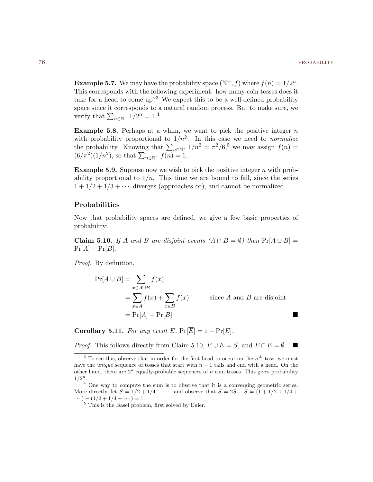**Example 5.7.** We may have the probability space  $(\mathbb{N}^+, f)$  where  $f(n) = 1/2^n$ . This corresponds with the following experiment: how many coin tosses does it take for a head to come  $up$ <sup>3</sup>. We expect this to be a well-defined probability space since it corresponds to a natural random process. But to make sure, we verify that  $\sum_{n \in \mathbb{N}^+} 1/2^n = 1.^4$ 

**Example 5.8.** Perhaps at a whim, we want to pick the positive integer  $n$ with probability proportional to  $1/n^2$ . In this case we need to *normalize* the probability. Knowing that  $\sum_{n\in\mathbb{N}^+} 1/n^2 = \pi^2/6$ ,<sup>5</sup> we may assign  $f(n)$  $(6/\pi^2)(1/n^2)$ , so that  $\sum_{n\in\mathbb{N}^+} f(n) = 1$ .

**Example 5.9.** Suppose now we wish to pick the positive integer  $n$  with probability proportional to  $1/n$ . This time we are bound to fail, since the series  $1 + 1/2 + 1/3 + \cdots$  diverges (approaches  $\infty$ ), and cannot be normalized.

#### Probabilities

Now that probability spaces are defined, we give a few basic properties of probability:

**Claim 5.10.** If A and B are disjoint events  $(A \cap B = \emptyset)$  then  $Pr[A \cup B] =$  $Pr[A] + Pr[B]$ .

Proof. By definition,

$$
Pr[A \cup B] = \sum_{x \in A \cup B} f(x)
$$
  
= 
$$
\sum_{x \in A} f(x) + \sum_{x \in B} f(x)
$$
 since *A* and *B* are disjoint  
= 
$$
Pr[A] + Pr[B]
$$

Corollary 5.11. For any event E,  $Pr[\overline{E}] = 1 - Pr[E]$ .

*Proof.* This follows directly from Claim 5.10,  $\overline{E} \cup E = S$ , and  $\overline{E} \cap E = \emptyset$ . ■

<sup>&</sup>lt;sup>3</sup> To see this, observe that in order for the first head to occur on the  $n<sup>th</sup>$  toss, we must have the *unique* sequence of tosses that start with  $n - 1$  tails and end with a head. On the other hand, there are  $2^n$  equally-probable sequences of n coin tosses. This gives probability  $1/2^n$ .

<sup>&</sup>lt;sup>4</sup> One way to compute the sum is to observe that it is a converging geometric series. More directly, let  $S = 1/2 + 1/4 + \cdots$ , and observe that  $S = 2S - S = (1 + 1/2 + 1/4 + \cdots)$  $\cdots$ ) –  $(1/2 + 1/4 + \cdots) = 1.$ 

 $^5$  This is the Basel problem, first solved by Euler.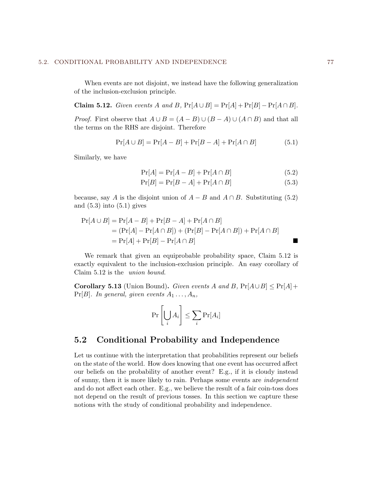#### 5.2. CONDITIONAL PROBABILITY AND INDEPENDENCE 77

When events are not disjoint, we instead have the following generalization of the inclusion-exclusion principle.

Claim 5.12. Given events A and B,  $Pr[A \cup B] = Pr[A] + Pr[B] - Pr[A \cap B]$ .

*Proof.* First observe that  $A \cup B = (A - B) \cup (B - A) \cup (A \cap B)$  and that all the terms on the RHS are disjoint. Therefore

$$
Pr[A \cup B] = Pr[A - B] + Pr[B - A] + Pr[A \cap B]
$$
 (5.1)

Similarly, we have

$$
\Pr[A] = \Pr[A - B] + \Pr[A \cap B] \tag{5.2}
$$

$$
\Pr[B] = \Pr[B - A] + \Pr[A \cap B] \tag{5.3}
$$

because, say A is the disjoint union of  $A - B$  and  $A \cap B$ . Substituting (5.2) and  $(5.3)$  into  $(5.1)$  gives

$$
Pr[A \cup B] = Pr[A - B] + Pr[B - A] + Pr[A \cap B]
$$
  
= 
$$
(Pr[A] - Pr[A \cap B]) + (Pr[B] - Pr[A \cap B]) + Pr[A \cap B]
$$
  
= 
$$
Pr[A] + Pr[B] - Pr[A \cap B]
$$

We remark that given an equiprobable probability space, Claim 5.12 is exactly equivalent to the inclusion-exclusion principle. An easy corollary of Claim 5.12 is the union bound.

**Corollary 5.13** (Union Bound). Given events A and B,  $Pr[A \cup B] \leq Pr[A] +$  $Pr[B]$ . In general, given events  $A_1 \ldots, A_n$ ,

$$
\Pr\left[\bigcup_i A_i\right] \leq \sum_i \Pr[A_i]
$$

## 5.2 Conditional Probability and Independence

Let us continue with the interpretation that probabilities represent our beliefs on the state of the world. How does knowing that one event has occurred affect our beliefs on the probability of another event? E.g., if it is cloudy instead of sunny, then it is more likely to rain. Perhaps some events are independent and do not affect each other. E.g., we believe the result of a fair coin-toss does not depend on the result of previous tosses. In this section we capture these notions with the study of conditional probability and independence.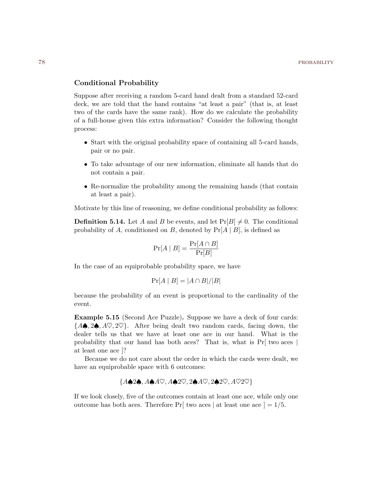#### Conditional Probability

Suppose after receiving a random 5-card hand dealt from a standard 52-card deck, we are told that the hand contains "at least a pair" (that is, at least two of the cards have the same rank). How do we calculate the probability of a full-house given this extra information? Consider the following thought process:

- Start with the original probability space of containing all 5-card hands, pair or no pair.
- To take advantage of our new information, eliminate all hands that do not contain a pair.
- Re-normalize the probability among the remaining hands (that contain at least a pair).

Motivate by this line of reasoning, we define conditional probability as follows:

**Definition 5.14.** Let A and B be events, and let  $Pr[B] \neq 0$ . The conditional probability of A, conditioned on B, denoted by  $Pr[A \mid B]$ , is defined as

$$
\Pr[A \mid B] = \frac{\Pr[A \cap B]}{\Pr[B]}
$$

In the case of an equiprobable probability space, we have

$$
Pr[A | B] = |A \cap B|/|B|
$$

because the probability of an event is proportional to the cardinality of the event.

Example 5.15 (Second Ace Puzzle). Suppose we have a deck of four cards:  ${A\spadesuit, A\heartsuit, 2\heartsuit}.$  After being dealt two random cards, facing down, the dealer tells us that we have at least one ace in our hand. What is the probability that our hand has both aces? That is, what is  $Pr[$  two aces at least one ace ]?

Because we do not care about the order in which the cards were dealt, we have an equiprobable space with 6 outcomes:

$$
{A\spadesuit 2\spadesuit, A\spadesuit A\heartsuit, A\spadesuit 2\heartsuit, 2\spadesuit A\heartsuit, A\heartsuit 2\heartsuit}
$$

If we look closely, five of the outcomes contain at least one ace, while only one outcome has both aces. Therefore  $Pr[$  two aces | at least one ace  $] = 1/5$ .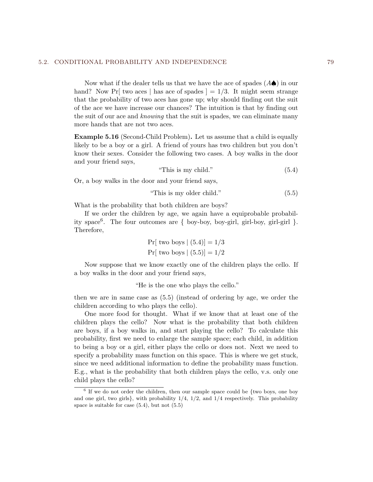Now what if the dealer tells us that we have the ace of spades  $(A\spadesuit)$  in our hand? Now Pr two aces has ace of spades  $= 1/3$ . It might seem strange that the probability of two aces has gone up; why should finding out the suit of the ace we have increase our chances? The intuition is that by finding out the suit of our ace and knowing that the suit is spades, we can eliminate many more hands that are not two aces.

Example 5.16 (Second-Child Problem). Let us assume that a child is equally likely to be a boy or a girl. A friend of yours has two children but you don't know their sexes. Consider the following two cases. A boy walks in the door and your friend says,

$$
"This is my child." \t\t(5.4)
$$

Or, a boy walks in the door and your friend says,

"This is my older child."  $(5.5)$ 

What is the probability that both children are boys?

If we order the children by age, we again have a equiprobable probability space<sup>6</sup>. The four outcomes are { boy-boy, boy-girl, girl-boy, girl-girl }. Therefore,

Pr[ two boys | (5.4)] = 
$$
1/3
$$
  
Pr[ two boys | (5.5)] =  $1/2$ 

Now suppose that we know exactly one of the children plays the cello. If a boy walks in the door and your friend says,

"He is the one who plays the cello."

then we are in same case as (5.5) (instead of ordering by age, we order the children according to who plays the cello).

One more food for thought. What if we know that at least one of the children plays the cello? Now what is the probability that both children are boys, if a boy walks in, and start playing the cello? To calculate this probability, first we need to enlarge the sample space; each child, in addition to being a boy or a girl, either plays the cello or does not. Next we need to specify a probability mass function on this space. This is where we get stuck, since we need additional information to define the probability mass function. E.g., what is the probability that both children plays the cello, v.s. only one child plays the cello?

 $6$  If we do not order the children, then our sample space could be {two boys, one boy and one girl, two girls}, with probability  $1/4$ ,  $1/2$ , and  $1/4$  respectively. This probability space is suitable for case  $(5.4)$ , but not  $(5.5)$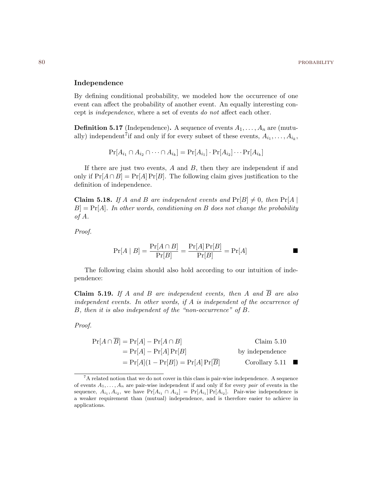#### Independence

By defining conditional probability, we modeled how the occurrence of one event can affect the probability of another event. An equally interesting concept is independence, where a set of events do not affect each other.

**Definition 5.17** (Independence). A sequence of events  $A_1, \ldots, A_n$  are (mutually) independent<sup>7</sup>if and only if for every subset of these events,  $A_{i_1}, \ldots, A_{i_k}$ ,

$$
\Pr[A_{i_1} \cap A_{i_2} \cap \dots \cap A_{i_k}] = \Pr[A_{i_1}] \cdot \Pr[A_{i_2}] \cdots \Pr[A_{i_k}]
$$

If there are just two events,  $A$  and  $B$ , then they are independent if and only if  $Pr[A \cap B] = Pr[A] Pr[B]$ . The following claim gives justification to the definition of independence.

**Claim 5.18.** If A and B are independent events and  $Pr[B] \neq 0$ , then  $Pr[A]$  $B$  = Pr[A]. In other words, conditioning on B does not change the probability of A.

Proof.

$$
\Pr[A \mid B] = \frac{\Pr[A \cap B]}{\Pr[B]} = \frac{\Pr[A] \Pr[B]}{\Pr[B]} = \Pr[A]
$$

The following claim should also hold according to our intuition of independence:

**Claim 5.19.** If A and B are independent events, then A and  $\overline{B}$  are also independent events. In other words, if A is independent of the occurrence of B, then it is also independent of the "non-occurrence" of B.

Proof.

$$
Pr[A \cap \overline{B}] = Pr[A] - Pr[A \cap B]
$$
Claim 5.10  
= Pr[A] - Pr[A] Pr[B] by independence  
= Pr[A](1 - Pr[B]) = Pr[A] Pr[\overline{B}]Corollary 5.11

<sup>7</sup>A related notion that we do not cover in this class is pair-wise independence. A sequence of events  $A_1, \ldots, A_n$  are pair-wise independent if and only if for every pair of events in the sequence,  $A_{i_1}, A_{i_2}$ , we have  $Pr[A_{i_1} \cap A_{i_2}] = Pr[A_{i_1}] Pr[A_{i_2}]$ . Pair-wise independence is a weaker requirement than (mutual) independence, and is therefore easier to achieve in applications.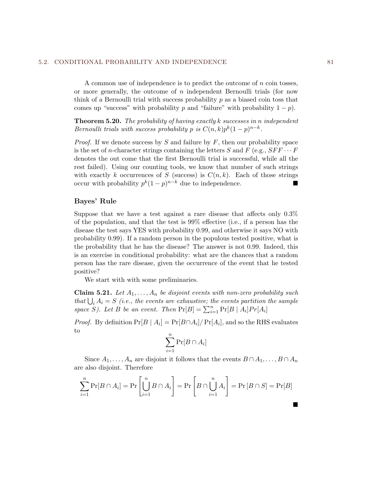A common use of independence is to predict the outcome of  $n$  coin tosses, or more generally, the outcome of n independent Bernoulli trials (for now think of a Bernoulli trial with success probability  $p$  as a biased coin toss that comes up "success" with probability p and "failure" with probability  $1 - p$ ).

Theorem 5.20. The probability of having exactly k successes in n independent Bernoulli trials with success probability p is  $C(n,k)p^{k}(1-p)^{n-k}$ .

*Proof.* If we denote success by S and failure by F, then our probability space is the set of *n*-character strings containing the letters S and F (e.g.,  $SFF \cdots F$ ) denotes the out come that the first Bernoulli trial is successful, while all the rest failed). Using our counting tools, we know that number of such strings with exactly k occurrences of S (success) is  $C(n, k)$ . Each of those strings occur with probability  $p^k(1-p)^{n-k}$  due to independence. ■

#### Bayes' Rule

Suppose that we have a test against a rare disease that affects only 0.3% of the population, and that the test is 99% effective (i.e., if a person has the disease the test says YES with probability 0.99, and otherwise it says NO with probability 0.99). If a random person in the populous tested positive, what is the probability that he has the disease? The answer is not 0.99. Indeed, this is an exercise in conditional probability: what are the chances that a random person has the rare disease, given the occurrence of the event that he tested positive?

We start with with some preliminaries.

**Claim 5.21.** Let  $A_1, \ldots, A_n$  be disjoint events with non-zero probability such that  $\bigcup_i A_i = S$  (i.e., the events are exhaustive; the events partition the sample space S). Let B be an event. Then  $Pr[B] = \sum_{i=1}^{n} Pr[B | A_i] Pr[A_i]$ 

*Proof.* By definition  $Pr[B | A_i] = Pr[B \cap A_i] / Pr[A_i]$ , and so the RHS evaluates to

$$
\sum_{i=1}^{n} \Pr[B \cap A_i]
$$

Since  $A_1, \ldots, A_n$  are disjoint it follows that the events  $B \cap A_1, \ldots, B \cap A_n$ are also disjoint. Therefore

$$
\sum_{i=1}^{n} \Pr[B \cap A_i] = \Pr\left[\bigcup_{i=1}^{n} B \cap A_i\right] = \Pr\left[B \cap \bigcup_{i=1}^{n} A_i\right] = \Pr\left[B \cap S\right] = \Pr[B]
$$

▅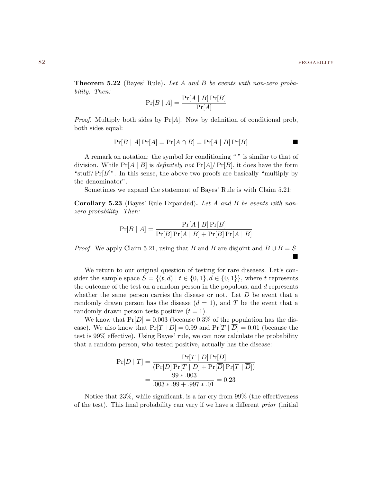**Theorem 5.22** (Bayes' Rule). Let A and B be events with non-zero probability. Then:

$$
\Pr[B \mid A] = \frac{\Pr[A \mid B] \Pr[B]}{\Pr[A]}
$$

*Proof.* Multiply both sides by  $Pr[A]$ . Now by definition of conditional prob, both sides equal:

$$
Pr[B \mid A] Pr[A] = Pr[A \cap B] = Pr[A \mid B] Pr[B]
$$

A remark on notation: the symbol for conditioning "|" is similar to that of division. While  $Pr[A \mid B]$  is *definitely not*  $Pr[A] / Pr[B]$ , it does have the form "stuff/ $\Pr[B]$ ". In this sense, the above two proofs are basically "multiply by the denominator".

Sometimes we expand the statement of Bayes' Rule is with Claim 5.21:

Corollary 5.23 (Bayes' Rule Expanded). Let A and B be events with nonzero probability. Then:

$$
\Pr[B \mid A] = \frac{\Pr[A \mid B] \Pr[B]}{\Pr[B] \Pr[A \mid B] + \Pr[\overline{B}] \Pr[A \mid \overline{B}]}
$$

*Proof.* We apply Claim 5.21, using that B and  $\overline{B}$  are disjoint and  $B \cup \overline{B} = S$ . п

We return to our original question of testing for rare diseases. Let's consider the sample space  $S = \{(t, d) | t \in \{0, 1\}, d \in \{0, 1\}\}\)$ , where t represents the outcome of the test on a random person in the populous, and d represents whether the same person carries the disease or not. Let  $D$  be event that a randomly drawn person has the disease  $(d = 1)$ , and T be the event that a randomly drawn person tests positive  $(t = 1)$ .

We know that  $Pr[D] = 0.003$  (because 0.3% of the population has the disease). We also know that  $Pr[T | D] = 0.99$  and  $Pr[T | \overline{D}] = 0.01$  (because the test is 99% effective). Using Bayes' rule, we can now calculate the probability that a random person, who tested positive, actually has the disease:

$$
Pr[D | T] = \frac{Pr[T | D] Pr[D]}{(Pr[D] Pr[T | D] + Pr[\overline{D}] Pr[T | \overline{D}])}
$$
  
= 
$$
\frac{.99 * .003}{.003 * .99 + .997 * .01} = 0.23
$$

Notice that 23%, while significant, is a far cry from 99% (the effectiveness of the test). This final probability can vary if we have a different prior (initial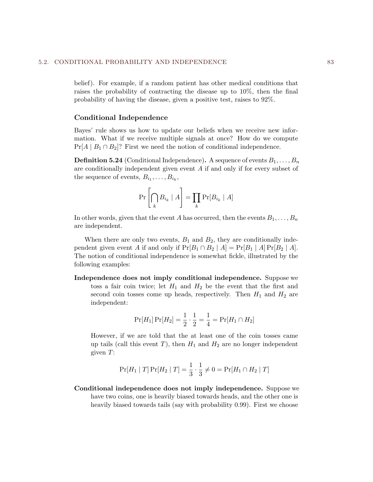belief). For example, if a random patient has other medical conditions that raises the probability of contracting the disease up to 10%, then the final probability of having the disease, given a positive test, raises to 92%.

#### Conditional Independence

Bayes' rule shows us how to update our beliefs when we receive new information. What if we receive multiple signals at once? How do we compute  $Pr[A \mid B_1 \cap B_2]$ ? First we need the notion of conditional independence.

**Definition 5.24** (Conditional Independence). A sequence of events  $B_1, \ldots, B_n$ are conditionally independent given event A if and only if for every subset of the sequence of events,  $B_{i_1}, \ldots, B_{i_k}$ ,

$$
\Pr\left[\bigcap_k B_{i_k} \mid A\right] = \prod_k \Pr[B_{i_k} \mid A]
$$

In other words, given that the event A has occurred, then the events  $B_1, \ldots, B_n$ are independent.

When there are only two events,  $B_1$  and  $B_2$ , they are conditionally independent given event A if and only if  $Pr[B_1 \cap B_2 | A] = Pr[B_1 | A] Pr[B_2 | A]$ . The notion of conditional independence is somewhat fickle, illustrated by the following examples:

Independence does not imply conditional independence. Suppose we toss a fair coin twice; let  $H_1$  and  $H_2$  be the event that the first and second coin tosses come up heads, respectively. Then  $H_1$  and  $H_2$  are independent:

$$
\Pr[H_1]\Pr[H_2] = \frac{1}{2} \cdot \frac{1}{2} = \frac{1}{4} = \Pr[H_1 \cap H_2]
$$

However, if we are told that the at least one of the coin tosses came up tails (call this event T), then  $H_1$  and  $H_2$  are no longer independent given  $T$ :

$$
\Pr[H_1 | T] \Pr[H_2 | T] = \frac{1}{3} \cdot \frac{1}{3} \neq 0 = \Pr[H_1 \cap H_2 | T]
$$

Conditional independence does not imply independence. Suppose we have two coins, one is heavily biased towards heads, and the other one is heavily biased towards tails (say with probability 0.99). First we choose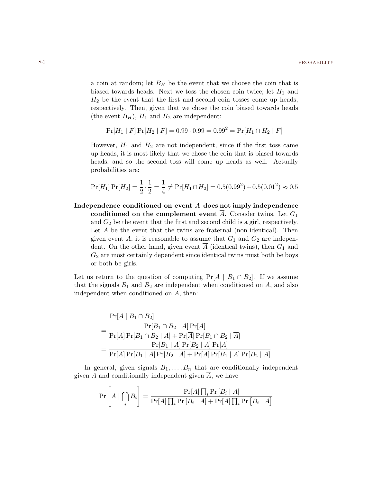a coin at random; let  $B_H$  be the event that we choose the coin that is biased towards heads. Next we toss the chosen coin twice; let  $H_1$  and  $H_2$  be the event that the first and second coin tosses come up heads, respectively. Then, given that we chose the coin biased towards heads (the event  $B_H$ ),  $H_1$  and  $H_2$  are independent:

$$
Pr[H_1 | F] Pr[H_2 | F] = 0.99 \cdot 0.99 = 0.99^2 = Pr[H_1 \cap H_2 | F]
$$

However,  $H_1$  and  $H_2$  are not independent, since if the first toss came up heads, it is most likely that we chose the coin that is biased towards heads, and so the second toss will come up heads as well. Actually probabilities are:

$$
\Pr[H_1]\Pr[H_2] = \frac{1}{2} \cdot \frac{1}{2} = \frac{1}{4} \neq \Pr[H_1 \cap H_2] = 0.5(0.99^2) + 0.5(0.01^2) \approx 0.5
$$

Independence conditioned on event  $A$  does not imply independence conditioned on the complement event  $\overline{A}$ . Consider twins. Let  $G_1$ and  $G_2$  be the event that the first and second child is a girl, respectively. Let A be the event that the twins are fraternal (non-identical). Then given event A, it is reasonable to assume that  $G_1$  and  $G_2$  are independent. On the other hand, given event  $A$  (identical twins), then  $G_1$  and  $G<sub>2</sub>$  are most certainly dependent since identical twins must both be boys or both be girls.

Let us return to the question of computing  $Pr[A \mid B_1 \cap B_2]$ . If we assume that the signals  $B_1$  and  $B_2$  are independent when conditioned on  $A$ , and also independent when conditioned on A, then:

$$
\Pr[A \mid B_1 \cap B_2] \n= \frac{\Pr[B_1 \cap B_2 \mid A] \Pr[A]}{\Pr[A] \Pr[B_1 \cap B_2 \mid A] + \Pr[\overline{A}] \Pr[B_1 \cap B_2 \mid \overline{A}]} \n= \frac{\Pr[B_1 \mid A] \Pr[B_2 \mid A] \Pr[A]}{\Pr[A] \Pr[B_1 \mid A] \Pr[B_2 \mid A] + \Pr[\overline{A}] \Pr[B_1 \mid \overline{A}] \Pr[B_2 \mid \overline{A}]} \n\tag{2.14}
$$

In general, given signals  $B_1, \ldots, B_n$  that are conditionally independent given A and conditionally independent given  $\overline{A}$ , we have

$$
\Pr\left[A \mid \bigcap_{i} B_{i}\right] = \frac{\Pr[A] \prod_{i} \Pr[B_{i} \mid A]}{\Pr[A] \prod_{i} \Pr[B_{i} \mid A] + \Pr[\overline{A}] \prod_{i} \Pr[B_{i} \mid \overline{A}]}
$$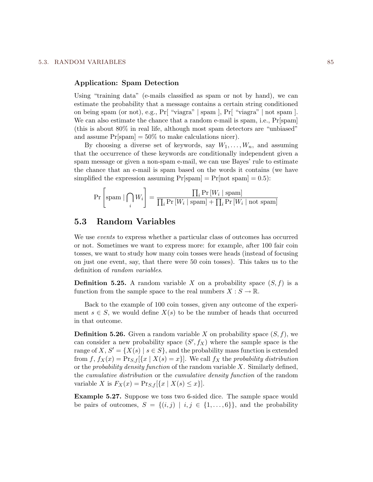#### 5.3. RANDOM VARIABLES 85

#### Application: Spam Detection

Using "training data" (e-mails classified as spam or not by hand), we can estimate the probability that a message contains a certain string conditioned on being spam (or not), e.g., Pr[ "viagra" | spam ], Pr[ "viagra" | not spam ]. We can also estimate the chance that a random e-mail is spam, i.e.,  $Pr[spam]$ (this is about 80% in real life, although most spam detectors are "unbiased" and assume  $Pr[spam] = 50\%$  to make calculations nicer).

By choosing a diverse set of keywords, say  $W_1, \ldots, W_n$ , and assuming that the occurrence of these keywords are conditionally independent given a spam message or given a non-spam e-mail, we can use Bayes' rule to estimate the chance that an e-mail is spam based on the words it contains (we have simplified the expression assuming  $Pr[spam] = Pr[not span] = 0.5$ :

$$
\Pr\left[\text{spam} \mid \bigcap_{i} W_{i}\right] = \frac{\prod_{i} \Pr\left[W_{i} \mid \text{spam}\right]}{\prod_{i} \Pr\left[W_{i} \mid \text{spam}\right] + \prod_{i} \Pr\left[W_{i} \mid \text{not spam}\right]}
$$

## 5.3 Random Variables

We use *events* to express whether a particular class of outcomes has occurred or not. Sometimes we want to express more: for example, after 100 fair coin tosses, we want to study how many coin tosses were heads (instead of focusing on just one event, say, that there were 50 coin tosses). This takes us to the definition of random variables.

**Definition 5.25.** A random variable X on a probability space  $(S, f)$  is a function from the sample space to the real numbers  $X : S \to \mathbb{R}$ .

Back to the example of 100 coin tosses, given any outcome of the experiment  $s \in S$ , we would define  $X(s)$  to be the number of heads that occurred in that outcome.

**Definition 5.26.** Given a random variable X on probability space  $(S, f)$ , we can consider a new probability space  $(S', f_X)$  where the sample space is the range of X,  $S' = \{X(s) \mid s \in S\}$ , and the probability mass function is extended from f,  $f_X(x) = \Pr_{S,f}[\{x \mid X(s) = x\}].$  We call  $f_X$  the probability distribution or the *probability density function* of the random variable  $X$ . Similarly defined, the cumulative distribution or the cumulative density function of the random variable X is  $F_X(x) = \Pr_{S,f}[\{x \mid X(s) \leq x\}].$ 

Example 5.27. Suppose we toss two 6-sided dice. The sample space would be pairs of outcomes,  $S = \{(i, j) | i, j \in \{1, ..., 6\}\}\$ , and the probability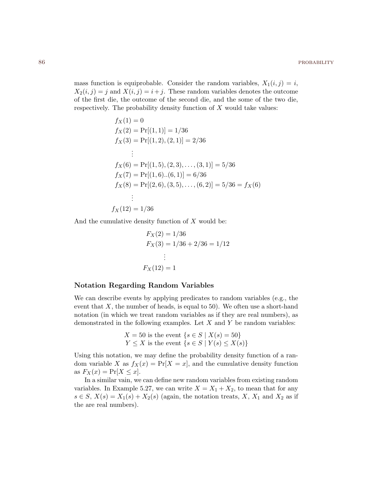mass function is equiprobable. Consider the random variables,  $X_1(i, j) = i$ ,  $X_2(i, j) = j$  and  $X(i, j) = i + j$ . These random variables denotes the outcome of the first die, the outcome of the second die, and the some of the two die, respectively. The probability density function of  $X$  would take values:

$$
f_X(1) = 0
$$
  
\n
$$
f_X(2) = \Pr[(1, 1)] = 1/36
$$
  
\n
$$
f_X(3) = \Pr[(1, 2), (2, 1)] = 2/36
$$
  
\n
$$
\vdots
$$
  
\n
$$
f_X(6) = \Pr[(1, 5), (2, 3), \dots, (3, 1)] = 5/36
$$
  
\n
$$
f_X(7) = \Pr[(1, 6), (6, 1)] = 6/36
$$
  
\n
$$
f_X(8) = \Pr[(2, 6), (3, 5), \dots, (6, 2)] = 5/36 = f_X(6)
$$
  
\n
$$
\vdots
$$
  
\n
$$
f_X(12) = 1/36
$$

And the cumulative density function of  $X$  would be:

$$
F_X(2) = 1/36
$$
  
\n
$$
F_X(3) = 1/36 + 2/36 = 1/12
$$
  
\n
$$
\vdots
$$
  
\n
$$
F_X(12) = 1
$$

#### Notation Regarding Random Variables

We can describe events by applying predicates to random variables (e.g., the event that  $X$ , the number of heads, is equal to 50). We often use a short-hand notation (in which we treat random variables as if they are real numbers), as demonstrated in the following examples. Let  $X$  and  $Y$  be random variables:

$$
X = 50
$$
 is the event  $\{s \in S \mid X(s) = 50\}$   

$$
Y \le X
$$
 is the event  $\{s \in S \mid Y(s) \le X(s)\}$ 

Using this notation, we may define the probability density function of a random variable X as  $f_X(x) = Pr[X = x]$ , and the cumulative density function as  $F_X(x) = \Pr[X \leq x]$ .

In a similar vain, we can define new random variables from existing random variables. In Example 5.27, we can write  $X = X_1 + X_2$ , to mean that for any  $s \in S$ ,  $X(s) = X_1(s) + X_2(s)$  (again, the notation treats, X, X<sub>1</sub> and X<sub>2</sub> as if the are real numbers).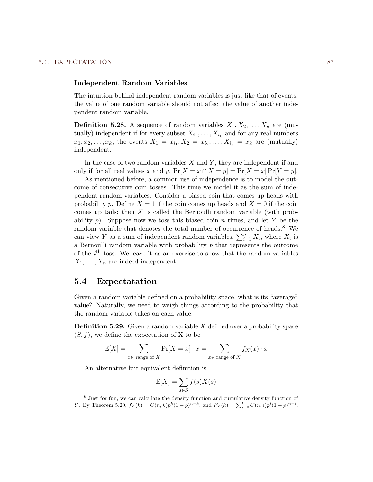#### 5.4. EXPECTATATION 87

#### Independent Random Variables

The intuition behind independent random variables is just like that of events: the value of one random variable should not affect the value of another independent random variable.

**Definition 5.28.** A sequence of random variables  $X_1, X_2, \ldots, X_n$  are (mutually) independent if for every subset  $X_{i_1}, \ldots, X_{i_k}$  and for any real numbers  $x_1, x_2, \ldots, x_k$ , the events  $X_1 = x_{i_1}, X_2 = x_{i_2}, \ldots, X_{i_k} = x_k$  are (mutually) independent.

In the case of two random variables  $X$  and  $Y$ , they are independent if and only if for all real values x and y,  $Pr[X = x \cap X = y] = Pr[X = x] Pr[Y = y]$ .

As mentioned before, a common use of independence is to model the outcome of consecutive coin tosses. This time we model it as the sum of independent random variables. Consider a biased coin that comes up heads with probability p. Define  $X = 1$  if the coin comes up heads and  $X = 0$  if the coin comes up tails; then  $X$  is called the Bernoulli random variable (with probability  $p$ ). Suppose now we toss this biased coin  $n$  times, and let  $Y$  be the random variable that denotes the total number of occurrence of heads.<sup>8</sup> We can view Y as a sum of independent random variables,  $\sum_{i=1}^{n} X_i$ , where  $X_i$  is a Bernoulli random variable with probability  $p$  that represents the outcome of the  $i<sup>th</sup>$  toss. We leave it as an exercise to show that the random variables  $X_1, \ldots, X_n$  are indeed independent.

## 5.4 Expectatation

Given a random variable defined on a probability space, what is its "average" value? Naturally, we need to weigh things according to the probability that the random variable takes on each value.

**Definition 5.29.** Given a random variable X defined over a probability space  $(S, f)$ , we define the expectation of X to be

$$
\mathbb{E}[X] = \sum_{x \in \text{ range of } X} \Pr[X = x] \cdot x = \sum_{x \in \text{ range of } X} f_X(x) \cdot x
$$

An alternative but equivalent definition is

$$
\mathbb{E}[X] = \sum_{s \in S} f(s)X(s)
$$

<sup>&</sup>lt;sup>8</sup> Just for fun, we can calculate the density function and cumulative density function of Y. By Theorem 5.20,  $f_Y(k) = C(n,k)p^k(1-p)^{n-k}$ , and  $F_Y(k) = \sum_{i=0}^k C(n,i)p^i(1-p)^{n-i}$ .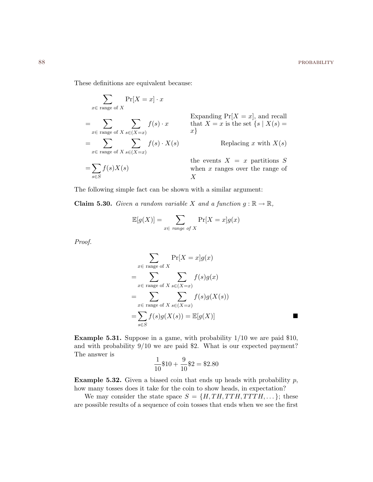These definitions are equivalent because:

$$
\sum_{x \in \text{ range of } X} \Pr[X = x] \cdot x
$$
\n
$$
= \sum_{x \in \text{ range of } X} \sum_{s \in (X = x)} f(s) \cdot x
$$
\nExpanding  $\Pr[X = x]$ , and recall that  $X = x$  is the set  $\{s \mid X(s) = x\}$   
\n
$$
= \sum_{x \in \text{ range of } X} \sum_{s \in (X = x)} f(s) \cdot X(s)
$$
\n
$$
= \sum_{s \in S} f(s)X(s)
$$
\n
$$
= \sum_{x \in S} f(s)X(s)
$$
\n
$$
= \sum_{x \in S} f(x)X(s)
$$
\n
$$
= \sum_{x \in S} f(x)X(s)
$$
\n
$$
= \sum_{x \in S} f(x)X(s)
$$
\n
$$
= \sum_{x \in S} f(x)X(s)
$$
\n
$$
= \sum_{x \in S} f(x)X(s)
$$
\n
$$
= \sum_{x \in S} f(x)X(s)
$$
\n
$$
= \sum_{x \in S} f(x)X(s)
$$

The following simple fact can be shown with a similar argument:

**Claim 5.30.** Given a random variable X and a function  $g : \mathbb{R} \to \mathbb{R}$ ,

$$
\mathbb{E}[g(X)] = \sum_{x \in \ range \ of \ X} \Pr[X = x]g(x)
$$

Proof.

$$
\sum_{x \in \text{ range of } X} \Pr[X = x]g(x)
$$
\n
$$
= \sum_{x \in \text{ range of } X} \sum_{s \in (X = x)} f(s)g(x)
$$
\n
$$
= \sum_{x \in \text{ range of } X} \sum_{s \in (X = x)} f(s)g(X(s))
$$
\n
$$
= \sum_{s \in S} f(s)g(X(s)) = \mathbb{E}[g(X)]
$$

Example 5.31. Suppose in a game, with probability 1/10 we are paid \$10, and with probability 9/10 we are paid \$2. What is our expected payment? The answer is

$$
\frac{1}{10}\$10 + \frac{9}{10}\$2 = \$2.80
$$

**Example 5.32.** Given a biased coin that ends up heads with probability  $p$ , how many tosses does it take for the coin to show heads, in expectation?

We may consider the state space  $S = \{H, TH, TTH, TTH, \dots\};$  these are possible results of a sequence of coin tosses that ends when we see the first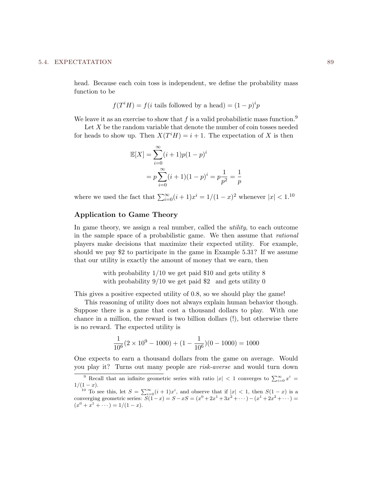#### 5.4. EXPECTATATION 89

head. Because each coin toss is independent, we define the probability mass function to be

$$
f(T^iH) = f(i \text{ tails followed by a head}) = (1 - p)^i p
$$

We leave it as an exercise to show that  $f$  is a valid probabilistic mass function.<sup>9</sup>

Let  $X$  be the random variable that denote the number of coin tosses needed for heads to show up. Then  $X(T^iH) = i + 1$ . The expectation of X is then

$$
\mathbb{E}[X] = \sum_{i=0}^{\infty} (i+1)p(1-p)^i
$$
  
=  $p \sum_{i=0}^{\infty} (i+1)(1-p)^i = p \frac{1}{p^2} =$ 

1 p

where we used the fact that  $\sum_{i=0}^{\infty} (i+1)x^i = 1/(1-x)^2$  whenever  $|x| < 1$ .<sup>10</sup>

#### Application to Game Theory

In game theory, we assign a real number, called the utility, to each outcome in the sample space of a probabilistic game. We then assume that rational players make decisions that maximize their expected utility. For example, should we pay \$2 to participate in the game in Example 5.31? If we assume that our utility is exactly the amount of money that we earn, then

> with probability  $1/10$  we get paid \$10 and gets utility 8 with probability  $9/10$  we get paid \$2 and gets utility 0

This gives a positive expected utility of 0.8, so we should play the game!

This reasoning of utility does not always explain human behavior though. Suppose there is a game that cost a thousand dollars to play. With one chance in a million, the reward is two billion dollars (!), but otherwise there is no reward. The expected utility is

$$
\frac{1}{10^6}(2 \times 10^9 - 1000) + (1 - \frac{1}{10^6})(0 - 1000) = 1000
$$

One expects to earn a thousand dollars from the game on average. Would you play it? Turns out many people are risk-averse and would turn down

<sup>&</sup>lt;sup>9</sup> Recall that an infinite geometric series with ratio  $|x|$  < 1 converges to  $\sum_{i=0}^{\infty} x^i$  =  $1/(1-x)$ .

<sup>&</sup>lt;sup>10</sup> To see this, let  $S = \sum_{i=0}^{\infty} (i+1)x^i$ , and observe that if  $|x| < 1$ , then  $S(1-x)$  is a converging geometric series:  $S(1-x) = S - xS = (x^0 + 2x^1 + 3x^2 + \cdots) - (x^1 + 2x^2 + \cdots) =$  $(x^{0} + x^{1} + \cdots) = 1/(1 - x).$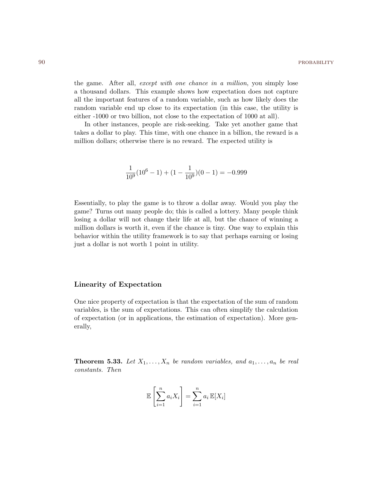the game. After all, except with one chance in a million, you simply lose a thousand dollars. This example shows how expectation does not capture all the important features of a random variable, such as how likely does the random variable end up close to its expectation (in this case, the utility is either -1000 or two billion, not close to the expectation of 1000 at all).

In other instances, people are risk-seeking. Take yet another game that takes a dollar to play. This time, with one chance in a billion, the reward is a million dollars; otherwise there is no reward. The expected utility is

$$
\frac{1}{10^9}(10^6 - 1) + (1 - \frac{1}{10^9})(0 - 1) = -0.999
$$

Essentially, to play the game is to throw a dollar away. Would you play the game? Turns out many people do; this is called a lottery. Many people think losing a dollar will not change their life at all, but the chance of winning a million dollars is worth it, even if the chance is tiny. One way to explain this behavior within the utility framework is to say that perhaps earning or losing just a dollar is not worth 1 point in utility.

#### Linearity of Expectation

One nice property of expectation is that the expectation of the sum of random variables, is the sum of expectations. This can often simplify the calculation of expectation (or in applications, the estimation of expectation). More generally,

**Theorem 5.33.** Let  $X_1, \ldots, X_n$  be random variables, and  $a_1, \ldots, a_n$  be real constants. Then

$$
\mathbb{E}\left[\sum_{i=1}^{n} a_i X_i\right] = \sum_{i=1}^{n} a_i \mathbb{E}[X_i]
$$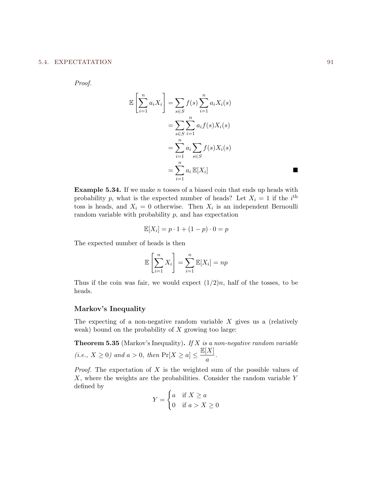#### 5.4. EXPECTATATION 91

Proof.

$$
\mathbb{E}\left[\sum_{i=1}^{n} a_i X_i\right] = \sum_{s \in S} f(s) \sum_{i=1}^{n} a_i X_i(s)
$$

$$
= \sum_{s \in S} \sum_{i=1}^{n} a_i f(s) X_i(s)
$$

$$
= \sum_{i=1}^{n} a_i \sum_{s \in S} f(s) X_i(s)
$$

$$
= \sum_{i=1}^{n} a_i \mathbb{E}[X_i]
$$

**Example 5.34.** If we make  $n$  tosses of a biased coin that ends up heads with probability p, what is the expected number of heads? Let  $X_i = 1$  if the i<sup>th</sup> toss is heads, and  $X_i = 0$  otherwise. Then  $X_i$  is an independent Bernoulli random variable with probability  $p$ , and has expectation

$$
\mathbb{E}[X_i] = p \cdot 1 + (1 - p) \cdot 0 = p
$$

The expected number of heads is then

$$
\mathbb{E}\left[\sum_{i=1}^{n} X_i\right] = \sum_{i=1}^{n} \mathbb{E}[X_i] = np
$$

Thus if the coin was fair, we would expect  $(1/2)n$ , half of the tosses, to be heads.

#### Markov's Inequality

The expecting of a non-negative random variable  $X$  gives us a (relatively weak) bound on the probability of  $X$  growing too large:

**Theorem 5.35** (Markov's Inequality). If  $X$  is a non-negative random variable (i.e.,  $X \ge 0$ ) and  $a > 0$ , then  $\Pr[X \ge a] \le \frac{\mathbb{E}[X]}{A}$  $\frac{a}{a}$ .

*Proof.* The expectation of  $X$  is the weighted sum of the possible values of  $X$ , where the weights are the probabilities. Consider the random variable  $Y$ defined by

$$
Y = \begin{cases} a & \text{if } X \ge a \\ 0 & \text{if } a > X \ge 0 \end{cases}
$$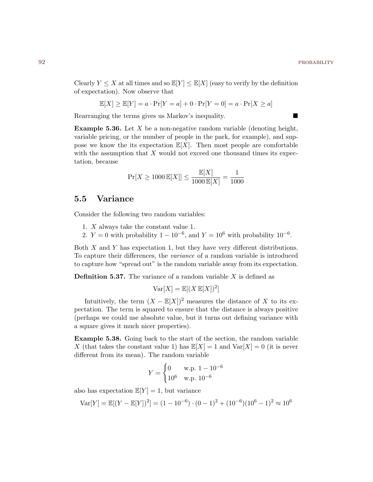Clearly  $Y \leq X$  at all times and so  $\mathbb{E}[Y] \leq \mathbb{E}[X]$  (easy to verify by the definition of expectation). Now observe that

$$
\mathbb{E}[X] \ge \mathbb{E}[Y] = a \cdot \Pr[Y = a] + 0 \cdot \Pr[Y = 0] = a \cdot \Pr[X \ge a]
$$

Rearranging the terms gives us Markov's inequality.

**Example 5.36.** Let X be a non-negative random variable (denoting height, variable pricing, or the number of people in the park, for example), and suppose we know the its expectation  $\mathbb{E}[X]$ . Then most people are comfortable with the assumption that  $X$  would not exceed one thousand times its expectation, because

$$
\Pr[X \ge 1000 \, \mathbb{E}[X]] \le \frac{\mathbb{E}[X]}{1000 \, \mathbb{E}[X]} = \frac{1}{1000}
$$

### 5.5 Variance

Consider the following two random variables:

- 1. X always take the constant value 1.
- 2.  $Y = 0$  with probability  $1 10^{-6}$ , and  $Y = 10^6$  with probability  $10^{-6}$ .

Both  $X$  and  $Y$  has expectation 1, but they have very different distributions. To capture their differences, the variance of a random variable is introduced to capture how "spread out" is the random variable away from its expectation.

**Definition 5.37.** The variance of a random variable  $X$  is defined as

$$
\text{Var}[X] = \mathbb{E}[(X \mathbb{E}[X])^2]
$$

Intuitively, the term  $(X - \mathbb{E}[X])^2$  measures the distance of X to its expectation. The term is squared to ensure that the distance is always positive (perhaps we could use absolute value, but it turns out defining variance with a square gives it much nicer properties).

Example 5.38. Going back to the start of the section, the random variable X (that takes the constant value 1) has  $\mathbb{E}[X] = 1$  and  $\text{Var}[X] = 0$  (it is never different from its mean). The random variable

$$
Y = \begin{cases} 0 & \text{w.p. } 1 - 10^{-6} \\ 10^6 & \text{w.p. } 10^{-6} \end{cases}
$$

also has expectation  $\mathbb{E}[Y] = 1$ , but variance

$$
Var[Y] = \mathbb{E}[(Y - \mathbb{E}[Y])^2] = (1 - 10^{-6}) \cdot (0 - 1)^2 + (10^{-6})(10^6 - 1)^2 \approx 10^6
$$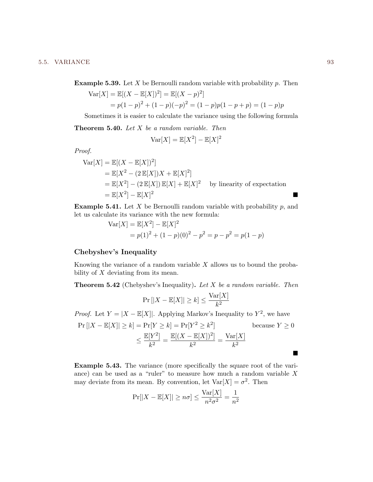**Example 5.39.** Let  $X$  be Bernoulli random variable with probability  $p$ . Then

$$
Var[X] = \mathbb{E}[(X - \mathbb{E}[X])^2] = \mathbb{E}[(X - p)^2]
$$
  
=  $p(1-p)^2 + (1-p)(-p)^2 = (1-p)p(1-p+p) = (1-p)p$ 

Sometimes it is easier to calculate the variance using the following formula

**Theorem 5.40.** Let  $X$  be a random variable. Then

$$
\text{Var}[X] = \mathbb{E}[X^2] - \mathbb{E}[X]^2
$$

Proof.

$$
\begin{aligned}\n\text{Var}[X] &= \mathbb{E}[(X - \mathbb{E}[X])^2] \\
&= \mathbb{E}[X^2 - (2 \mathbb{E}[X])X + \mathbb{E}[X]^2] \\
&= \mathbb{E}[X^2] - (2 \mathbb{E}[X]) \mathbb{E}[X] + \mathbb{E}[X]^2 \quad \text{by linearity of expectation} \\
&= \mathbb{E}[X^2] - \mathbb{E}[X]^2\n\end{aligned}
$$

**Example 5.41.** Let X be Bernoulli random variable with probability  $p$ , and let us calculate its variance with the new formula:

Var[X] = 
$$
\mathbb{E}[X^2] - \mathbb{E}[X]^2
$$
  
=  $p(1)^2 + (1-p)(0)^2 - p^2 = p - p^2 = p(1-p)$ 

#### Chebyshev's Inequality

Knowing the variance of a random variable  $X$  allows us to bound the probability of  $X$  deviating from its mean.

**Theorem 5.42** (Chebyshev's Inequality). Let  $X$  be a random variable. Then

$$
\Pr\left[|X - \mathbb{E}[X]| \ge k\right] \le \frac{\text{Var}[X]}{k^2}
$$

*Proof.* Let  $Y = |X - \mathbb{E}[X]|$ . Applying Markov's Inequality to  $Y^2$ , we have

$$
\Pr\left[|X - \mathbb{E}[X]\right] \ge k\right] = \Pr[Y \ge k] = \Pr[Y^2 \ge k^2] \qquad \text{because } Y \ge 0
$$
\n
$$
\le \frac{\mathbb{E}[Y^2]}{k^2} = \frac{\mathbb{E}[(X - \mathbb{E}[X])^2]}{k^2} = \frac{\text{Var}[X]}{k^2}
$$

Example 5.43. The variance (more specifically the square root of the variance) can be used as a "ruler" to measure how much a random variable  $X$ may deviate from its mean. By convention, let  $Var[X] = \sigma^2$ . Then

$$
\Pr[|X - \mathbb{E}[X]| \ge n\sigma] \le \frac{\text{Var}[X]}{n^2\sigma^2} = \frac{1}{n^2}
$$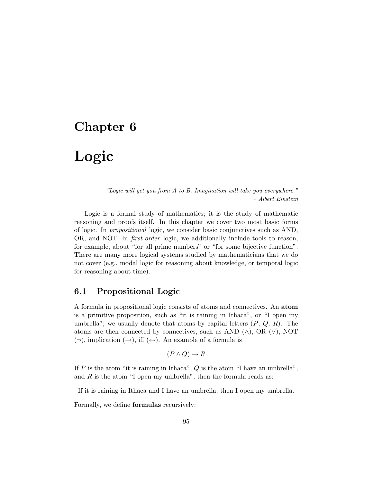## Chapter 6

# Logic

"Logic will get you from A to B. Imagination will take you everywhere." – Albert Einstein

Logic is a formal study of mathematics; it is the study of mathematic reasoning and proofs itself. In this chapter we cover two most basic forms of logic. In propositional logic, we consider basic conjunctives such as AND, OR, and NOT. In *first-order* logic, we additionally include tools to reason, for example, about "for all prime numbers" or "for some bijective function". There are many more logical systems studied by mathematicians that we do not cover (e.g., modal logic for reasoning about knowledge, or temporal logic for reasoning about time).

## 6.1 Propositional Logic

A formula in propositional logic consists of atoms and connectives. An atom is a primitive proposition, such as "it is raining in Ithaca", or "I open my umbrella"; we usually denote that atoms by capital letters  $(P, Q, R)$ . The atoms are then connected by connectives, such as AND  $(\wedge)$ , OR  $(\vee)$ , NOT  $(\neg)$ , implication  $(\rightarrow)$ , iff  $(\leftrightarrow)$ . An example of a formula is

$$
(P \land Q) \to R
$$

If  $P$  is the atom "it is raining in Ithaca",  $Q$  is the atom "I have an umbrella", and  $R$  is the atom "I open my umbrella", then the formula reads as:

If it is raining in Ithaca and I have an umbrella, then I open my umbrella.

Formally, we define formulas recursively: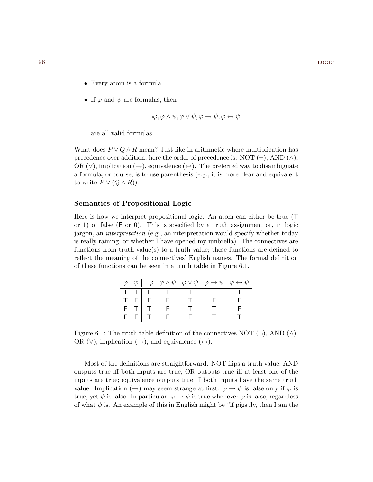- Every atom is a formula.
- If  $\varphi$  and  $\psi$  are formulas, then

$$
\neg \varphi, \varphi \land \psi, \varphi \lor \psi, \varphi \to \psi, \varphi \leftrightarrow \psi
$$

are all valid formulas.

What does  $P \vee Q \wedge R$  mean? Just like in arithmetic where multiplication has precedence over addition, here the order of precedence is: NOT  $(\neg)$ , AND  $(\wedge)$ , OR ( $\vee$ ), implication (→), equivalence (→). The preferred way to disambiguate a formula, or course, is to use parenthesis (e.g., it is more clear and equivalent to write  $P \vee (Q \wedge R)$ .

#### Semantics of Propositional Logic

Here is how we interpret propositional logic. An atom can either be true (T or 1) or false  $(F \text{ or } 0)$ . This is specified by a truth assignment or, in logic jargon, an interpretation (e.g., an interpretation would specify whether today is really raining, or whether I have opened my umbrella). The connectives are functions from truth value(s) to a truth value; these functions are defined to reflect the meaning of the connectives' English names. The formal definition of these functions can be seen in a truth table in Figure 6.1.

|  |             |                 |                | $\varphi \phi \psi$ $\neg \varphi \varphi \wedge \psi \varphi \vee \psi \varphi \rightarrow \psi \varphi \leftrightarrow \psi$ |            |
|--|-------------|-----------------|----------------|--------------------------------------------------------------------------------------------------------------------------------|------------|
|  |             | TT FTT          |                | $\overline{\phantom{a}}$                                                                                                       | $\sim$ 1.1 |
|  | $T$ $F$ $F$ | $-F$            | $\blacksquare$ |                                                                                                                                |            |
|  | $F$ $T$ $T$ |                 | $\mathbf{I}$   | $\mathbf{I}$                                                                                                                   |            |
|  |             | $F$ $F$ $T$ $F$ | - F            |                                                                                                                                |            |

Figure 6.1: The truth table definition of the connectives NOT  $(\neg)$ , AND  $(\wedge)$ , OR  $(\vee)$ , implication  $(\rightarrow)$ , and equivalence  $(\leftrightarrow)$ .

Most of the definitions are straightforward. NOT flips a truth value; AND outputs true iff both inputs are true, OR outputs true iff at least one of the inputs are true; equivalence outputs true iff both inputs have the same truth value. Implication  $(\rightarrow)$  may seem strange at first.  $\varphi \rightarrow \psi$  is false only if  $\varphi$  is true, yet  $\psi$  is false. In particular,  $\varphi \to \psi$  is true whenever  $\varphi$  is false, regardless of what  $\psi$  is. An example of this in English might be "if pigs fly, then I am the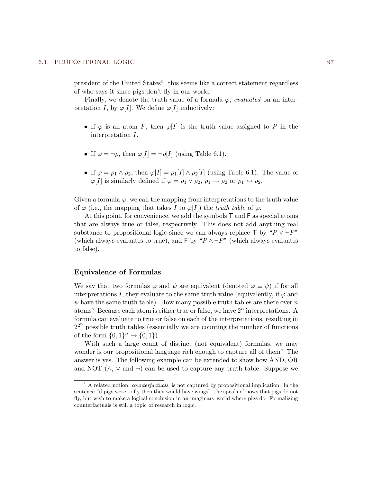#### 6.1. PROPOSITIONAL LOGIC 97

president of the United States"; this seems like a correct statement regardless of who says it since pigs don't fly in our world.<sup>1</sup>

Finally, we denote the truth value of a formula  $\varphi$ , *evaluated* on an interpretation I, by  $\varphi[I]$ . We define  $\varphi[I]$  inductively:

- If  $\varphi$  is an atom P, then  $\varphi[I]$  is the truth value assigned to P in the interpretation I.
- If  $\varphi = \neg \rho$ , then  $\varphi[I] = \neg \rho[I]$  (using Table 6.1).
- If  $\varphi = \rho_1 \wedge \rho_2$ , then  $\varphi[I] = \rho_1[I] \wedge \rho_2[I]$  (using Table 6.1). The value of  $\varphi[I]$  is similarly defined if  $\varphi = \rho_1 \vee \rho_2$ ,  $\rho_1 \rightarrow \rho_2$  or  $\rho_1 \leftrightarrow \rho_2$ .

Given a formula  $\varphi$ , we call the mapping from interpretations to the truth value of  $\varphi$  (i.e., the mapping that takes I to  $\varphi[I]$ ) the truth table of  $\varphi$ .

At this point, for convenience, we add the symbols T and F as special atoms that are always true or false, respectively. This does not add anything real substance to propositional logic since we can always replace T by " $P \vee \neg P$ " (which always evaluates to true), and F by " $P \wedge \neg P$ " (which always evaluates to false).

#### Equivalence of Formulas

We say that two formulas  $\varphi$  and  $\psi$  are equivalent (denoted  $\varphi \equiv \psi$ ) if for all interpretations I, they evaluate to the same truth value (equivalently, if  $\varphi$  and  $\psi$  have the same truth table). How many possible truth tables are there over n atoms? Because each atom is either true or false, we have  $2<sup>n</sup>$  interpretations. A formula can evaluate to true or false on each of the interpretations, resulting in  $2^{2^n}$  possible truth tables (essentially we are counting the number of functions of the form  $\{0,1\}^n \to \{0,1\}$ .

With such a large count of distinct (not equivalent) formulas, we may wonder is our propositional language rich enough to capture all of them? The answer is yes. The following example can be extended to show how AND, OR and NOT ( $\land$ ,  $\lor$  and  $\neg$ ) can be used to capture any truth table. Suppose we

<sup>&</sup>lt;sup>1</sup> A related notion, *counterfactuals*, is not captured by propositional implication. In the sentence "if pigs were to fly then they would have wings", the speaker knows that pigs do not fly, but wish to make a logical conclusion in an imaginary world where pigs do. Formalizing counterfactuals is still a topic of research in logic.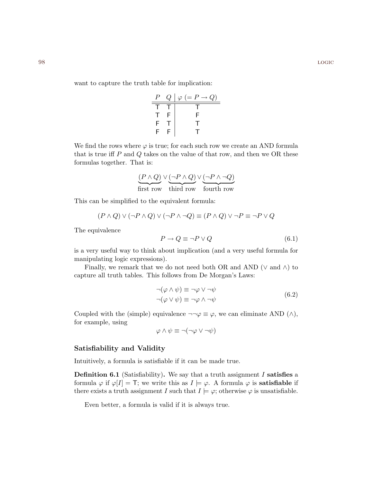want to capture the truth table for implication:

$$
\begin{array}{c|c}\nP & Q & \varphi & (=P \rightarrow Q) \\
\hline\n\overline{T} & \overline{T} & \overline{T} \\
T & F & F \\
F & T & \overline{T} \\
F & F & \overline{T}\n\end{array}
$$

We find the rows where  $\varphi$  is true; for each such row we create an AND formula that is true iff  $P$  and  $Q$  takes on the value of that row, and then we OR these formulas together. That is:

$$
\underbrace{(P \land Q)}_{\text{first row}} \lor \underbrace{(\neg P \land Q)}_{\text{third row}} \lor \underbrace{(\neg P \land \neg Q)}_{\text{fourth row}}
$$

This can be simplified to the equivalent formula:

$$
(P \land Q) \lor (\neg P \land Q) \lor (\neg P \land \neg Q) \equiv (P \land Q) \lor \neg P \equiv \neg P \lor Q
$$

The equivalence

$$
P \to Q \equiv \neg P \lor Q \tag{6.1}
$$

is a very useful way to think about implication (and a very useful formula for manipulating logic expressions).

Finally, we remark that we do not need both OR and AND ( $\vee$  and  $\wedge$ ) to capture all truth tables. This follows from De Morgan's Laws:

$$
\neg(\varphi \land \psi) \equiv \neg \varphi \lor \neg \psi
$$
  
\n
$$
\neg(\varphi \lor \psi) \equiv \neg \varphi \land \neg \psi
$$
 (6.2)

Coupled with the (simple) equivalence  $\neg \neg \varphi \equiv \varphi$ , we can eliminate AND ( $\land$ ), for example, using

$$
\varphi \wedge \psi \equiv \neg(\neg \varphi \vee \neg \psi)
$$

#### Satisfiability and Validity

Intuitively, a formula is satisfiable if it can be made true.

**Definition 6.1** (Satisfiability). We say that a truth assignment  $I$  satisfies a formula  $\varphi$  if  $\varphi[I] = T$ ; we write this as  $I \models \varphi$ . A formula  $\varphi$  is **satisfiable** if there exists a truth assignment I such that  $I \models \varphi$ ; otherwise  $\varphi$  is unsatisfiable.

Even better, a formula is valid if it is always true.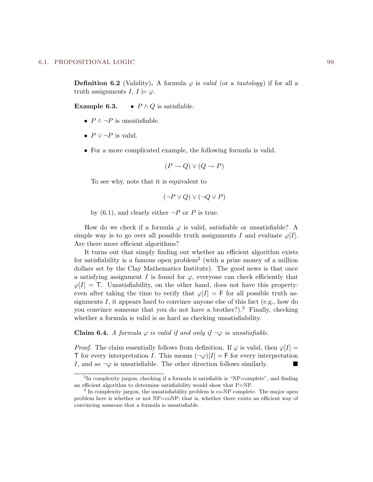#### 6.1. PROPOSITIONAL LOGIC 99

**Definition 6.2** (Validity). A formula  $\varphi$  is *valid* (or a *tautology*) if for all a truth assignments  $I, I \models \varphi$ .

**Example 6.3.** •  $P \wedge Q$  is satisfiable.

- $P \wedge \neg P$  is unsatisfiable.
- $P \vee \neg P$  is valid.
- For a more complicated example, the following formula is valid.

$$
(P \to Q) \lor (Q \to P)
$$

To see why, note that it is equivalent to

$$
(\neg P \lor Q) \lor (\neg Q \lor P)
$$

by (6.1), and clearly either  $\neg P$  or P is true.

How do we check if a formula  $\varphi$  is valid, satisfiable or unsatisfiable? A simple way is to go over all possible truth assignments I and evaluate  $\varphi[I]$ . Are there more efficient algorithms?

It turns out that simply finding out whether an efficient algorithm exists for satisfiability is a famous open problem<sup>2</sup> (with a prize money of a million dollars set by the Clay Mathematics Institute). The good news is that once a satisfying assignment I is found for  $\varphi$ , everyone can check efficiently that  $\varphi[I] = \mathsf{T}$ . Unsatisfiability, on the other hand, does not have this property: even after taking the time to verify that  $\varphi[I] = F$  for all possible truth assignments  $I$ , it appears hard to convince anyone else of this fact (e.g., how do you convince someone that you do not have a brother?).<sup>3</sup> Finally, checking whether a formula is valid is as hard as checking unsatisfiability.

**Claim 6.4.** A formula  $\varphi$  is valid if and only if  $\neg \varphi$  is unsatisfiable.

*Proof.* The claim essentially follows from definition. If  $\varphi$  is valid, then  $\varphi[I] =$ T for every interpretation I. This means  $(\neg \varphi)[I] = \mathsf{F}$  for every interpretation I, and so  $\neg \varphi$  is unsatisfiable. The other direction follows similarly.

<sup>&</sup>lt;sup>2</sup>In complexity jargon, checking if a formula is satisfiable is "NP-complete", and finding an efficient algorithm to determine satisfiability would show that P=NP.

<sup>&</sup>lt;sup>3</sup> In complexity jargon, the unsatisfiability problem is co-NP complete. The major open problem here is whether or not NP=coNP; that is, whether there exists an efficient way of convincing someone that a formula is unsatisfiable.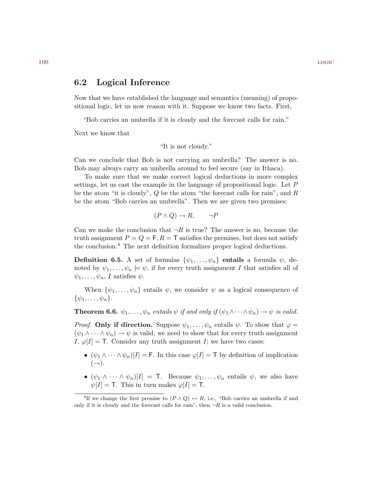### 6.2 Logical Inference

Now that we have established the language and semantics (meaning) of propositional logic, let us now reason with it. Suppose we know two facts. First,

"Bob carries an umbrella if it is cloudy and the forecast calls for rain."

Next we know that

"It is not cloudy."

Can we conclude that Bob is not carrying an umbrella? The answer is no. Bob may always carry an umbrella around to feel secure (say in Ithaca).

To make sure that we make correct logical deductions in more complex settings, let us cast the example in the language of propositional logic. Let P be the atom "it is cloudy", Q be the atom "the forecast calls for rain", and R be the atom "Bob carries an umbrella". Then we are given two premises:

$$
(P \land Q) \to R, \qquad \neg P
$$

Can we make the conclusion that  $\neg R$  is true? The answer is no, because the truth assignment  $P = Q = F, R = T$  satisfies the premises, but does not satisfy the conclusion. $4$  The next definition formalizes proper logical deductions.

**Definition 6.5.** A set of formulas  $\{\psi_1, \ldots, \psi_n\}$  entails a formula  $\psi$ , denoted by  $\psi_1, \ldots, \psi_n \models \psi$ , if for every truth assignment I that satisfies all of  $\psi_1, \ldots, \psi_n$ , *I* satisfies  $\psi$ .

When  $\{\psi_1, \ldots, \psi_n\}$  entails  $\psi$ , we consider  $\psi$  as a logical consequence of  $\{\psi_1,\ldots,\psi_n\}.$ 

**Theorem 6.6.**  $\psi_1, \ldots, \psi_n$  entails  $\psi$  if and only if  $(\psi_1 \wedge \cdots \wedge \psi_n) \rightarrow \psi$  is valid.

*Proof.* Only if direction. Suppose  $\psi_1, \dots, \psi_n$  entails  $\psi$ . To show that  $\varphi =$  $(\psi_1 \wedge \cdots \wedge \psi_n) \rightarrow \psi$  is valid, we need to show that for every truth assignment I,  $\varphi[I] = T$ . Consider any truth assignment I; we have two cases:

- $(\psi_1 \wedge \cdots \wedge \psi_n)[I] = \mathsf{F}$ . In this case  $\varphi[I] = \mathsf{T}$  by definition of implication  $(\rightarrow).$
- $(\psi_1 \wedge \cdots \wedge \psi_n)[I] = \mathsf{T}$ . Because  $\psi_1, \ldots, \psi_n$  entails  $\psi$ , we also have  $\psi[I] = \mathsf{T}$ . This in turn makes  $\varphi[I] = \mathsf{T}$ .

<sup>&</sup>lt;sup>4</sup>If we change the first premise to  $(P \wedge Q) \leftrightarrow R$ , i.e., "Bob carries an umbrella if and only if it is cloudy and the forecast calls for rain", then  $\neg R$  is a valid conclusion.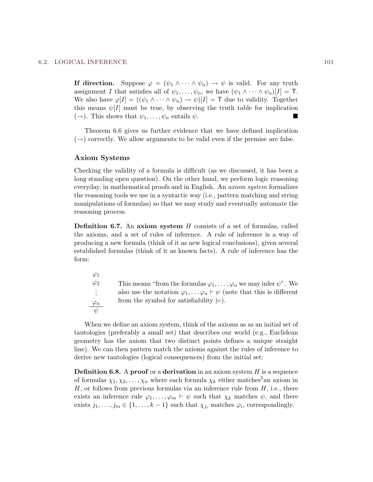#### 6.2. LOGICAL INFERENCE 101

If direction. Suppose  $\varphi = (\psi_1 \wedge \cdots \wedge \psi_n) \rightarrow \psi$  is valid. For any truth assignment I that satisfies all of  $\psi_1, \ldots, \psi_n$ , we have  $(\psi_1 \wedge \cdots \wedge \psi_n)[I] = \mathsf{T}$ . We also have  $\varphi[I] = ((\psi_1 \wedge \cdots \wedge \psi_n) \rightarrow \psi)[I] = \mathsf{T}$  due to validity. Together this means  $\psi[I]$  must be true, by observing the truth table for implication  $(\rightarrow)$ . This shows that  $\psi_1, \ldots, \psi_n$  entails  $\psi$ .

Theorem 6.6 gives us further evidence that we have defined implication  $(\rightarrow)$  correctly. We allow arguments to be valid even if the premise are false.

#### Axiom Systems

Checking the validity of a formula is difficult (as we discussed, it has been a long standing open question). On the other hand, we perform logic reasoning everyday, in mathematical proofs and in English. An axiom system formalizes the reasoning tools we use in a syntactic way (i.e., pattern matching and string manipulations of formulas) so that we may study and eventually automate the reasoning process.

Definition 6.7. An axiom system H consists of a set of formulas, called the axioms, and a set of rules of inference. A rule of inference is a way of producing a new formula (think of it as new logical conclusions), given several established formulas (think of it as known facts). A rule of inference has the form:

| $\varphi_1$       |                                                                                               |
|-------------------|-----------------------------------------------------------------------------------------------|
| $\varphi_2$       | This means "from the formulas $\varphi_1, \ldots, \varphi_n$ we may infer $\psi$ ". We        |
| $\sim$ $\sim$     | also use the notation $\varphi_1, \ldots, \varphi_n \vdash \psi$ (note that this is different |
| $\varphi_n$       | from the symbol for satisfiability $\models$ ).                                               |
| $\overline{\psi}$ |                                                                                               |

When we define an axiom system, think of the axioms as as an initial set of tautologies (preferably a small set) that describes our world (e.g., Euclidean geometry has the axiom that two distinct points defines a unique straight line). We can then pattern match the axioms against the rules of inference to derive new tautologies (logical consequences) from the initial set:

**Definition 6.8.** A proof or a derivation in an axiom system  $H$  is a sequence of formulas  $\chi_1, \chi_2, \ldots, \chi_n$  where each formula  $\chi_k$  either matches<sup>5</sup> an axiom in  $H$ , or follows from previous formulas via an inference rule from  $H$ , i.e., there exists an inference rule  $\varphi_1, \ldots, \varphi_m \vdash \psi$  such that  $\chi_k$  matches  $\psi$ , and there exists  $j_1, \ldots, j_m \in \{1, \ldots, k-1\}$  such that  $\chi_{j_i}$  matches  $\varphi_i$ , correspondingly.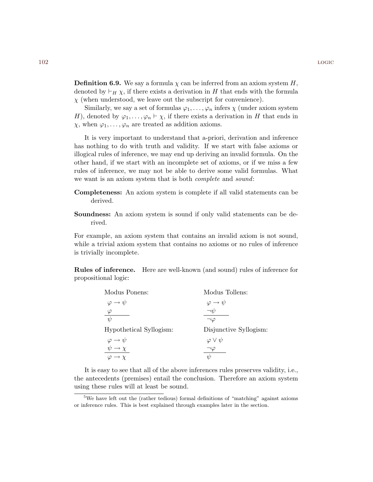**Definition 6.9.** We say a formula  $\chi$  can be inferred from an axiom system  $H$ , denoted by  $\vdash_H \chi$ , if there exists a derivation in H that ends with the formula  $\chi$  (when understood, we leave out the subscript for convenience).

Similarly, we say a set of formulas  $\varphi_1, \ldots, \varphi_n$  infers  $\chi$  (under axiom system H), denoted by  $\varphi_1, \ldots, \varphi_n \vdash \chi$ , if there exists a derivation in H that ends in  $\chi$ , when  $\varphi_1, \ldots, \varphi_n$  are treated as addition axioms.

It is very important to understand that a-priori, derivation and inference has nothing to do with truth and validity. If we start with false axioms or illogical rules of inference, we may end up deriving an invalid formula. On the other hand, if we start with an incomplete set of axioms, or if we miss a few rules of inference, we may not be able to derive some valid formulas. What we want is an axiom system that is both *complete* and *sound*:

- Completeness: An axiom system is complete if all valid statements can be derived.
- Soundness: An axiom system is sound if only valid statements can be derived.

For example, an axiom system that contains an invalid axiom is not sound, while a trivial axiom system that contains no axioms or no rules of inference is trivially incomplete.

Rules of inference. Here are well-known (and sound) rules of inference for propositional logic:

| Modus Ponens:              | Modus Tollens:             |
|----------------------------|----------------------------|
| $\rightarrow \psi$         | $\varphi \rightarrow \psi$ |
| $\varphi$                  | $\neg \psi$                |
| $\overline{\psi}$          | $\neg\varphi$              |
| Hypothetical Syllogism:    | Disjunctive Syllogism:     |
| $\varphi \rightarrow \psi$ | $\varphi \vee \psi$        |
| $\rightarrow \chi$         |                            |
| $\rightarrow$ X            |                            |

It is easy to see that all of the above inferences rules preserves validity, i.e., the antecedents (premises) entail the conclusion. Therefore an axiom system using these rules will at least be sound.

<sup>&</sup>lt;sup>5</sup>We have left out the (rather tedious) formal definitions of "matching" against axioms or inference rules. This is best explained through examples later in the section.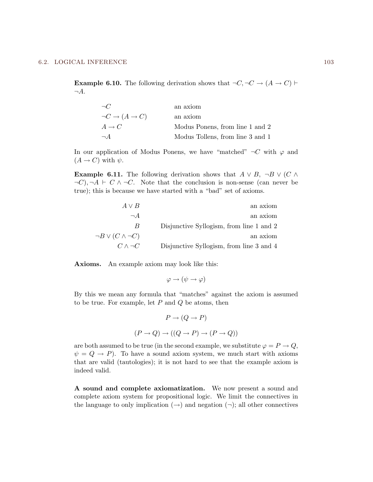**Example 6.10.** The following derivation shows that  $\neg C, \neg C \rightarrow (A \rightarrow C)$  $\neg A$ .

| $\neg C$                               | an axiom                         |
|----------------------------------------|----------------------------------|
| $\neg C \rightarrow (A \rightarrow C)$ | an axiom                         |
| $A \rightarrow C$                      | Modus Ponens, from line 1 and 2  |
| $\neg A$                               | Modus Tollens, from line 3 and 1 |

In our application of Modus Ponens, we have "matched"  $\neg C$  with  $\varphi$  and  $(A \rightarrow C)$  with  $\psi$ .

**Example 6.11.** The following derivation shows that  $A \vee B$ ,  $\neg B \vee (C \wedge C)$  $\neg C$ ,  $\neg A \vdash C \land \neg C$ . Note that the conclusion is non-sense (can never be true); this is because we have started with a "bad" set of axioms.

| an axiom                                 | $A \vee B$                      |
|------------------------------------------|---------------------------------|
| an axiom                                 | $\neg A$                        |
| Disjunctive Syllogism, from line 1 and 2 | $\boldsymbol{\beta}$            |
| an axiom                                 | $\neg B \vee (C \wedge \neg C)$ |
| Disjunctive Syllogism, from line 3 and 4 | $C \wedge \neg C$               |

Axioms. An example axiom may look like this:

$$
\varphi \to (\psi \to \varphi)
$$

By this we mean any formula that "matches" against the axiom is assumed to be true. For example, let  $P$  and  $Q$  be atoms, then

$$
P \to (Q \to P)
$$
  

$$
(P \to Q) \to ((Q \to P) \to (P \to Q))
$$

are both assumed to be true (in the second example, we substitute  $\varphi = P \rightarrow Q$ ,  $\psi = Q \rightarrow P$ . To have a sound axiom system, we much start with axioms that are valid (tautologies); it is not hard to see that the example axiom is indeed valid.

A sound and complete axiomatization. We now present a sound and complete axiom system for propositional logic. We limit the connectives in the language to only implication  $(\rightarrow)$  and negation  $(\rightarrow)$ ; all other connectives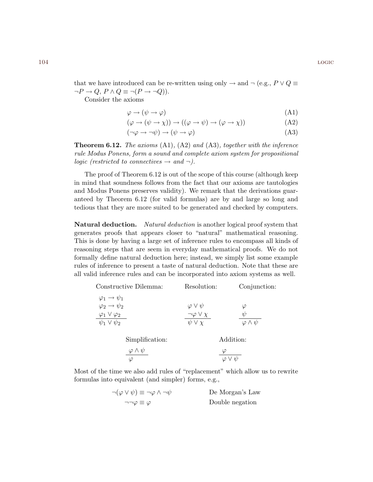that we have introduced can be re-written using only  $\rightarrow$  and  $\neg$  (e.g.,  $P \vee Q \equiv$  $\neg P \rightarrow Q, P \land Q \equiv \neg (P \rightarrow \neg Q)$ .

Consider the axioms

$$
\varphi \to (\psi \to \varphi) \tag{A1}
$$

$$
(\varphi \to (\psi \to \chi)) \to ((\varphi \to \psi) \to (\varphi \to \chi))
$$
 (A2)

$$
(\neg \varphi \to \neg \psi) \to (\psi \to \varphi) \tag{A3}
$$

**Theorem 6.12.** The axioms  $(A1)$ ,  $(A2)$  and  $(A3)$ , together with the inference rule Modus Ponens, form a sound and complete axiom system for propositional logic (restricted to connectives  $\rightarrow$  and  $\neg$ ).

The proof of Theorem 6.12 is out of the scope of this course (although keep in mind that soundness follows from the fact that our axioms are tautologies and Modus Ponens preserves validity). We remark that the derivations guaranteed by Theorem 6.12 (for valid formulas) are by and large so long and tedious that they are more suited to be generated and checked by computers.

Natural deduction. Natural deduction is another logical proof system that generates proofs that appears closer to "natural" mathematical reasoning. This is done by having a large set of inference rules to encompass all kinds of reasoning steps that are seem in everyday mathematical proofs. We do not formally define natural deduction here; instead, we simply list some example rules of inference to present a taste of natural deduction. Note that these are all valid inference rules and can be incorporated into axiom systems as well.

| Constructive Dilemma:          | Resolution:             | Conjunction:          |
|--------------------------------|-------------------------|-----------------------|
| $\varphi_1 \rightarrow \psi_1$ |                         |                       |
| $\varphi_2 \rightarrow \psi_2$ | $\varphi \vee \psi$     | $\varphi$             |
| $\varphi_1 \vee \varphi_2$     | $\neg\varphi \vee \chi$ | W                     |
| $\psi_1 \vee \psi_2$           | $\psi \vee \chi$        | $\varphi \wedge \psi$ |
|                                |                         |                       |

Simplification: Addition:  $\varphi \wedge \psi$  $\varphi$  $\varphi$  $\varphi \vee \psi$ 

Most of the time we also add rules of "replacement" which allow us to rewrite formulas into equivalent (and simpler) forms, e.g.,

| $\neg(\varphi \vee \psi) \equiv \neg \varphi \wedge \neg \psi$ | De Morgan's Law |
|----------------------------------------------------------------|-----------------|
| $\neg\neg\varphi \equiv \varphi$                               | Double negation |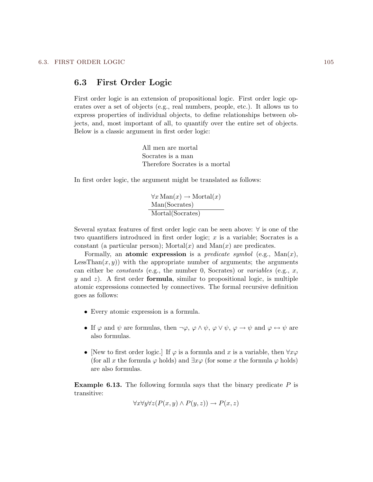# 6.3 First Order Logic

First order logic is an extension of propositional logic. First order logic operates over a set of objects (e.g., real numbers, people, etc.). It allows us to express properties of individual objects, to define relationships between objects, and, most important of all, to quantify over the entire set of objects. Below is a classic argument in first order logic:

> All men are mortal Socrates is a man Therefore Socrates is a mortal

In first order logic, the argument might be translated as follows:

 $\forall x \, \text{Man}(x) \rightarrow \text{Mortal}(x)$ Man(Socrates) Mortal(Socrates)

Several syntax features of first order logic can be seen above: ∀ is one of the two quantifiers introduced in first order logic;  $x$  is a variable; Socrates is a constant (a particular person); Mortal $(x)$  and Man $(x)$  are predicates.

Formally, an **atomic expression** is a *predicate symbol* (e.g.,  $Man(x)$ , LessThan $(x, y)$ ) with the appropriate number of arguments; the arguments can either be *constants* (e.g., the number 0, Socrates) or *variables* (e.g.,  $x$ ,  $y$  and  $z$ ). A first order **formula**, similar to propositional logic, is multiple atomic expressions connected by connectives. The formal recursive definition goes as follows:

- Every atomic expression is a formula.
- If  $\varphi$  and  $\psi$  are formulas, then  $\neg \varphi$ ,  $\varphi \wedge \psi$ ,  $\varphi \vee \psi$ ,  $\varphi \rightarrow \psi$  and  $\varphi \leftrightarrow \psi$  are also formulas.
- [New to first order logic.] If  $\varphi$  is a formula and x is a variable, then  $\forall x \varphi$ (for all x the formula  $\varphi$  holds) and  $\exists x \varphi$  (for some x the formula  $\varphi$  holds) are also formulas.

**Example 6.13.** The following formula says that the binary predicate  $P$  is transitive:

$$
\forall x \forall y \forall z (P(x, y) \land P(y, z)) \rightarrow P(x, z)
$$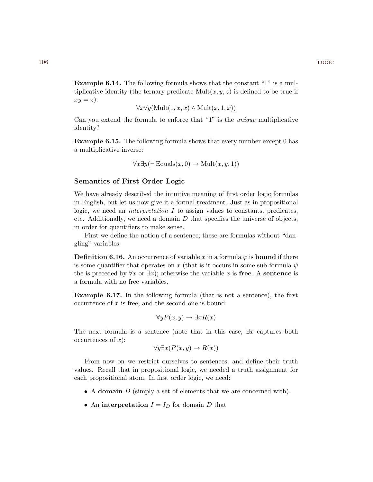Example 6.14. The following formula shows that the constant "1" is a multiplicative identity (the ternary predicate  $Mult(x, y, z)$  is defined to be true if  $xy = z$ :

 $\forall x \forall y (Mult(1, x, x) \land Mult(x, 1, x))$ 

Can you extend the formula to enforce that "1" is the unique multiplicative identity?

Example 6.15. The following formula shows that every number except 0 has a multiplicative inverse:

$$
\forall x \exists y (\neg \text{Equals}(x, 0) \rightarrow \text{Mult}(x, y, 1))
$$

#### Semantics of First Order Logic

We have already described the intuitive meaning of first order logic formulas in English, but let us now give it a formal treatment. Just as in propositional logic, we need an *interpretation*  $I$  to assign values to constants, predicates, etc. Additionally, we need a domain  $D$  that specifies the universe of objects, in order for quantifiers to make sense.

First we define the notion of a sentence; these are formulas without "dangling" variables.

**Definition 6.16.** An occurrence of variable x in a formula  $\varphi$  is **bound** if there is some quantifier that operates on x (that is it occurs in some sub-formula  $\psi$ the is preceded by  $\forall x$  or  $\exists x$ ; otherwise the variable x is free. A sentence is a formula with no free variables.

Example 6.17. In the following formula (that is not a sentence), the first occurrence of  $x$  is free, and the second one is bound:

$$
\forall y P(x, y) \rightarrow \exists x R(x)
$$

The next formula is a sentence (note that in this case,  $\exists x$  captures both occurrences of  $x$ :

$$
\forall y \exists x (P(x, y) \rightarrow R(x))
$$

From now on we restrict ourselves to sentences, and define their truth values. Recall that in propositional logic, we needed a truth assignment for each propositional atom. In first order logic, we need:

- A domain  $D$  (simply a set of elements that we are concerned with).
- An interpretation  $I = I_D$  for domain D that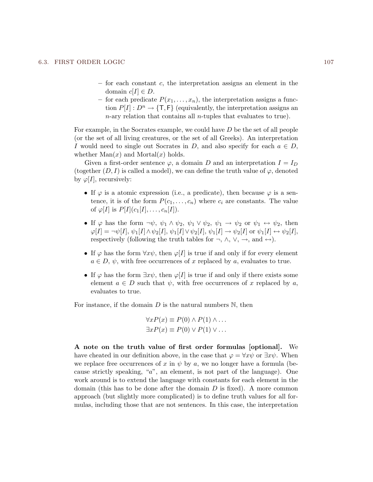- $-$  for each constant c, the interpretation assigns an element in the domain  $c[I] \in D$ .
- for each predicate  $P(x_1, \ldots, x_n)$ , the interpretation assigns a function  $P[I] : D^n \to \{\mathsf{T},\mathsf{F}\}\$  (equivalently, the interpretation assigns an  $n$ -ary relation that contains all  $n$ -tuples that evaluates to true).

For example, in the Socrates example, we could have D be the set of all people (or the set of all living creatures, or the set of all Greeks). An interpretation I would need to single out Socrates in D, and also specify for each  $a \in D$ , whether  $Man(x)$  and  $Mortal(x)$  holds.

Given a first-order sentence  $\varphi$ , a domain D and an interpretation  $I = I_D$ (together  $(D, I)$  is called a model), we can define the truth value of  $\varphi$ , denoted by  $\varphi[I]$ , recursively:

- If  $\varphi$  is a atomic expression (i.e., a predicate), then because  $\varphi$  is a sentence, it is of the form  $P(c_1, \ldots, c_n)$  where  $c_i$  are constants. The value of  $\varphi[I]$  is  $P[I](c_1[I], \ldots, c_n[I]).$
- If  $\varphi$  has the form  $\neg \psi$ ,  $\psi_1 \wedge \psi_2$ ,  $\psi_1 \vee \psi_2$ ,  $\psi_1 \rightarrow \psi_2$  or  $\psi_1 \leftrightarrow \psi_2$ , then  $\varphi[I] = \neg \psi[I], \psi_1[I] \wedge \psi_2[I], \psi_1[I] \vee \psi_2[I], \psi_1[I] \rightarrow \psi_2[I]$  or  $\psi_1[I] \leftrightarrow \psi_2[I],$ respectively (following the truth tables for  $\neg$ ,  $\wedge$ ,  $\vee$ ,  $\rightarrow$ , and  $\leftrightarrow$ ).
- If  $\varphi$  has the form  $\forall x \psi$ , then  $\varphi[I]$  is true if and only if for every element  $a \in D$ ,  $\psi$ , with free occurrences of x replaced by a, evaluates to true.
- If  $\varphi$  has the form  $\exists x \psi$ , then  $\varphi[I]$  is true if and only if there exists some element  $a \in D$  such that  $\psi$ , with free occurrences of x replaced by a, evaluates to true.

For instance, if the domain  $D$  is the natural numbers  $\mathbb N$ , then

$$
\forall x P(x) \equiv P(0) \land P(1) \land \dots
$$
  

$$
\exists x P(x) \equiv P(0) \lor P(1) \lor \dots
$$

A note on the truth value of first order formulas [optional]. We have cheated in our definition above, in the case that  $\varphi = \forall x \psi$  or  $\exists x \psi$ . When we replace free occurrences of x in  $\psi$  by a, we no longer have a formula (because strictly speaking, "a", an element, is not part of the language). One work around is to extend the language with constants for each element in the domain (this has to be done after the domain  $D$  is fixed). A more common approach (but slightly more complicated) is to define truth values for all formulas, including those that are not sentences. In this case, the interpretation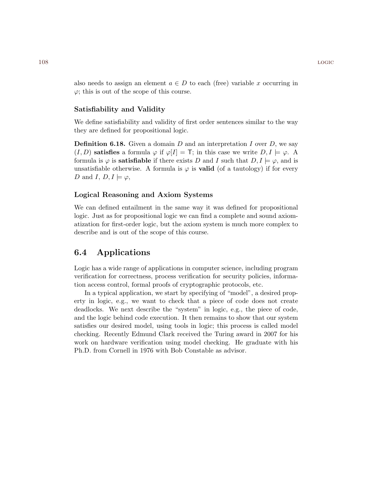also needs to assign an element  $a \in D$  to each (free) variable x occurring in  $\varphi$ ; this is out of the scope of this course.

#### Satisfiability and Validity

We define satisfiability and validity of first order sentences similar to the way they are defined for propositional logic.

**Definition 6.18.** Given a domain  $D$  and an interpretation  $I$  over  $D$ , we say  $(I, D)$  satisfies a formula  $\varphi$  if  $\varphi[I] = T$ ; in this case we write  $D, I \models \varphi$ . A formula is  $\varphi$  is **satisfiable** if there exists D and I such that  $D, I \models \varphi$ , and is unsatisfiable otherwise. A formula is  $\varphi$  is **valid** (of a tautology) if for every D and I,  $D, I \models \varphi$ ,

#### Logical Reasoning and Axiom Systems

We can defined entailment in the same way it was defined for propositional logic. Just as for propositional logic we can find a complete and sound axiomatization for first-order logic, but the axiom system is much more complex to describe and is out of the scope of this course.

## 6.4 Applications

Logic has a wide range of applications in computer science, including program verification for correctness, process verification for security policies, information access control, formal proofs of cryptographic protocols, etc.

In a typical application, we start by specifying of "model", a desired property in logic, e.g., we want to check that a piece of code does not create deadlocks. We next describe the "system" in logic, e.g., the piece of code, and the logic behind code execution. It then remains to show that our system satisfies our desired model, using tools in logic; this process is called model checking. Recently Edmund Clark received the Turing award in 2007 for his work on hardware verification using model checking. He graduate with his Ph.D. from Cornell in 1976 with Bob Constable as advisor.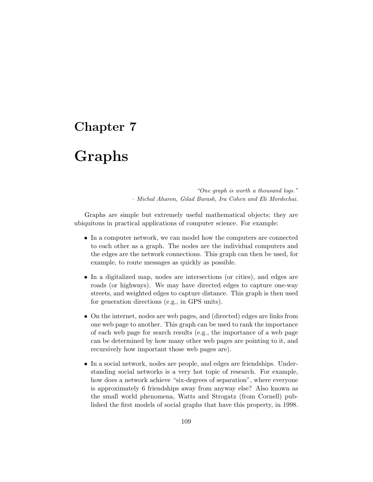# Chapter 7

# Graphs

"One graph is worth a thousand logs." – Michal Aharon, Gilad Barash, Ira Cohen and Eli Mordechai.

Graphs are simple but extremely useful mathematical objects; they are ubiquitous in practical applications of computer science. For example:

- In a computer network, we can model how the computers are connected to each other as a graph. The nodes are the individual computers and the edges are the network connections. This graph can then be used, for example, to route messages as quickly as possible.
- In a digitalized map, nodes are intersections (or cities), and edges are roads (or highways). We may have directed edges to capture one-way streets, and weighted edges to capture distance. This graph is then used for generation directions (e.g., in GPS units).
- On the internet, nodes are web pages, and (directed) edges are links from one web page to another. This graph can be used to rank the importance of each web page for search results (e.g., the importance of a web page can be determined by how many other web pages are pointing to it, and recursively how important those web pages are).
- In a social network, nodes are people, and edges are friendships. Understanding social networks is a very hot topic of research. For example, how does a network achieve "six-degrees of separation", where everyone is approximately 6 friendships away from anyway else? Also known as the small world phenomena, Watts and Strogatz (from Cornell) published the first models of social graphs that have this property, in 1998.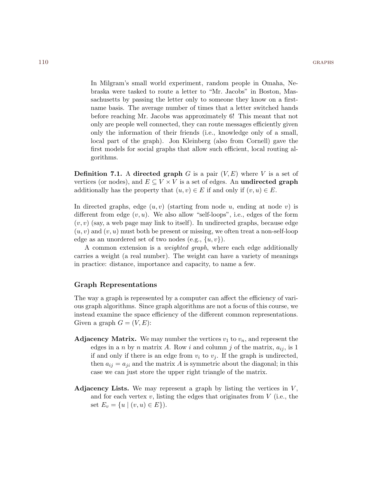In Milgram's small world experiment, random people in Omaha, Nebraska were tasked to route a letter to "Mr. Jacobs" in Boston, Massachusetts by passing the letter only to someone they know on a firstname basis. The average number of times that a letter switched hands before reaching Mr. Jacobs was approximately 6! This meant that not only are people well connected, they can route messages efficiently given only the information of their friends (i.e., knowledge only of a small, local part of the graph). Jon Kleinberg (also from Cornell) gave the first models for social graphs that allow such efficient, local routing algorithms.

**Definition 7.1.** A directed graph G is a pair  $(V, E)$  where V is a set of vertices (or nodes), and  $E \subseteq V \times V$  is a set of edges. An undirected graph additionally has the property that  $(u, v) \in E$  if and only if  $(v, u) \in E$ .

In directed graphs, edge  $(u, v)$  (starting from node u, ending at node v) is different from edge  $(v, u)$ . We also allow "self-loops", i.e., edges of the form  $(v, v)$  (say, a web page may link to itself). In undirected graphs, because edge  $(u, v)$  and  $(v, u)$  must both be present or missing, we often treat a non-self-loop edge as an unordered set of two nodes (e.g.,  $\{u, v\}$ ).

A common extension is a weighted graph, where each edge additionally carries a weight (a real number). The weight can have a variety of meanings in practice: distance, importance and capacity, to name a few.

#### Graph Representations

The way a graph is represented by a computer can affect the efficiency of various graph algorithms. Since graph algorithms are not a focus of this course, we instead examine the space efficiency of the different common representations. Given a graph  $G = (V, E)$ :

- Adjacency Matrix. We may number the vertices  $v_1$  to  $v_n$ , and represent the edges in a n by n matrix A. Row i and column j of the matrix,  $a_{ij}$ , is 1 if and only if there is an edge from  $v_i$  to  $v_j$ . If the graph is undirected, then  $a_{ij} = a_{ji}$  and the matrix A is symmetric about the diagonal; in this case we can just store the upper right triangle of the matrix.
- Adjacency Lists. We may represent a graph by listing the vertices in  $V$ , and for each vertex  $v$ , listing the edges that originates from  $V$  (i.e., the set  $E_v = \{u \mid (v, u) \in E\}$ .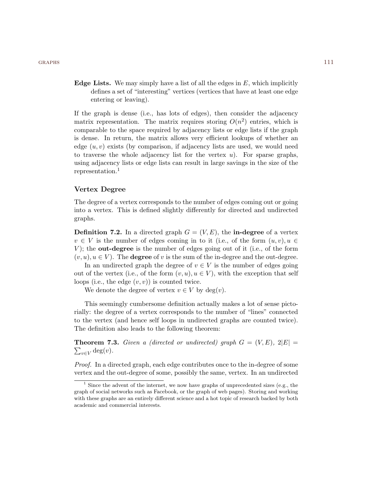**Edge Lists.** We may simply have a list of all the edges in  $E$ , which implicitly defines a set of "interesting" vertices (vertices that have at least one edge entering or leaving).

If the graph is dense (i.e., has lots of edges), then consider the adjacency matrix representation. The matrix requires storing  $O(n^2)$  entries, which is comparable to the space required by adjacency lists or edge lists if the graph is dense. In return, the matrix allows very efficient lookups of whether an edge  $(u, v)$  exists (by comparison, if adjacency lists are used, we would need to traverse the whole adjacency list for the vertex  $u$ ). For sparse graphs, using adjacency lists or edge lists can result in large savings in the size of the representation.<sup>1</sup>

#### Vertex Degree

The degree of a vertex corresponds to the number of edges coming out or going into a vertex. This is defined slightly differently for directed and undirected graphs.

**Definition 7.2.** In a directed graph  $G = (V, E)$ , the **in-degree** of a vertex  $v \in V$  is the number of edges coming in to it (i.e., of the form  $(u, v), u \in$ V; the **out-degree** is the number of edges going out of it (i.e., of the form  $(v, u), u \in V$ . The **degree** of v is the sum of the in-degree and the out-degree.

In an undirected graph the degree of  $v \in V$  is the number of edges going out of the vertex (i.e., of the form  $(v, u), u \in V$ ), with the exception that self loops (i.e., the edge  $(v, v)$ ) is counted twice.

We denote the degree of vertex  $v \in V$  by  $deg(v)$ .

This seemingly cumbersome definition actually makes a lot of sense pictorially: the degree of a vertex corresponds to the number of "lines" connected to the vertex (and hence self loops in undirected graphs are counted twice). The definition also leads to the following theorem:

**Theorem 7.3.** Given a (directed or undirected) graph  $G = (V, E)$ ,  $2|E|$  $\sum_{v \in V} \deg(v)$ .

Proof. In a directed graph, each edge contributes once to the in-degree of some vertex and the out-degree of some, possibly the same, vertex. In an undirected

 $<sup>1</sup>$  Since the advent of the internet, we now have graphs of unprecedented sizes (e.g., the</sup> graph of social networks such as Facebook, or the graph of web pages). Storing and working with these graphs are an entirely different science and a hot topic of research backed by both academic and commercial interests.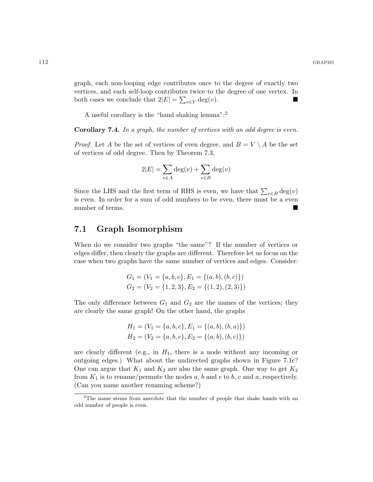graph, each non-looping edge contributes once to the degree of exactly two vertices, and each self-loop contributes twice to the degree of one vertex. In both cases we conclude that  $2|E| = \sum_{v \in V} \deg(v)$ .

A useful corollary is the "hand shaking lemma":<sup>2</sup>

Corollary 7.4. In a graph, the number of vertices with an odd degree is even.

*Proof.* Let A be the set of vertices of even degree, and  $B = V \setminus A$  be the set of vertices of odd degree. Then by Theorem 7.3,

$$
2|E| = \sum_{v \in A} \deg(v) + \sum_{v \in B} \deg(v)
$$

Since the LHS and the first term of RHS is even, we have that  $\sum_{v \in B} \deg(v)$ is even. In order for a sum of odd numbers to be even, there must be a even number of terms.

## 7.1 Graph Isomorphism

When do we consider two graphs "the same"? If the number of vertices or edges differ, then clearly the graphs are different. Therefore let us focus on the case when two graphs have the same number of vertices and edges. Consider:

$$
G_1 = (V_1 = \{a, b, c\}, E_1 = \{(a, b), (b, c)\})
$$
  

$$
G_2 = (V_2 = \{1, 2, 3\}, E_2 = \{(1, 2), (2, 3)\})
$$

The only difference between  $G_1$  and  $G_2$  are the names of the vertices; they are clearly the same graph! On the other hand, the graphs

$$
H_1 = (V_1 = \{a, b, c\}, E_1 = \{(a, b), (b, a)\})
$$
  

$$
H_2 = (V_2 = \{a, b, c\}, E_2 = \{(a, b), (b, c)\})
$$

are clearly different (e.g., in  $H_1$ , there is a node without any incoming or outgoing edges.) What about the undirected graphs shown in Figure 7.1c? One can argue that  $K_1$  and  $K_2$  are also the same graph. One way to get  $K_2$ from  $K_1$  is to rename/permute the nodes a, b and c to b, c and a, respectively. (Can you name another renaming scheme?)

 $2$ The name stems from anecdote that the number of people that shake hands with an odd number of people is even.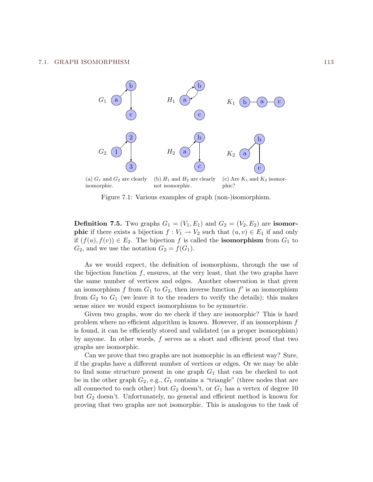

(a)  $G_1$  and  $G_2$  are clearly isomorphic. (b)  $H_1$  and  $H_2$  are clearly not isomorphic. (c) Are  $K_1$  and  $K_2$  isomorphic?

Figure 7.1: Various examples of graph (non-)isomorphism.

**Definition 7.5.** Two graphs  $G_1 = (V_1, E_1)$  and  $G_2 = (V_2, E_2)$  are **isomorphic** if there exists a bijection  $f: V_1 \to V_2$  such that  $(u, v) \in E_1$  if and only if  $(f(u), f(v)) \in E_2$ . The bijection f is called the **isomorphism** from  $G_1$  to  $G_2$ , and we use the notation  $G_2 = f(G_1)$ .

As we would expect, the definition of isomorphism, through the use of the bijection function  $f$ , ensures, at the very least, that the two graphs have the same number of vertices and edges. Another observation is that given an isomorphism f from  $G_1$  to  $G_2$ , then inverse function  $f'$  is an isomorphism from  $G_2$  to  $G_1$  (we leave it to the readers to verify the details); this makes sense since we would expect isomorphisms to be symmetric.

Given two graphs, wow do we check if they are isomorphic? This is hard problem where no efficient algorithm is known. However, if an isomorphism f is found, it can be efficiently stored and validated (as a proper isomorphism) by anyone. In other words, f serves as a short and efficient proof that two graphs are isomorphic.

Can we prove that two graphs are not isomorphic in an efficient way? Sure, if the graphs have a different number of vertices or edges. Or we may be able to find some structure present in one graph  $G_1$  that can be checked to not be in the other graph  $G_2$ , e.g.,  $G_1$  contains a "triangle" (three nodes that are all connected to each other) but  $G_2$  doesn't, or  $G_1$  has a vertex of degree 10 but  $G_2$  doesn't. Unfortunately, no general and efficient method is known for proving that two graphs are not isomorphic. This is analogous to the task of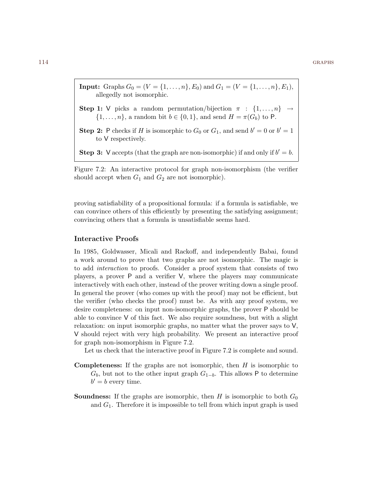- **Input:** Graphs  $G_0 = (V = \{1, ..., n\}, E_0)$  and  $G_1 = (V = \{1, ..., n\}, E_1)$ , allegedly not isomorphic.
- **Step 1:** V picks a random permutation/bijection  $\pi$  :  $\{1,\ldots,n\}$   $\rightarrow$  $\{1,\ldots,n\}$ , a random bit  $b \in \{0,1\}$ , and send  $H = \pi(G_b)$  to P.
- **Step 2:** P checks if H is isomorphic to  $G_0$  or  $G_1$ , and send  $b' = 0$  or  $b' = 1$ to V respectively.
- **Step 3:** V accepts (that the graph are non-isomorphic) if and only if  $b' = b$ .

Figure 7.2: An interactive protocol for graph non-isomorphism (the verifier should accept when  $G_1$  and  $G_2$  are not isomorphic).

proving satisfiability of a propositional formula: if a formula is satisfiable, we can convince others of this efficiently by presenting the satisfying assignment; convincing others that a formula is unsatisfiable seems hard.

#### Interactive Proofs

In 1985, Goldwasser, Micali and Rackoff, and independently Babai, found a work around to prove that two graphs are not isomorphic. The magic is to add interaction to proofs. Consider a proof system that consists of two players, a prover P and a verifier V, where the players may communicate interactively with each other, instead of the prover writing down a single proof. In general the prover (who comes up with the proof) may not be efficient, but the verifier (who checks the proof) must be. As with any proof system, we desire completeness: on input non-isomorphic graphs, the prover P should be able to convince V of this fact. We also require soundness, but with a slight relaxation: on input isomorphic graphs, no matter what the prover says to V, V should reject with very high probability. We present an interactive proof for graph non-isomorphism in Figure 7.2.

Let us check that the interactive proof in Figure 7.2 is complete and sound.

- Completeness: If the graphs are not isomorphic, then H is isomorphic to  $G_b$ , but not to the other input graph  $G_{1-b}$ . This allows P to determine  $b' = b$  every time.
- **Soundness:** If the graphs are isomorphic, then H is isomorphic to both  $G_0$ and  $G_1$ . Therefore it is impossible to tell from which input graph is used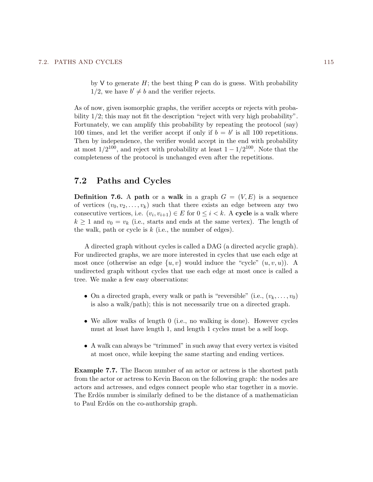by V to generate  $H$ ; the best thing P can do is guess. With probability  $1/2$ , we have  $b' \neq b$  and the verifier rejects.

As of now, given isomorphic graphs, the verifier accepts or rejects with probability 1/2; this may not fit the description "reject with very high probability". Fortunately, we can amplify this probability by repeating the protocol (say) 100 times, and let the verifier accept if only if  $b = b'$  is all 100 repetitions. Then by independence, the verifier would accept in the end with probability at most  $1/2^{100}$ , and reject with probability at least  $1 - 1/2^{100}$ . Note that the completeness of the protocol is unchanged even after the repetitions.

# 7.2 Paths and Cycles

**Definition 7.6.** A path or a walk in a graph  $G = (V, E)$  is a sequence of vertices  $(v_0, v_2, \ldots, v_k)$  such that there exists an edge between any two consecutive vertices, i.e.  $(v_i, v_{i+1}) \in E$  for  $0 \le i \le k$ . A cycle is a walk where  $k \geq 1$  and  $v_0 = v_k$  (i.e., starts and ends at the same vertex). The length of the walk, path or cycle is  $k$  (i.e., the number of edges).

A directed graph without cycles is called a DAG (a directed acyclic graph). For undirected graphs, we are more interested in cycles that use each edge at most once (otherwise an edge  $\{u, v\}$  would induce the "cycle"  $(u, v, u)$ ). A undirected graph without cycles that use each edge at most once is called a tree. We make a few easy observations:

- On a directed graph, every walk or path is "reversible" (i.e.,  $(v_k, \ldots, v_0)$ ) is also a walk/path); this is not necessarily true on a directed graph.
- We allow walks of length 0 (i.e., no walking is done). However cycles must at least have length 1, and length 1 cycles must be a self loop.
- A walk can always be "trimmed" in such away that every vertex is visited at most once, while keeping the same starting and ending vertices.

Example 7.7. The Bacon number of an actor or actress is the shortest path from the actor or actress to Kevin Bacon on the following graph: the nodes are actors and actresses, and edges connect people who star together in a movie. The Erdös number is similarly defined to be the distance of a mathematician to Paul Erdös on the co-authorship graph.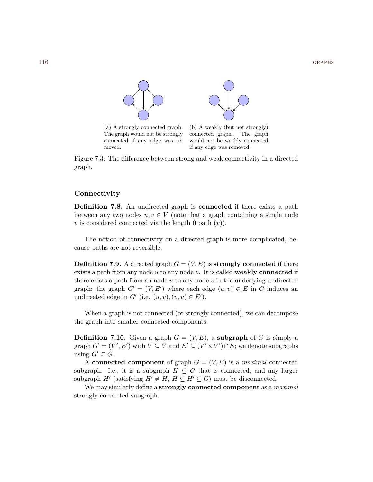

connected if any edge was removed. would not be weakly connected if any edge was removed.

Figure 7.3: The difference between strong and weak connectivity in a directed graph.

#### **Connectivity**

Definition 7.8. An undirected graph is connected if there exists a path between any two nodes  $u, v \in V$  (note that a graph containing a single node v is considered connected via the length 0 path  $(v)$ ).

The notion of connectivity on a directed graph is more complicated, because paths are not reversible.

**Definition 7.9.** A directed graph  $G = (V, E)$  is **strongly connected** if there exists a path from any node  $u$  to any node  $v$ . It is called **weakly connected** if there exists a path from an node  $u$  to any node  $v$  in the underlying undirected graph: the graph  $G' = (V, E')$  where each edge  $(u, v) \in E$  in G induces an undirected edge in  $G'$  (i.e.  $(u, v), (v, u) \in E'$ ).

When a graph is not connected (or strongly connected), we can decompose the graph into smaller connected components.

**Definition 7.10.** Given a graph  $G = (V, E)$ , a subgraph of G is simply a graph  $G' = (V', E')$  with  $V \subseteq V$  and  $E' \subseteq (V' \times V') \cap E$ ; we denote subgraphs using  $G' \subseteq G$ .

A connected component of graph  $G = (V, E)$  is a maximal connected subgraph. I.e., it is a subgraph  $H \subseteq G$  that is connected, and any larger subgraph H' (satisfying  $H' \neq H$ ,  $H \subseteq H' \subseteq G$ ) must be disconnected.

We may similarly define a **strongly connected component** as a *maximal* strongly connected subgraph.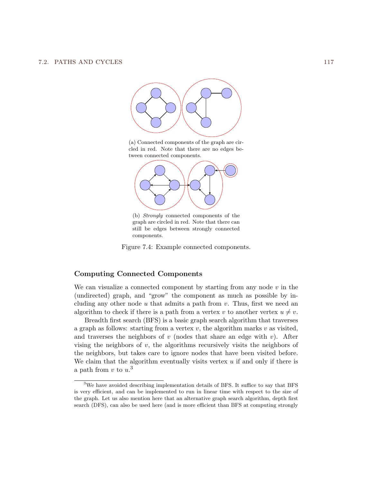#### 7.2. PATHS AND CYCLES 117



(a) Connected components of the graph are circled in red. Note that there are no edges between connected components.



(b) Strongly connected components of the graph are circled in red. Note that there can still be edges between strongly connected components.

Figure 7.4: Example connected components.

#### Computing Connected Components

We can visualize a connected component by starting from any node  $v$  in the (undirected) graph, and "grow" the component as much as possible by including any other node  $u$  that admits a path from  $v$ . Thus, first we need an algorithm to check if there is a path from a vertex v to another vertex  $u \neq v$ .

Breadth first search (BFS) is a basic graph search algorithm that traverses a graph as follows: starting from a vertex  $v$ , the algorithm marks  $v$  as visited, and traverses the neighbors of v (nodes that share an edge with v). After vising the neighbors of  $v$ , the algorithms recursively visits the neighbors of the neighbors, but takes care to ignore nodes that have been visited before. We claim that the algorithm eventually visits vertex  $u$  if and only if there is a path from  $v$  to  $u$ <sup>3</sup>

<sup>3</sup>We have avoided describing implementation details of BFS. It suffice to say that BFS is very efficient, and can be implemented to run in linear time with respect to the size of the graph. Let us also mention here that an alternative graph search algorithm, depth first search (DFS), can also be used here (and is more efficient than BFS at computing strongly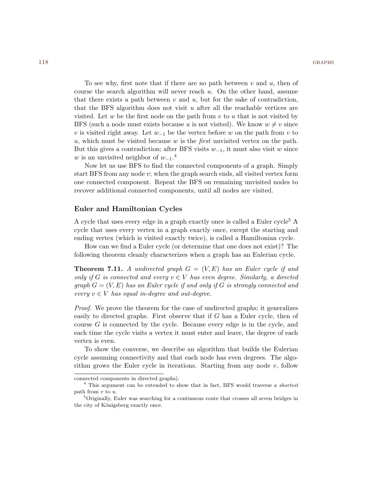To see why, first note that if there are no path between  $v$  and  $u$ , then of course the search algorithm will never reach  $u$ . On the other hand, assume that there exists a path between  $v$  and  $u$ , but for the sake of contradiction, that the BFS algorithm does not visit  $u$  after all the reachable vertices are visited. Let w be the first node on the path from  $v$  to  $u$  that is not visited by BFS (such a node must exists because u is not visited). We know  $w \neq v$  since v is visited right away. Let  $w_{-1}$  be the vertex before w on the path from v to u, which must be visited because  $w$  is the *first* unvisited vertex on the path. But this gives a contradiction; after BFS visits  $w_{-1}$ , it must also visit w since w is an unvisited neighbor of  $w_{-1}.^4$ 

Now let us use BFS to find the connected components of a graph. Simply start BFS from any node v; when the graph search ends, all visited vertex form one connected component. Repeat the BFS on remaining unvisited nodes to recover additional connected components, until all nodes are visited.

### Euler and Hamiltonian Cycles

A cycle that uses every edge in a graph exactly once is called a Euler cycle<sup>5</sup> A cycle that uses every vertex in a graph exactly once, except the starting and ending vertex (which is visited exactly twice), is called a Hamiltonian cycle.

How can we find a Euler cycle (or determine that one does not exist)? The following theorem cleanly characterizes when a graph has an Eulerian cycle.

**Theorem 7.11.** A undirected graph  $G = (V, E)$  has an Euler cycle if and only if G is connected and every  $v \in V$  has even degree. Similarly, a directed graph  $G = (V, E)$  has an Euler cycle if and only if G is strongly connected and every  $v \in V$  has equal in-degree and out-degree.

Proof. We prove the theorem for the case of undirected graphs; it generalizes easily to directed graphs. First observe that if G has a Euler cycle, then of course G is connected by the cycle. Because every edge is in the cycle, and each time the cycle visits a vertex it must enter and leave, the degree of each vertex is even.

To show the converse, we describe an algorithm that builds the Eulerian cycle assuming connectivity and that each node has even degrees. The algorithm grows the Euler cycle in iterations. Starting from any node  $v$ , follow

connected components in directed graphs).

<sup>&</sup>lt;sup>4</sup> This argument can be extended to show that in fact, BFS would traverse a *shortest* path from  $v$  to  $u$ .

<sup>&</sup>lt;sup>5</sup>Originally, Euler was searching for a continuous route that crosses all seven bridges in the city of Königsberg exactly once.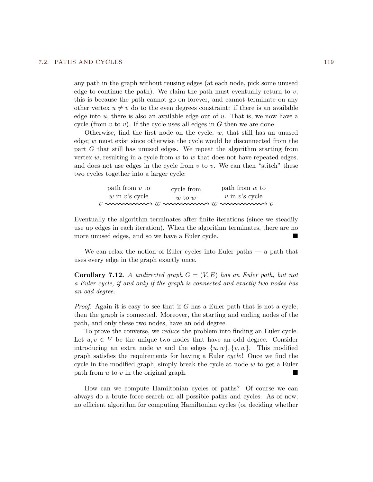#### 7.2. PATHS AND CYCLES 119

any path in the graph without reusing edges (at each node, pick some unused edge to continue the path). We claim the path must eventually return to  $v$ ; this is because the path cannot go on forever, and cannot terminate on any other vertex  $u \neq v$  do to the even degrees constraint: if there is an available edge into  $u$ , there is also an available edge out of  $u$ . That is, we now have a cycle (from  $v$  to  $v$ ). If the cycle uses all edges in  $G$  then we are done.

Otherwise, find the first node on the cycle,  $w$ , that still has an unused edge;  $w$  must exist since otherwise the cycle would be disconnected from the part G that still has unused edges. We repeat the algorithm starting from vertex  $w$ , resulting in a cycle from  $w$  to  $w$  that does not have repeated edges, and does not use edges in the cycle from  $v$  to  $v$ . We can then "stitch" these two cycles together into a larger cycle:

| path from v to      | cycle from        | path from $w$ to                                                                                                                                                                                                                                                                                                                             |
|---------------------|-------------------|----------------------------------------------------------------------------------------------------------------------------------------------------------------------------------------------------------------------------------------------------------------------------------------------------------------------------------------------|
| $w$ in $v$ 's cycle | $w \text{ to } w$ | $v$ in $v$ 's cycle                                                                                                                                                                                                                                                                                                                          |
|                     |                   | $v \sim v$ $\sim$ $v \sim v$ $\sim$ $v \sim v$ $\sim$ $v \sim$ $v \sim v$ $\sim$ $v \sim$ $v \sim$ $v \sim$ $v \sim$ $v \sim$ $v \sim$ $v \sim$ $v \sim$ $v \sim$ $v \sim$ $v \sim$ $v \sim$ $v \sim$ $v \sim$ $v \sim$ $v \sim$ $v \sim$ $v \sim$ $v \sim$ $v \sim$ $v \sim$ $v \sim$ $v \sim$ $v \sim$ $v \sim$ $v \sim$ $v \sim$ $v \sim$ |

Eventually the algorithm terminates after finite iterations (since we steadily use up edges in each iteration). When the algorithm terminates, there are no more unused edges, and so we have a Euler cycle.

We can relax the notion of Euler cycles into Euler paths — a path that uses every edge in the graph exactly once.

**Corollary 7.12.** A undirected graph  $G = (V, E)$  has an Euler path, but not a Euler cycle, if and only if the graph is connected and exactly two nodes has an odd degree.

*Proof.* Again it is easy to see that if G has a Euler path that is not a cycle, then the graph is connected. Moreover, the starting and ending nodes of the path, and only these two nodes, have an odd degree.

To prove the converse, we reduce the problem into finding an Euler cycle. Let  $u, v \in V$  be the unique two nodes that have an odd degree. Consider introducing an extra node w and the edges  $\{u, w\}$ ,  $\{v, w\}$ . This modified graph satisfies the requirements for having a Euler cycle! Once we find the cycle in the modified graph, simply break the cycle at node  $w$  to get a Euler path from  $u$  to  $v$  in the original graph.

How can we compute Hamiltonian cycles or paths? Of course we can always do a brute force search on all possible paths and cycles. As of now, no efficient algorithm for computing Hamiltonian cycles (or deciding whether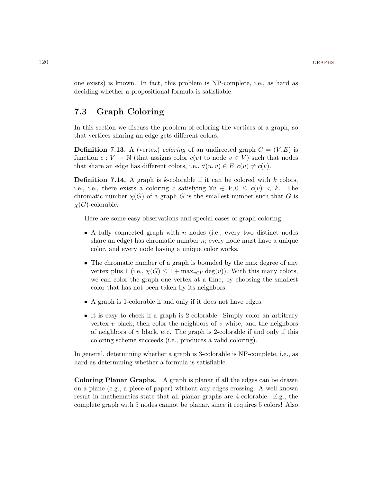one exists) is known. In fact, this problem is NP-complete, i.e., as hard as deciding whether a propositional formula is satisfiable.

# 7.3 Graph Coloring

In this section we discuss the problem of coloring the vertices of a graph, so that vertices sharing an edge gets different colors.

**Definition 7.13.** A (vertex) coloring of an undirected graph  $G = (V, E)$  is function  $c: V \to \mathbb{N}$  (that assigns color  $c(v)$  to node  $v \in V$ ) such that nodes that share an edge has different colors, i.e.,  $\forall (u, v) \in E$ ,  $c(u) \neq c(v)$ .

**Definition 7.14.** A graph is k-colorable if it can be colored with k colors, i.e., i.e., there exists a coloring c satisfying  $\forall v \in V, 0 \leq c(v) < k$ . The chromatic number  $\chi(G)$  of a graph G is the smallest number such that G is  $\chi(G)$ -colorable.

Here are some easy observations and special cases of graph coloring:

- A fully connected graph with n nodes (i.e., every two distinct nodes share an edge) has chromatic number  $n$ ; every node must have a unique color, and every node having a unique color works.
- The chromatic number of a graph is bounded by the max degree of any vertex plus 1 (i.e.,  $\chi(G) \leq 1 + \max_{v \in V} \deg(v)$ ). With this many colors, we can color the graph one vertex at a time, by choosing the smallest color that has not been taken by its neighbors.
- A graph is 1-colorable if and only if it does not have edges.
- It is easy to check if a graph is 2-colorable. Simply color an arbitrary vertex  $v$  black, then color the neighbors of  $v$  white, and the neighbors of neighbors of  $v$  black, etc. The graph is 2-colorable if and only if this coloring scheme succeeds (i.e., produces a valid coloring).

In general, determining whether a graph is 3-colorable is NP-complete, i.e., as hard as determining whether a formula is satisfiable.

Coloring Planar Graphs. A graph is planar if all the edges can be drawn on a plane (e.g., a piece of paper) without any edges crossing. A well-known result in mathematics state that all planar graphs are 4-colorable. E.g., the complete graph with 5 nodes cannot be planar, since it requires 5 colors! Also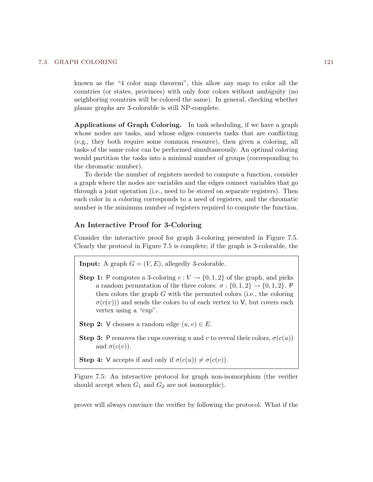#### 7.3. GRAPH COLORING 121

known as the "4 color map theorem", this allow any map to color all the countries (or states, provinces) with only four colors without ambiguity (no neighboring countries will be colored the same). In general, checking whether planar graphs are 3-colorable is still NP-complete.

Applications of Graph Coloring. In task scheduling, if we have a graph whose nodes are tasks, and whose edges connects tasks that are conflicting (e.g., they both require some common resource), then given a coloring, all tasks of the same color can be performed simultaneously. An optimal coloring would partition the tasks into a minimal number of groups (corresponding to the chromatic number).

To decide the number of registers needed to compute a function, consider a graph where the nodes are variables and the edges connect variables that go through a joint operation (i.e., need to be stored on separate registers). Then each color in a coloring corresponds to a need of registers, and the chromatic number is the minimum number of registers required to compute the function.

### An Interactive Proof for 3-Coloring

Consider the interactive proof for graph 3-coloring presented in Figure 7.5. Clearly the protocol in Figure 7.5 is complete; if the graph is 3-colorable, the

**Input:** A graph  $G = (V, E)$ , allegedly 3-colorable.

Step 1: P computes a 3-coloring  $c: V \to \{0, 1, 2\}$  of the graph, and picks a random permutation of the three colors:  $\sigma : \{0, 1, 2\} \rightarrow \{0, 1, 2\}$ . P then colors the graph G with the permuted colors (i.e., the coloring  $\sigma(c(v))$  and sends the colors to of each vertex to V, but covers each vertex using a "cup".

Step 2: V chooses a random edge  $(u, v) \in E$ .

Step 3: P removes the cups covering u and v to reveal their colors,  $\sigma(c(u))$ and  $\sigma(c(v))$ .

**Step 4:** V accepts if and only if  $\sigma(c(u)) \neq \sigma(c(v))$ .

Figure 7.5: An interactive protocol for graph non-isomorphism (the verifier should accept when  $G_1$  and  $G_2$  are not isomorphic).

prover will always convince the verifier by following the protocol. What if the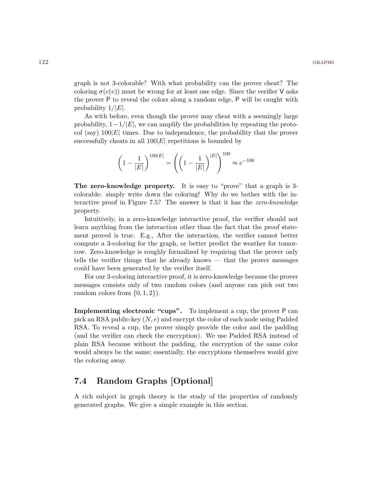graph is not 3-colorable? With what probability can the prover cheat? The coloring  $\sigma(c(v))$  must be wrong for at least one edge. Since the verifier V asks the prover P to reveal the colors along a random edge, P will be caught with probability  $1/|E|$ .

As with before, even though the prover may cheat with a seemingly large probability,  $1-1/|E|$ , we can amplify the probabilities by repeating the protocol (say)  $100|E|$  times. Due to independence, the probability that the prover successfully cheats in all  $100|E|$  repetitions is bounded by

$$
\left(1 - \frac{1}{|E|}\right)^{100|E|} = \left(\left(1 - \frac{1}{|E|}\right)^{|E|}\right)^{100} \approx e^{-100}
$$

The zero-knowledge property. It is easy to "prove" that a graph is 3 colorable: simply write down the coloring! Why do we bother with the interactive proof in Figure 7.5? The answer is that it has the zero-knowledge property.

Intuitively, in a zero-knowledge interactive proof, the verifier should not learn anything from the interaction other than the fact that the proof statement proved is true. E.g., After the interaction, the verifier cannot better compute a 3-coloring for the graph, or better predict the weather for tomorrow. Zero-knowledge is roughly formalized by requiring that the prover only tells the verifier things that he already knows — that the prover messages could have been generated by the verifier itself.

For our 3-coloring interactive proof, it is zero-knowledge because the prover messages consists only of two random colors (and anyone can pick out two random colors from  $\{0, 1, 2\}$ .

Implementing electronic "cups". To implement a cup, the prover P can pick an RSA public-key  $(N, e)$  and encrypt the color of each node using Padded RSA. To reveal a cup, the prover simply provide the color and the padding (and the verifier can check the encryption). We use Padded RSA instead of plain RSA because without the padding, the encryption of the same color would always be the same; essentially, the encryptions themselves would give the coloring away.

# 7.4 Random Graphs [Optional]

A rich subject in graph theory is the study of the properties of randomly generated graphs. We give a simple example in this section.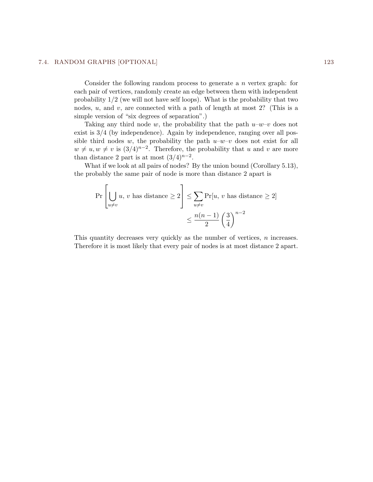#### 7.4. RANDOM GRAPHS [OPTIONAL] 123

Consider the following random process to generate a  $n$  vertex graph: for each pair of vertices, randomly create an edge between them with independent probability 1/2 (we will not have self loops). What is the probability that two nodes,  $u$ , and  $v$ , are connected with a path of length at most 2? (This is a simple version of "six degrees of separation".)

Taking any third node w, the probability that the path  $u-w-v$  does not exist is 3/4 (by independence). Again by independence, ranging over all possible third nodes w, the probability the path  $u-w-v$  does not exist for all  $w \neq u, w \neq v$  is  $(3/4)^{n-2}$ . Therefore, the probability that u and v are more than distance 2 part is at most  $(3/4)^{n-2}$ .

What if we look at all pairs of nodes? By the union bound (Corollary 5.13), the probably the same pair of node is more than distance 2 apart is

$$
\Pr\left[\bigcup_{u \neq v} u, v \text{ has distance } \geq 2\right] \leq \sum_{u \neq v} \Pr[u, v \text{ has distance } \geq 2]
$$

$$
\leq \frac{n(n-1)}{2} \left(\frac{3}{4}\right)^{n-2}
$$

This quantity decreases very quickly as the number of vertices,  $n$  increases. Therefore it is most likely that every pair of nodes is at most distance 2 apart.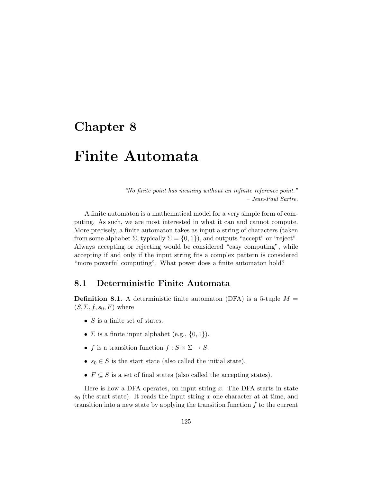# Chapter 8

# Finite Automata

"No finite point has meaning without an infinite reference point." – Jean-Paul Sartre.

A finite automaton is a mathematical model for a very simple form of computing. As such, we are most interested in what it can and cannot compute. More precisely, a finite automaton takes as input a string of characters (taken from some alphabet  $\Sigma$ , typically  $\Sigma = \{0, 1\}$ , and outputs "accept" or "reject". Always accepting or rejecting would be considered "easy computing", while accepting if and only if the input string fits a complex pattern is considered "more powerful computing". What power does a finite automaton hold?

## 8.1 Deterministic Finite Automata

**Definition 8.1.** A deterministic finite automaton (DFA) is a 5-tuple  $M =$  $(S, \Sigma, f, s_0, F)$  where

- $S$  is a finite set of states.
- $\Sigma$  is a finite input alphabet (e.g.,  $\{0, 1\}$ ).
- f is a transition function  $f : S \times \Sigma \to S$ .
- $s_0 \in S$  is the start state (also called the initial state).
- $F \subseteq S$  is a set of final states (also called the accepting states).

Here is how a DFA operates, on input string  $x$ . The DFA starts in state  $s_0$  (the start state). It reads the input string x one character at at time, and transition into a new state by applying the transition function  $f$  to the current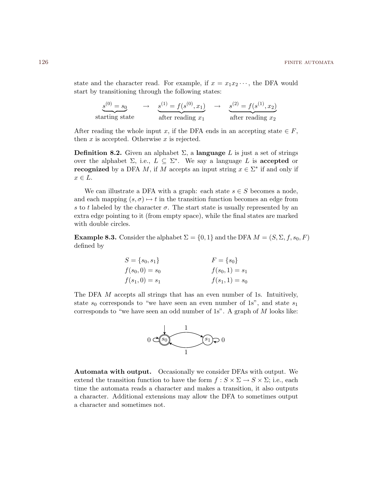state and the character read. For example, if  $x = x_1x_2\cdots$ , the DFA would start by transitioning through the following states:

$$
s^{(0)} = s_0 \rightarrow s^{(1)} = f(s^{(0)}, x_1) \rightarrow s^{(2)} = f(s^{(1)}, x_2)
$$
  
starting state  
after reading  $x_1$  after reading  $x_2$ 

After reading the whole input x, if the DFA ends in an accepting state  $\in F$ , then  $x$  is accepted. Otherwise  $x$  is rejected.

**Definition 8.2.** Given an alphabet  $\Sigma$ , a **language** L is just a set of strings over the alphabet  $\Sigma$ , i.e.,  $L \subseteq \Sigma^*$ . We say a language L is **accepted** or **recognized** by a DFA M, if M accepts an input string  $x \in \Sigma^*$  if and only if  $x \in L$ .

We can illustrate a DFA with a graph: each state  $s \in S$  becomes a node, and each mapping  $(s, \sigma) \mapsto t$  in the transition function becomes an edge from s to t labeled by the character  $\sigma$ . The start state is usually represented by an extra edge pointing to it (from empty space), while the final states are marked with double circles.

**Example 8.3.** Consider the alphabet  $\Sigma = \{0, 1\}$  and the DFA  $M = (S, \Sigma, f, s_0, F)$ defined by

| $S = \{s_0, s_1\}$ | $F = \{s_0\}$     |
|--------------------|-------------------|
| $f(s_0, 0) = s_0$  | $f(s_0,1)=s_1$    |
| $f(s_1,0)=s_1$     | $f(s_1, 1) = s_0$ |

The DFA M accepts all strings that has an even number of 1s. Intuitively, state  $s_0$  corresponds to "we have seen an even number of 1s", and state  $s_1$ corresponds to "we have seen an odd number of 1s". A graph of  $M$  looks like:



Automata with output. Occasionally we consider DFAs with output. We extend the transition function to have the form  $f : S \times \Sigma \to S \times \Sigma$ ; i.e., each time the automata reads a character and makes a transition, it also outputs a character. Additional extensions may allow the DFA to sometimes output a character and sometimes not.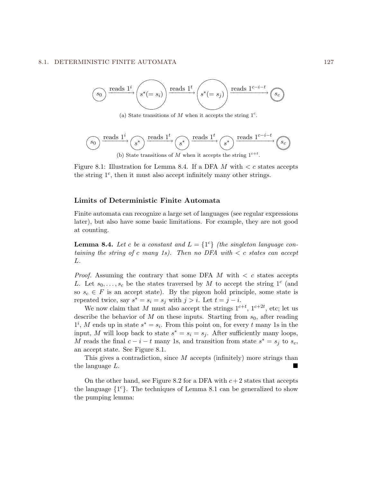#### 8.1. DETERMINISTIC FINITE AUTOMATA 127



(a) State transitions of M when it accepts the string  $1<sup>c</sup>$ .



Figure 8.1: Illustration for Lemma 8.4. If a DFA M with  $\lt c$  states accepts the string  $1<sup>c</sup>$ , then it must also accept infinitely many other strings.

## Limits of Deterministic Finite Automata

Finite automata can recognize a large set of languages (see regular expressions later), but also have some basic limitations. For example, they are not good at counting.

**Lemma 8.4.** Let c be a constant and  $L = \{1^c\}$  (the singleton language containing the string of c many 1s). Then no DFA with  $\lt c$  states can accept L.

*Proof.* Assuming the contrary that some DFA M with  $\lt c$  states accepts L. Let  $s_0, \ldots, s_c$  be the states traversed by M to accept the string 1<sup>c</sup> (and so  $s_c \in F$  is an accept state). By the pigeon hold principle, some state is repeated twice, say  $s^* = s_i = s_j$  with  $j > i$ . Let  $t = j - i$ .

We now claim that M must also accept the strings  $1^{c+t}$ ,  $1^{c+2t}$ , etc; let us describe the behavior of M on these inputs. Starting from  $s_0$ , after reading  $1^i$ , M ends up in state  $s^* = s_i$ . From this point on, for every t many 1s in the input, M will loop back to state  $s^* = s_i = s_j$ . After sufficiently many loops, M reads the final  $c - i - t$  many 1s, and transition from state  $s^* = s_j$  to  $s_c$ , an accept state. See Figure 8.1.

This gives a contradiction, since  $M$  accepts (infinitely) more strings than the language L.

On the other hand, see Figure 8.2 for a DFA with  $c+2$  states that accepts the language  $\{1^c\}$ . The techniques of Lemma 8.1 can be generalized to show the pumping lemma: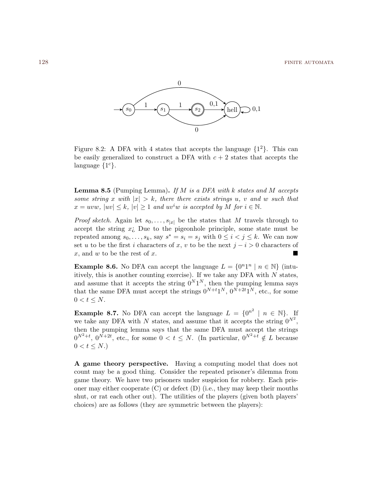

Figure 8.2: A DFA with 4 states that accepts the language  $\{1^2\}$ . This can be easily generalized to construct a DFA with  $c + 2$  states that accepts the language  $\{1^c\}.$ 

**Lemma 8.5** (Pumping Lemma). If M is a DFA with k states and M accepts some string x with  $|x| > k$ , there there exists strings u, v and w such that  $x = uvw, |uv| \leq k, |v| \geq 1$  and  $uv^iw$  is accepted by M for  $i \in \mathbb{N}$ .

*Proof sketch.* Again let  $s_0, \ldots, s_{|x|}$  be the states that M travels through to accept the string  $x_i$ . Due to the pigeonhole principle, some state must be repeated among  $s_0, \ldots, s_k$ , say  $s^* = s_i = s_j$  with  $0 \leq i < j \leq k$ . We can now set u to be the first i characters of x, v to be the next  $j - i > 0$  characters of  $x$ , and  $w$  to be the rest of  $x$ .

**Example 8.6.** No DFA can accept the language  $L = \{0^n1^n \mid n \in \mathbb{N}\}\$  (intuitively, this is another counting exercise). If we take any DFA with  $N$  states, and assume that it accepts the string  $0^N1^N$ , then the pumping lemma says that the same DFA must accept the strings  $0^{N+t}1^N$ ,  $0^{N+2t}1^N$ , etc., for some  $0 < t \leq N$ .

**Example 8.7.** No DFA can accept the language  $L = \{0^{n^2} \mid n \in \mathbb{N}\}\$ . If we take any DFA with N states, and assume that it accepts the string  $0^{N^2}$ , then the pumping lemma says that the same DFA must accept the strings  $0^{N^2+t}$ ,  $0^{N+2t}$ , etc., for some  $0 < t \leq N$ . (In particular,  $0^{N^2+t} \notin L$  because  $0 < t \leq N.$ 

A game theory perspective. Having a computing model that does not count may be a good thing. Consider the repeated prisoner's dilemma from game theory. We have two prisoners under suspicion for robbery. Each prisoner may either cooperate  $(C)$  or defect  $(D)$  (i.e., they may keep their mouths shut, or rat each other out). The utilities of the players (given both players' choices) are as follows (they are symmetric between the players):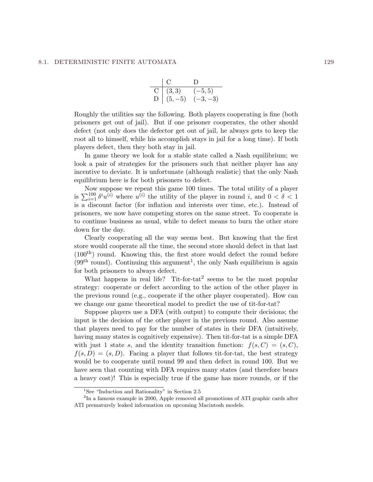|   | (3,3)     | $(-5, 5)$           |
|---|-----------|---------------------|
| D | $(5, -5)$ | $\zeta$ -3)<br>$-5$ |

Roughly the utilities say the following. Both players cooperating is fine (both prisoners get out of jail). But if one prisoner cooperates, the other should defect (not only does the defector get out of jail, he always gets to keep the root all to himself, while his accomplish stays in jail for a long time). If both players defect, then they both stay in jail.

In game theory we look for a stable state called a Nash equilibrium; we look a pair of strategies for the prisoners such that neither player has any incentive to deviate. It is unfortunate (although realistic) that the only Nash equilibrium here is for both prisoners to defect.

Now suppose we repeat this game 100 times. The total utility of a player is  $\sum_{i=1}^{100} \delta^i u^{(i)}$  where  $u^{(i)}$  the utility of the player in round i, and  $0 < \delta < 1$ is a discount factor (for inflation and interests over time, etc.). Instead of prisoners, we now have competing stores on the same street. To cooperate is to continue business as usual, while to defect means to burn the other store down for the day.

Clearly cooperating all the way seems best. But knowing that the first store would cooperate all the time, the second store should defect in that last  $(100<sup>th</sup>)$  round. Knowing this, the first store would defect the round before  $(99<sup>th</sup>$  round). Continuing this argument<sup>1</sup>, the only Nash equilibrium is again for both prisoners to always defect.

What happens in real life? Tit-for-tat<sup>2</sup> seems to be the most popular strategy: cooperate or defect according to the action of the other player in the previous round (e.g., cooperate if the other player cooperated). How can we change our game theoretical model to predict the use of tit-for-tat?

Suppose players use a DFA (with output) to compute their decisions; the input is the decision of the other player in the previous round. Also assume that players need to pay for the number of states in their DFA (intuitively, having many states is cognitively expensive). Then tit-for-tat is a simple DFA with just 1 state s, and the identity transition function:  $f(s, C) = (s, C)$ ,  $f(s, D) = (s, D)$ . Facing a player that follows tit-for-tat, the best strategy would be to cooperate until round 99 and then defect in round 100. But we have seen that counting with DFA requires many states (and therefore bears a heavy cost)! This is especially true if the game has more rounds, or if the

<sup>&</sup>lt;sup>1</sup>See "Induction and Rationality" in Section 2.5

<sup>&</sup>lt;sup>2</sup>In a famous example in 2000, Apple removed all promotions of ATI graphic cards after ATI prematurely leaked information on upcoming Macintosh models.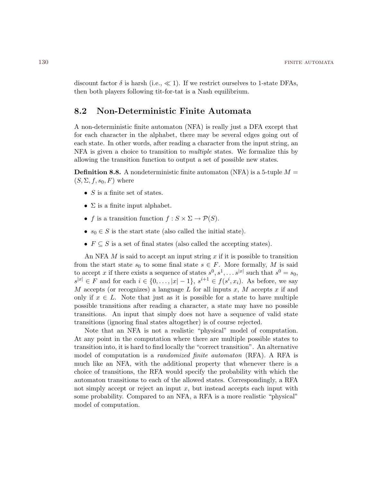discount factor  $\delta$  is harsh (i.e.,  $\ll 1$ ). If we restrict ourselves to 1-state DFAs, then both players following tit-for-tat is a Nash equilibrium.

# 8.2 Non-Deterministic Finite Automata

A non-deterministic finite automaton (NFA) is really just a DFA except that for each character in the alphabet, there may be several edges going out of each state. In other words, after reading a character from the input string, an NFA is given a choice to transition to multiple states. We formalize this by allowing the transition function to output a set of possible new states.

**Definition 8.8.** A nondeterministic finite automaton (NFA) is a 5-tuple  $M =$  $(S, \Sigma, f, s_0, F)$  where

- $S$  is a finite set of states.
- $\Sigma$  is a finite input alphabet.
- f is a transition function  $f : S \times \Sigma \rightarrow \mathcal{P}(S)$ .
- $s_0 \in S$  is the start state (also called the initial state).
- $F \subseteq S$  is a set of final states (also called the accepting states).

An NFA  $M$  is said to accept an input string  $x$  if it is possible to transition from the start state  $s_0$  to some final state  $s \in F$ . More formally, M is said to accept x if there exists a sequence of states  $s^0, s^1, \ldots s^{|x|}$  such that  $s^0 = s_0$ ,  $s^{|x|} \in F$  and for each  $i \in \{0, \ldots, |x| - 1\}$ ,  $s^{i+1} \in f(s^i, x_i)$ . As before, we say M accepts (or recognizes) a language  $L$  for all inputs  $x$ ,  $M$  accepts  $x$  if and only if  $x \in L$ . Note that just as it is possible for a state to have multiple possible transitions after reading a character, a state may have no possible transitions. An input that simply does not have a sequence of valid state transitions (ignoring final states altogether) is of course rejected.

Note that an NFA is not a realistic "physical" model of computation. At any point in the computation where there are multiple possible states to transition into, it is hard to find locally the "correct transition". An alternative model of computation is a *randomized finite automaton* (RFA). A RFA is much like an NFA, with the additional property that whenever there is a choice of transitions, the RFA would specify the probability with which the automaton transitions to each of the allowed states. Correspondingly, a RFA not simply accept or reject an input  $x$ , but instead accepts each input with some probability. Compared to an NFA, a RFA is a more realistic "physical" model of computation.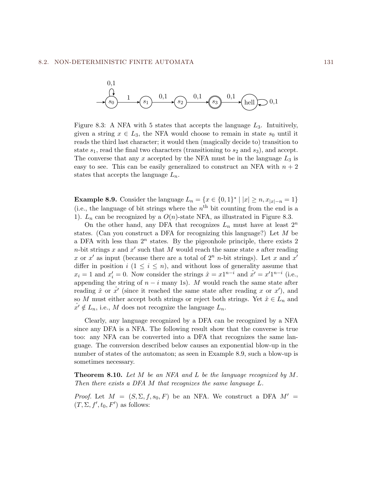

Figure 8.3: A NFA with 5 states that accepts the language  $L_3$ . Intuitively, given a string  $x \in L_3$ , the NFA would choose to remain in state  $s_0$  until it reads the third last character; it would then (magically decide to) transition to state  $s_1$ , read the final two characters (transitioning to  $s_2$  and  $s_3$ ), and accept. The converse that any x accepted by the NFA must be in the language  $L_3$  is easy to see. This can be easily generalized to construct an NFA with  $n + 2$ states that accepts the language  $L_n$ .

**Example 8.9.** Consider the language  $L_n = \{x \in \{0,1\}^* \mid |x| \ge n, x_{|x|-n} = 1\}$ (i.e., the language of bit strings where the  $n<sup>th</sup>$  bit counting from the end is a 1).  $L_n$  can be recognized by a  $O(n)$ -state NFA, as illustrated in Figure 8.3.

On the other hand, any DFA that recognizes  $L_n$  must have at least  $2^n$ states. (Can you construct a DFA for recognizing this language?) Let M be a DFA with less than  $2^n$  states. By the pigeonhole principle, there exists 2 *n*-bit strings x and x' such that M would reach the same state s after reading x or x' as input (because there are a total of  $2^n$  n-bit strings). Let x and x' differ in position  $i$  ( $1 \leq i \leq n$ ), and without loss of generality assume that  $x_i = 1$  and  $x'_i = 0$ . Now consider the strings  $\hat{x} = x1^{n-i}$  and  $\hat{x'} = x'1^{n-i}$  (i.e., appending the string of  $n - i$  many 1s). M would reach the same state after reading  $\hat{x}$  or  $\hat{x'}$  (since it reached the same state after reading x or x'), and so M must either accept both strings or reject both strings. Yet  $\hat{x} \in L_n$  and  $x' \notin L_n$ , i.e., M does not recognize the language  $L_n$ .

Clearly, any language recognized by a DFA can be recognized by a NFA since any DFA is a NFA. The following result show that the converse is true too: any NFA can be converted into a DFA that recognizes the same language. The conversion described below causes an exponential blow-up in the number of states of the automaton; as seen in Example 8.9, such a blow-up is sometimes necessary.

**Theorem 8.10.** Let  $M$  be an NFA and  $L$  be the language recognized by  $M$ . Then there exists a DFA M that recognizes the same language L.

*Proof.* Let  $M = (S, \Sigma, f, s_0, F)$  be an NFA. We construct a DFA  $M' =$  $(T, \Sigma, f', t_0, F')$  as follows: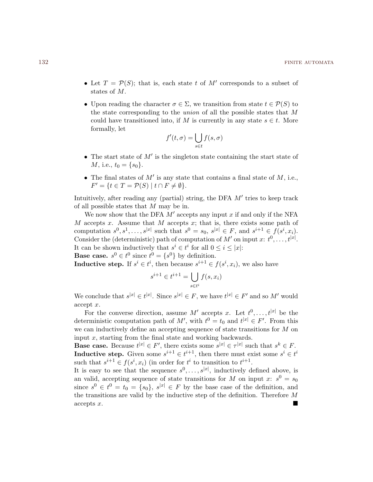- Let  $T = \mathcal{P}(S)$ ; that is, each state t of M' corresponds to a subset of states of M.
- Upon reading the character  $\sigma \in \Sigma$ , we transition from state  $t \in \mathcal{P}(S)$  to the state corresponding to the union of all the possible states that M could have transitioned into, if M is currently in any state  $s \in t$ . More formally, let

$$
f'(t, \sigma) = \bigcup_{s \in t} f(s, \sigma)
$$

- The start state of  $M'$  is the singleton state containing the start state of *M*, i.e.,  $t_0 = \{s_0\}$ .
- The final states of  $M'$  is any state that contains a final state of  $M$ , i.e.,  $F' = \{t \in T = \mathcal{P}(S) \mid t \cap F \neq \emptyset\}.$

Intuitively, after reading any (partial) string, the DFA  $M'$  tries to keep track of all possible states that  $M$  may be in.

We now show that the DFA  $M'$  accepts any input x if and only if the NFA M accepts x. Assume that M accepts x; that is, there exists some path of computation  $s^0, s^1, \ldots, s^{|x|}$  such that  $s^0 = s_0, s^{|x|} \in F$ , and  $s^{i+1} \in f(s^i, x_i)$ . Consider the (deterministic) path of computation of M' on input x:  $t^0, \ldots, t^{|x|}$ . It can be shown inductively that  $s^i \in t^i$  for all  $0 \leq i \leq |x|$ :

**Base case.**  $s^0 \in t^0$  since  $t^0 = \{s^0\}$  by definition. **Inductive step.** If  $s^i \in t^i$ , then because  $s^{i+1} \in f(s^i, x_i)$ , we also have

$$
s^{i+1} \in t^{i+1} = \bigcup f(s, x_i)
$$

$$
\in \iota \quad - \bigcup_{s \in t^i} J(s, x_i)
$$

We conclude that  $s^{|x|} \in t^{|x|}$ . Since  $s^{|x|} \in F$ , we have  $t^{|x|} \in F'$  and so M' would accept x.

For the converse direction, assume M' accepts x. Let  $t^0, \ldots, t^{|x|}$  be the deterministic computation path of  $M'$ , with  $t^0 = t_0$  and  $t^{|x|} \in F'$ . From this we can inductively define an accepting sequence of state transitions for M on input  $x$ , starting from the final state and working backwards.

**Base case.** Because  $t^{|x|} \in F'$ , there exists some  $s^{|x|} \in \tau^{|x|}$  such that  $s^k \in F$ . **Inductive step.** Given some  $s^{i+1} \in t^{i+1}$ , then there must exist some  $s^i \in t^i$ such that  $s^{i+1} \in f(s^i, x_i)$  (in order for  $t^i$  to transition to  $t^{i+1}$ .

It is easy to see that the sequence  $s^0, \ldots, s^{|x|}$ , inductively defined above, is an valid, accepting sequence of state transitions for M on input x:  $s^0 = s_0$ since  $s^0 \in t^0 = t_0 = \{s_0\},\ s^{|x|} \in F$  by the base case of the definition, and the transitions are valid by the inductive step of the definition. Therefore M accepts x.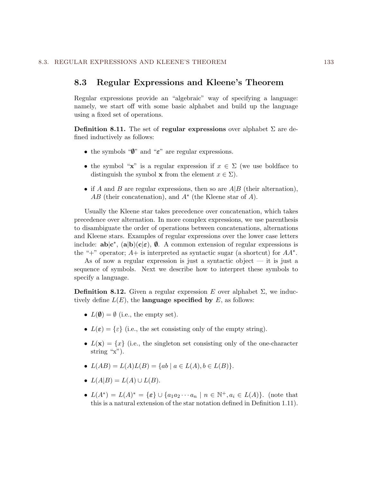## 8.3 Regular Expressions and Kleene's Theorem

Regular expressions provide an "algebraic" way of specifying a language: namely, we start off with some basic alphabet and build up the language using a fixed set of operations.

**Definition 8.11.** The set of regular expressions over alphabet  $\Sigma$  are defined inductively as follows:

- the symbols " $\emptyset$ " and " $\varepsilon$ " are regular expressions.
- the symbol " $\mathbf{x}$ " is a regular expression if  $x \in \Sigma$  (we use boldface to distinguish the symbol **x** from the element  $x \in \Sigma$ ).
- if A and B are regular expressions, then so are  $A|B$  (their alternation),  $AB$  (their concatenation), and  $A^*$  (the Kleene star of  $A$ ).

Usually the Kleene star takes precedence over concatenation, which takes precedence over alternation. In more complex expressions, we use parenthesis to disambiguate the order of operations between concatenations, alternations and Kleene stars. Examples of regular expressions over the lower case letters include:  $ab|c^*, (a|b)(c|\varepsilon), \emptyset$ . A common extension of regular expressions is the "+" operator;  $A+$  is interpreted as syntactic sugar (a shortcut) for  $AA^*$ .

As of now a regular expression is just a syntactic object  $-$  it is just a sequence of symbols. Next we describe how to interpret these symbols to specify a language.

**Definition 8.12.** Given a regular expression E over alphabet  $\Sigma$ , we inductively define  $L(E)$ , the language specified by E, as follows:

- $L(\emptyset) = \emptyset$  (i.e., the empty set).
- $L(\varepsilon) = {\varepsilon}$  (i.e., the set consisting only of the empty string).
- $L(\mathbf{x}) = \{x\}$  (i.e., the singleton set consisting only of the one-character string " $x$ ").
- $L(AB) = L(A)L(B) = \{ab \mid a \in L(A), b \in L(B)\}.$
- $L(A|B) = L(A) \cup L(B)$ .
- $L(A^*) = L(A)^* = {\varepsilon} \cup \{a_1 a_2 \cdots a_n \mid n \in \mathbb{N}^+, a_i \in L(A)\}.$  (note that this is a natural extension of the star notation defined in Definition 1.11).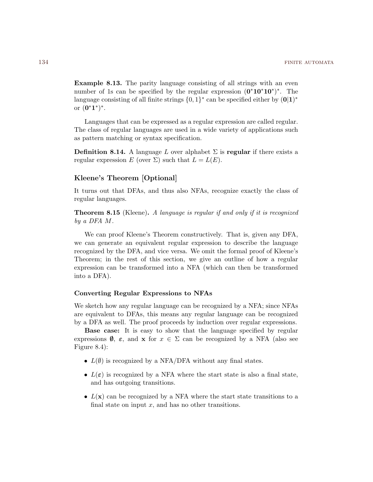Example 8.13. The parity language consisting of all strings with an even number of 1s can be specified by the regular expression  $(0^*10^*10^*)^*$ . The language consisting of all finite strings  $\{0,1\}^*$  can be specified either by  $(0|1)^*$ or  $(0^*1^*)^*$ .

Languages that can be expressed as a regular expression are called regular. The class of regular languages are used in a wide variety of applications such as pattern matching or syntax specification.

**Definition 8.14.** A language L over alphabet  $\Sigma$  is regular if there exists a regular expression E (over  $\Sigma$ ) such that  $L = L(E)$ .

### Kleene's Theorem [Optional]

It turns out that DFAs, and thus also NFAs, recognize exactly the class of regular languages.

**Theorem 8.15** (Kleene). A language is regular if and only if it is recognized by a DFA M.

We can proof Kleene's Theorem constructively. That is, given any DFA, we can generate an equivalent regular expression to describe the language recognized by the DFA, and vice versa. We omit the formal proof of Kleene's Theorem; in the rest of this section, we give an outline of how a regular expression can be transformed into a NFA (which can then be transformed into a DFA).

#### Converting Regular Expressions to NFAs

We sketch how any regular language can be recognized by a NFA; since NFAs are equivalent to DFAs, this means any regular language can be recognized by a DFA as well. The proof proceeds by induction over regular expressions.

Base case: It is easy to show that the language specified by regular expressions  $\emptyset$ ,  $\varepsilon$ , and  $x$  for  $x \in \Sigma$  can be recognized by a NFA (also see Figure 8.4):

- $L(\emptyset)$  is recognized by a NFA/DFA without any final states.
- $L(\varepsilon)$  is recognized by a NFA where the start state is also a final state, and has outgoing transitions.
- $L(\mathbf{x})$  can be recognized by a NFA where the start state transitions to a final state on input  $x$ , and has no other transitions.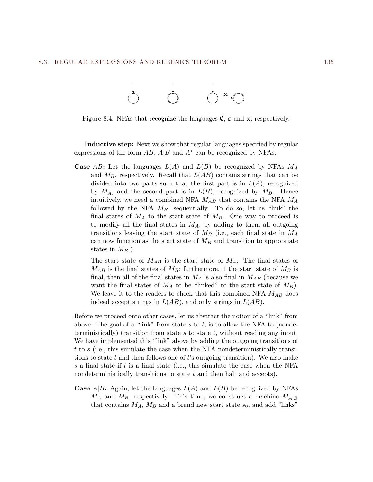

Figure 8.4: NFAs that recognize the languages  $\emptyset$ ,  $\varepsilon$  and **x**, respectively.

Inductive step: Next we show that regular languages specified by regular expressions of the form  $AB$ ,  $A|B$  and  $A^*$  can be recognized by NFAs.

**Case** AB: Let the languages  $L(A)$  and  $L(B)$  be recognized by NFAs  $M_A$ and  $M_B$ , respectively. Recall that  $L(AB)$  contains strings that can be divided into two parts such that the first part is in  $L(A)$ , recognized by  $M_A$ , and the second part is in  $L(B)$ , recognized by  $M_B$ . Hence intuitively, we need a combined NFA  $M_{AB}$  that contains the NFA  $M_A$ followed by the NFA  $M_B$ , sequentially. To do so, let us "link" the final states of  $M_A$  to the start state of  $M_B$ . One way to proceed is to modify all the final states in  $M_A$ , by adding to them all outgoing transitions leaving the start state of  $M_B$  (i.e., each final state in  $M_A$ can now function as the start state of  $M_B$  and transition to appropriate states in  $M_B$ .)

The start state of  $M_{AB}$  is the start state of  $M_A$ . The final states of  $M_{AB}$  is the final states of  $M_B$ ; furthermore, if the start state of  $M_B$  is final, then all of the final states in  $M_A$  is also final in  $M_{AB}$  (because we want the final states of  $M_A$  to be "linked" to the start state of  $M_B$ ). We leave it to the readers to check that this combined NFA  $M_{AB}$  does indeed accept strings in  $L(AB)$ , and only strings in  $L(AB)$ .

Before we proceed onto other cases, let us abstract the notion of a "link" from above. The goal of a "link" from state  $s$  to  $t$ , is to allow the NFA to (nondeterministically) transition from state  $s$  to state  $t$ , without reading any input. We have implemented this "link" above by adding the outgoing transitions of t to s (i.e., this simulate the case when the NFA nondeterministically transitions to state t and then follows one of t's outgoing transition). We also make s a final state if  $t$  is a final state (i.e., this simulate the case when the NFA nondeterministically transitions to state  $t$  and then halt and accepts).

**Case**  $A|B$ : Again, let the languages  $L(A)$  and  $L(B)$  be recognized by NFAs  $M_A$  and  $M_B$ , respectively. This time, we construct a machine  $M_{A|B}$ that contains  $M_A$ ,  $M_B$  and a brand new start state  $s_0$ , and add "links"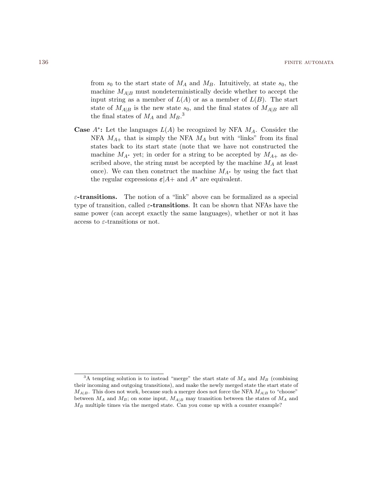from  $s_0$  to the start state of  $M_A$  and  $M_B$ . Intuitively, at state  $s_0$ , the machine  $M_{A|B}$  must nondeterministically decide whether to accept the input string as a member of  $L(A)$  or as a member of  $L(B)$ . The start state of  $M_{A|B}$  is the new state  $s_0$ , and the final states of  $M_{A|B}$  are all the final states of  $M_A$  and  $M_B$ <sup>3</sup>.

**Case**  $A^*$ : Let the languages  $L(A)$  be recognized by NFA  $M_A$ . Consider the NFA  $M_{A+}$  that is simply the NFA  $M_A$  but with "links" from its final states back to its start state (note that we have not constructed the machine  $M_{A^*}$  yet; in order for a string to be accepted by  $M_{A+}$  as described above, the string must be accepted by the machine  $M_A$  at least once). We can then construct the machine  $M_{A^*}$  by using the fact that the regular expressions  $\varepsilon|A+$  and  $A^*$  are equivalent.

 $\varepsilon$ -transitions. The notion of a "link" above can be formalized as a special type of transition, called  $\varepsilon$ -transitions. It can be shown that NFAs have the same power (can accept exactly the same languages), whether or not it has access to  $\varepsilon$ -transitions or not.

 $3A$  tempting solution is to instead "merge" the start state of  $M_A$  and  $M_B$  (combining their incoming and outgoing transitions), and make the newly merged state the start state of  $M_{A|B}$ . This does not work, because such a merger does not force the NFA  $M_{A|B}$  to "choose" between  $M_A$  and  $M_B$ ; on some input,  $M_{A|B}$  may transition between the states of  $M_A$  and  $M_B$  multiple times via the merged state. Can you come up with a counter example?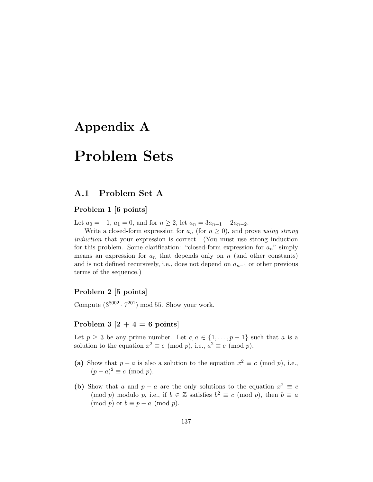# Appendix A

# Problem Sets

# A.1 Problem Set A

Problem 1 [6 points]

Let  $a_0 = -1$ ,  $a_1 = 0$ , and for  $n \ge 2$ , let  $a_n = 3a_{n-1} - 2a_{n-2}$ .

Write a closed-form expression for  $a_n$  (for  $n \geq 0$ ), and prove using strong induction that your expression is correct. (You must use strong induction for this problem. Some clarification: "closed-form expression for  $a_n$ " simply means an expression for  $a_n$  that depends only on n (and other constants) and is not defined recursively, i.e., does not depend on  $a_{n-1}$  or other previous terms of the sequence.)

## Problem 2 [5 points]

Compute  $(3^{8002} \cdot 7^{201})$  mod 55. Show your work.

### Problem  $3\left[2+4=6\right]$  points

Let  $p \geq 3$  be any prime number. Let  $c, a \in \{1, \ldots, p-1\}$  such that a is a solution to the equation  $x^2 \equiv c \pmod{p}$ , i.e.,  $a^2 \equiv c \pmod{p}$ .

- (a) Show that  $p a$  is also a solution to the equation  $x^2 \equiv c \pmod{p}$ , i.e.,  $(p-a)^2 \equiv c \pmod{p}.$
- (b) Show that a and  $p a$  are the only solutions to the equation  $x^2 \equiv c$ (mod p) modulo p, i.e., if  $b \in \mathbb{Z}$  satisfies  $b^2 \equiv c \pmod{p}$ , then  $b \equiv a$  $\pmod{p}$  or  $b \equiv p - a \pmod{p}$ .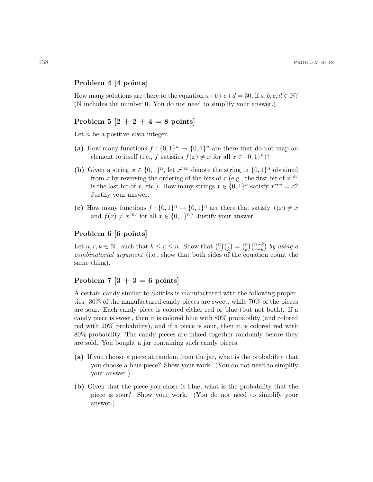## Problem 4 [4 points]

How many solutions are there to the equation  $a+b+c+d = 30$ , if a, b, c,  $d \in \mathbb{N}$ ? (N includes the number 0. You do not need to simplify your answer.)

## Problem 5  $[2 + 2 + 4 = 8 \text{ points}]$

Let  $n$  be a positive *even* integer.

- (a) How many functions  $f: \{0,1\}^n \to \{0,1\}^n$  are there that do not map an element to itself (i.e., f satisfies  $f(x) \neq x$  for all  $x \in \{0,1\}^n$ )?
- (b) Given a string  $x \in \{0,1\}^n$ , let  $x^{rev}$  denote the string in  $\{0,1\}^n$  obtained from x by reversing the ordering of the bits of  $x$  (e.g., the first bit of  $x^{rev}$ is the last bit of x, etc.). How many strings  $x \in \{0,1\}^n$  satisfy  $x^{rev} = x$ ? Justify your answer.
- (c) How many functions  $f: \{0,1\}^n \to \{0,1\}^n$  are there that satisfy  $f(x) \neq x$ and  $f(x) \neq x^{rev}$  for all  $x \in \{0,1\}^n$ ? Justify your answer.

## Problem 6 [6 points]

Let  $n, r, k \in \mathbb{N}^+$  such that  $k \leq r \leq n$ . Show that  $\binom{n}{r}$  $\binom{n}{r}\binom{r}{k} = \binom{n}{k}$  $\binom{n}{k}\binom{n-k}{r-k}$  by using a combinatorial argument (i.e., show that both sides of the equation count the same thing).

## Problem 7  $[3 + 3 = 6$  points

A certain candy similar to Skittles is manufactured with the following properties: 30% of the manufactured candy pieces are sweet, while 70% of the pieces are sour. Each candy piece is colored either red or blue (but not both). If a candy piece is sweet, then it is colored blue with 80% probability (and colored red with 20% probability), and if a piece is sour, then it is colored red with 80% probability. The candy pieces are mixed together randomly before they are sold. You bought a jar containing such candy pieces.

- (a) If you choose a piece at random from the jar, what is the probability that you choose a blue piece? Show your work. (You do not need to simplify your answer.)
- (b) Given that the piece you chose is blue, what is the probability that the piece is sour? Show your work. (You do not need to simplify your answer.)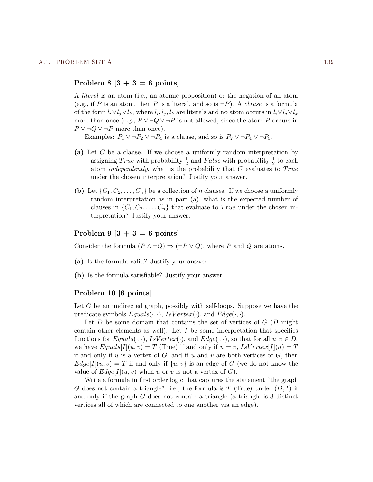#### A.1. PROBLEM SET A 139

## Problem  $8\left[3+3\right]=6$  points

A literal is an atom (i.e., an atomic proposition) or the negation of an atom (e.g., if P is an atom, then P is a literal, and so is  $\neg P$ ). A *clause* is a formula of the form  $l_i \vee l_j \vee l_k$ , where  $l_i, l_j, l_k$  are literals and no atom occurs in  $l_i \vee l_j \vee l_k$ more than once (e.g.,  $P \vee \neg Q \vee \neg P$  is not allowed, since the atom P occurs in  $P \vee \neg Q \vee \neg P$  more than once).

Examples:  $P_1 \vee \neg P_2 \vee \neg P_4$  is a clause, and so is  $P_2 \vee \neg P_4 \vee \neg P_5$ .

- (a) Let  $C$  be a clause. If we choose a uniformly random interpretation by assigning  $True$  with probability  $\frac{1}{2}$  and  $False$  with probability  $\frac{1}{2}$  to each atom *independently*, what is the probability that  $C$  evaluates to  $True$ under the chosen interpretation? Justify your answer.
- (b) Let  $\{C_1, C_2, \ldots, C_n\}$  be a collection of n clauses. If we choose a uniformly random interpretation as in part (a), what is the expected number of clauses in  $\{C_1, C_2, \ldots, C_n\}$  that evaluate to *True* under the chosen interpretation? Justify your answer.

### Problem 9  $[3 + 3 = 6$  points

Consider the formula  $(P \land \neg Q) \Rightarrow (\neg P \lor Q)$ , where P and Q are atoms.

- (a) Is the formula valid? Justify your answer.
- (b) Is the formula satisfiable? Justify your answer.

### Problem 10 [6 points]

Let G be an undirected graph, possibly with self-loops. Suppose we have the predicate symbols  $Equals(\cdot, \cdot)$ ,  $IsVertex(\cdot)$ , and  $Edge(\cdot, \cdot)$ .

Let  $D$  be some domain that contains the set of vertices of  $G$  ( $D$  might contain other elements as well). Let  $I$  be some interpretation that specifies functions for  $Equals(\cdot, \cdot)$ ,  $IsVertex(\cdot)$ , and  $Edge(\cdot, \cdot)$ , so that for all  $u, v \in D$ , we have  $Equals[I](u, v) = T$  (True) if and only if  $u = v$ ,  $IsVertex[I](u) = T$ if and only if  $u$  is a vertex of  $G$ , and if  $u$  and  $v$  are both vertices of  $G$ , then  $Edge[I](u, v) = T$  if and only if  $\{u, v\}$  is an edge of G (we do not know the value of  $Edge[I](u, v)$  when u or v is not a vertex of G).

Write a formula in first order logic that captures the statement "the graph G does not contain a triangle", i.e., the formula is  $T$  (True) under  $(D, I)$  if and only if the graph G does not contain a triangle (a triangle is 3 distinct vertices all of which are connected to one another via an edge).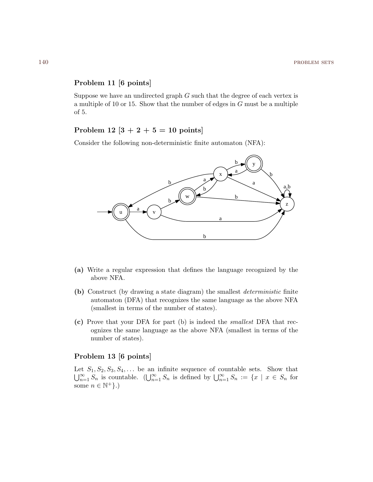# Problem 11 [6 points]

Suppose we have an undirected graph  $G$  such that the degree of each vertex is a multiple of 10 or 15. Show that the number of edges in G must be a multiple of 5.

# Problem 12  $[3 + 2 + 5 = 10 \text{ points}]$

Consider the following non-deterministic finite automaton (NFA):



- (a) Write a regular expression that defines the language recognized by the above NFA.
- (b) Construct (by drawing a state diagram) the smallest deterministic finite automaton (DFA) that recognizes the same language as the above NFA (smallest in terms of the number of states).
- (c) Prove that your DFA for part (b) is indeed the smallest DFA that recognizes the same language as the above NFA (smallest in terms of the number of states).

## Problem 13 [6 points]

Let  $S_1, S_2, S_3, S_4, \ldots$  be an infinite sequence of countable sets. Show that  $\bigcup_{n=1}^{\infty} S_n$  is countable.  $(\bigcup_{n=1}^{\infty} S_n$  is defined by  $\bigcup_{n=1}^{\infty} S_n := \{x \mid x \in S_n \text{ for } x \in S_n\}$ some  $n \in \mathbb{N}^+$ .)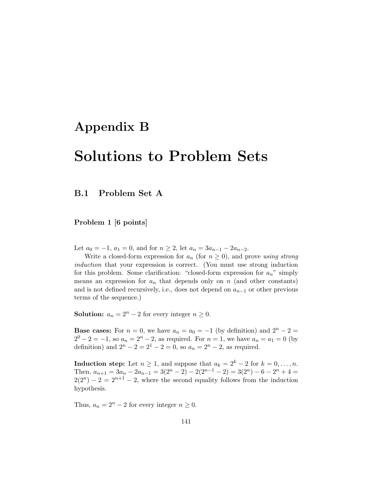# Appendix B

# Solutions to Problem Sets

B.1 Problem Set A

Problem 1 [6 points]

Let  $a_0 = -1$ ,  $a_1 = 0$ , and for  $n \ge 2$ , let  $a_n = 3a_{n-1} - 2a_{n-2}$ .

Write a closed-form expression for  $a_n$  (for  $n \geq 0$ ), and prove using strong induction that your expression is correct. (You must use strong induction for this problem. Some clarification: "closed-form expression for  $a_n$ " simply means an expression for  $a_n$  that depends only on n (and other constants) and is not defined recursively, i.e., does not depend on  $a_{n-1}$  or other previous terms of the sequence.)

**Solution:**  $a_n = 2^n - 2$  for every integer  $n \geq 0$ .

**Base cases:** For  $n = 0$ , we have  $a_n = a_0 = -1$  (by definition) and  $2^n - 2 =$  $2^{0} - 2 = -1$ , so  $a_n = 2^{n} - 2$ , as required. For  $n = 1$ , we have  $a_n = a_1 = 0$  (by definition) and  $2^{n} - 2 = 2^{1} - 2 = 0$ , so  $a_n = 2^{n} - 2$ , as required.

**Induction step:** Let  $n \geq 1$ , and suppose that  $a_k = 2^k - 2$  for  $k = 0, \ldots, n$ . Then,  $a_{n+1} = 3a_n - 2a_{n-1} = 3(2^n - 2) - 2(2^{n-1} - 2) = 3(2^n) - 6 - 2^n + 4 =$  $2(2^n) - 2 = 2^{n+1} - 2$ , where the second equality follows from the induction hypothesis.

Thus,  $a_n = 2^n - 2$  for every integer  $n \geq 0$ .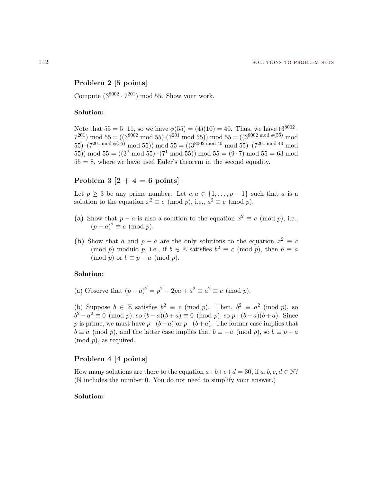## Problem 2 [5 points]

Compute  $(3^{8002} \cdot 7^{201})$  mod 55. Show your work.

#### Solution:

Note that  $55 = 5 \cdot 11$ , so we have  $\phi(55) = (4)(10) = 40$ . Thus, we have  $(3^{8002} \cdot$  $(7^{201}) \mod 55 = ((3^{8002} \mod 55) \cdot (7^{201} \mod 55)) \mod 55 = ((3^{8002} \mod 6^{65}) \mod 55)$  $(55) \cdot (7^{201 \mod \phi(55)} \mod 55) \mod 55 = ((3^{8002 \mod 40} \mod 55) \cdot (7^{201 \mod 40} \mod 55))$ 55)) mod  $55 = ((3^2 \mod 55) \cdot (7^1 \mod 55)) \mod 55 = (9 \cdot 7) \mod 55 = 63 \mod 55$  $55 = 8$ , where we have used Euler's theorem in the second equality.

# Problem 3  $[2 + 4 = 6 \text{ points}]$

Let  $p \geq 3$  be any prime number. Let  $c, a \in \{1, \ldots, p-1\}$  such that a is a solution to the equation  $x^2 \equiv c \pmod{p}$ , i.e.,  $a^2 \equiv c \pmod{p}$ .

- (a) Show that  $p a$  is also a solution to the equation  $x^2 \equiv c \pmod{p}$ , i.e.,  $(p-a)^2 \equiv c \pmod{p}.$
- (b) Show that a and  $p a$  are the only solutions to the equation  $x^2 \equiv c$ (mod p) modulo p, i.e., if  $b \in \mathbb{Z}$  satisfies  $b^2 \equiv c \pmod{p}$ , then  $b \equiv a$ (mod p) or  $b \equiv p - a \pmod{p}$ .

## Solution:

(a) Observe that  $(p - a)^2 = p^2 - 2pa + a^2 \equiv a^2 \equiv c \pmod{p}$ .

(b) Suppose  $b \in \mathbb{Z}$  satisfies  $b^2 \equiv c \pmod{p}$ . Then,  $b^2 \equiv a^2 \pmod{p}$ , so  $b^2 - a^2 \equiv 0 \pmod{p}$ , so  $(b-a)(b+a) \equiv 0 \pmod{p}$ , so  $p \mid (b-a)(b+a)$ . Since p is prime, we must have  $p \mid (b-a)$  or  $p \mid (b+a)$ . The former case implies that  $b \equiv a \pmod{p}$ , and the latter case implies that  $b \equiv -a \pmod{p}$ , so  $b \equiv p - a$  $(mod p)$ , as required.

# Problem 4 [4 points]

How many solutions are there to the equation  $a+b+c+d = 30$ , if  $a, b, c, d \in \mathbb{N}$ ? (N includes the number 0. You do not need to simplify your answer.)

#### Solution: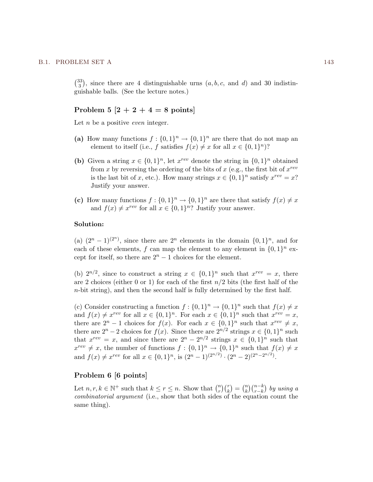#### B.1. PROBLEM SET A 143

 $\binom{33}{2}$  $\binom{33}{3}$ , since there are 4 distinguishable urns  $(a, b, c, \text{ and } d)$  and 30 indistinguishable balls. (See the lecture notes.)

# Problem 5  $[2 + 2 + 4 = 8 \text{ points}]$

Let  $n$  be a positive *even* integer.

- (a) How many functions  $f: \{0,1\}^n \to \{0,1\}^n$  are there that do not map an element to itself (i.e., f satisfies  $f(x) \neq x$  for all  $x \in \{0,1\}^n$ )?
- (b) Given a string  $x \in \{0,1\}^n$ , let  $x^{rev}$  denote the string in  $\{0,1\}^n$  obtained from x by reversing the ordering of the bits of  $x$  (e.g., the first bit of  $x^{rev}$ is the last bit of x, etc.). How many strings  $x \in \{0,1\}^n$  satisfy  $x^{rev} = x$ ? Justify your answer.
- (c) How many functions  $f: \{0,1\}^n \to \{0,1\}^n$  are there that satisfy  $f(x) \neq x$ and  $f(x) \neq x^{rev}$  for all  $x \in \{0,1\}^{n}$ ? Justify your answer.

#### Solution:

(a)  $(2^n - 1)^{(2^n)}$ , since there are  $2^n$  elements in the domain  $\{0, 1\}^n$ , and for each of these elements, f can map the element to any element in  $\{0,1\}^n$  except for itself, so there are  $2<sup>n</sup> - 1$  choices for the element.

(b)  $2^{n/2}$ , since to construct a string  $x \in \{0,1\}^n$  such that  $x^{rev} = x$ , there are 2 choices (either 0 or 1) for each of the first  $n/2$  bits (the first half of the n-bit string), and then the second half is fully determined by the first half.

(c) Consider constructing a function  $f: \{0,1\}^n \to \{0,1\}^n$  such that  $f(x) \neq x$ and  $f(x) \neq x^{rev}$  for all  $x \in \{0,1\}^n$ . For each  $x \in \{0,1\}^n$  such that  $x^{rev} = x$ , there are  $2^{n} - 1$  choices for  $f(x)$ . For each  $x \in \{0, 1\}^{n}$  such that  $x^{rev} \neq x$ , there are  $2^{n} - 2$  choices for  $f(x)$ . Since there are  $2^{n/2}$  strings  $x \in \{0, 1\}^n$  such that  $x^{rev} = x$ , and since there are  $2^n - 2^{n/2}$  strings  $x \in \{0, 1\}^n$  such that  $x^{rev} \neq x$ , the number of functions  $f: \{0,1\}^n \to \{0,1\}^n$  such that  $f(x) \neq x$ and  $f(x) \neq x^{rev}$  for all  $x \in \{0,1\}^n$ , is  $(2^n - 1)^{(2n/2)} \cdot (2^n - 2)^{(2^n - 2n/2)}$ .

## Problem 6 [6 points]

Let  $n, r, k \in \mathbb{N}^+$  such that  $k \leq r \leq n$ . Show that  $\binom{n}{r}$  $\binom{n}{r}\binom{r}{k} = \binom{n}{k}$  $\binom{n}{k}\binom{n-k}{r-k}$  by using a combinatorial argument (i.e., show that both sides of the equation count the same thing).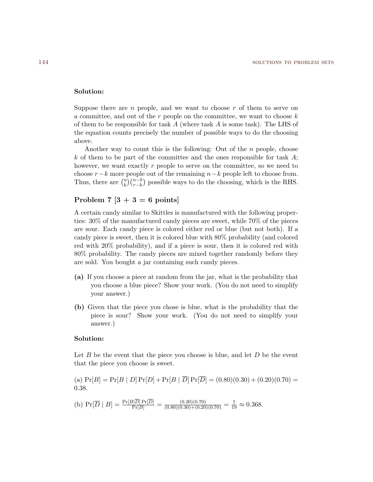## Solution:

Suppose there are  $n$  people, and we want to choose  $r$  of them to serve on a committee, and out of the  $r$  people on the committee, we want to choose  $k$ of them to be responsible for task  $A$  (where task  $A$  is some task). The LHS of the equation counts precisely the number of possible ways to do the choosing above.

Another way to count this is the following: Out of the n people, choose  $k$  of them to be part of the committee and the ones responsible for task  $A$ ; however, we want exactly r people to serve on the committee, so we need to choose  $r-k$  more people out of the remaining  $n-k$  people left to choose from. Thus, there are  $\binom{n}{k}$  $\binom{n}{k}\binom{n-k}{r-k}$  possible ways to do the choosing, which is the RHS.

# Problem  $7 \left[3 + 3 = 6 \text{ points}\right]$

A certain candy similar to Skittles is manufactured with the following properties: 30% of the manufactured candy pieces are sweet, while 70% of the pieces are sour. Each candy piece is colored either red or blue (but not both). If a candy piece is sweet, then it is colored blue with 80% probability (and colored red with 20% probability), and if a piece is sour, then it is colored red with 80% probability. The candy pieces are mixed together randomly before they are sold. You bought a jar containing such candy pieces.

- (a) If you choose a piece at random from the jar, what is the probability that you choose a blue piece? Show your work. (You do not need to simplify your answer.)
- (b) Given that the piece you chose is blue, what is the probability that the piece is sour? Show your work. (You do not need to simplify your answer.)

### Solution:

Let  $B$  be the event that the piece you choose is blue, and let  $D$  be the event that the piece you choose is sweet.

(a)  $Pr[B] = Pr[B | D] Pr[D] + Pr[B | \overline{D}] Pr[\overline{D}] = (0.80)(0.30) + (0.20)(0.70) =$ 0.38.

(b) 
$$
\Pr[\overline{D} \mid B] = \frac{\Pr[B|\overline{D}]\Pr[\overline{D}]}{\Pr[B]} = \frac{(0.20)(0.70)}{(0.80)(0.30) + (0.20)(0.70)} = \frac{7}{19} \approx 0.368.
$$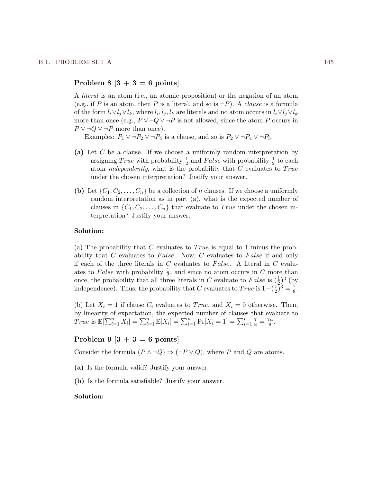#### B.1. PROBLEM SET A 145

# Problem  $8\left[3+3\right]=6$  points

A literal is an atom (i.e., an atomic proposition) or the negation of an atom (e.g., if P is an atom, then P is a literal, and so is  $\neg P$ ). A *clause* is a formula of the form  $l_i \vee l_j \vee l_k$ , where  $l_i, l_j, l_k$  are literals and no atom occurs in  $l_i \vee l_j \vee l_k$ more than once (e.g.,  $P \vee \neg Q \vee \neg P$  is not allowed, since the atom P occurs in  $P \vee \neg Q \vee \neg P$  more than once).

Examples:  $P_1 \vee \neg P_2 \vee \neg P_4$  is a clause, and so is  $P_2 \vee \neg P_4 \vee \neg P_5$ .

- (a) Let  $C$  be a clause. If we choose a uniformly random interpretation by assigning  $True$  with probability  $\frac{1}{2}$  and  $False$  with probability  $\frac{1}{2}$  to each atom *independently*, what is the probability that  $C$  evaluates to  $True$ under the chosen interpretation? Justify your answer.
- (b) Let  $\{C_1, C_2, \ldots, C_n\}$  be a collection of n clauses. If we choose a uniformly random interpretation as in part (a), what is the expected number of clauses in  $\{C_1, C_2, \ldots, C_n\}$  that evaluate to *True* under the chosen interpretation? Justify your answer.

#### Solution:

(a) The probability that C evaluates to  $True$  is equal to 1 minus the probability that C evaluates to False. Now, C evaluates to False if and only if each of the three literals in  $C$  evaluates to  $False$ . A literal in  $C$  evaluates to False with probability  $\frac{1}{2}$ , and since no atom occurs in C more than once, the probability that all three literals in C evaluate to False is  $(\frac{1}{2})^3$  (by independence). Thus, the probability that C evaluates to  $True$  is  $1-(\frac{1}{2})$  $(\frac{1}{2})^3 = \frac{7}{8}$  $\frac{7}{8}$ .

(b) Let  $X_i = 1$  if clause  $C_i$  evaluates to True, and  $X_i = 0$  otherwise. Then, by linearity of expectation, the expected number of clauses that evaluate to *True* is  $\mathbb{E}[\sum_{i=1}^{n} X_i] = \sum_{i=1}^{n} \mathbb{E}[X_i] = \sum_{i=1}^{n} \Pr[X_i = 1] = \sum_{i=1}^{n} \frac{7}{8} = \frac{7n}{8}$  $\frac{n}{8}$ .

## Problem 9  $[3 + 3 = 6$  points

Consider the formula  $(P \land \neg Q) \Rightarrow (\neg P \lor Q)$ , where P and Q are atoms.

(a) Is the formula valid? Justify your answer.

(b) Is the formula satisfiable? Justify your answer.

#### Solution: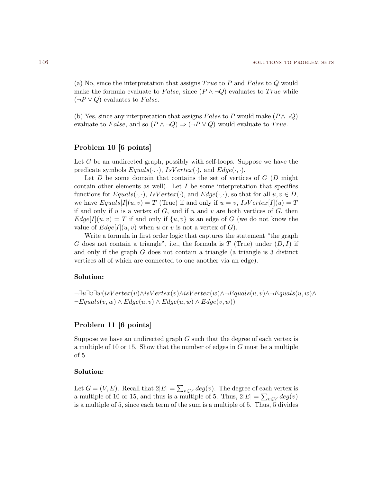(a) No, since the interpretation that assigns  $True$  to P and False to Q would make the formula evaluate to False, since  $(P \wedge \neg Q)$  evaluates to True while  $(\neg P \lor Q)$  evaluates to False.

(b) Yes, since any interpretation that assigns False to P would make  $(P \land \neg Q)$ evaluate to False, and so  $(P \land \neg Q) \Rightarrow (\neg P \lor Q)$  would evaluate to True.

## Problem 10 [6 points]

Let G be an undirected graph, possibly with self-loops. Suppose we have the predicate symbols  $Equals(\cdot, \cdot)$ ,  $IsVertex(\cdot)$ , and  $Edge(\cdot, \cdot)$ .

Let  $D$  be some domain that contains the set of vertices of  $G$  ( $D$  might contain other elements as well). Let  $I$  be some interpretation that specifies functions for  $Equals(\cdot, \cdot)$ ,  $IsVertex(\cdot)$ , and  $Edge(\cdot, \cdot)$ , so that for all  $u, v \in D$ , we have  $Equals[I](u, v) = T$  (True) if and only if  $u = v$ ,  $IsVertex[I](u) = T$ if and only if  $u$  is a vertex of  $G$ , and if  $u$  and  $v$  are both vertices of  $G$ , then  $Edge[I](u, v) = T$  if and only if  $\{u, v\}$  is an edge of G (we do not know the value of  $Edge[I](u, v)$  when u or v is not a vertex of G).

Write a formula in first order logic that captures the statement "the graph G does not contain a triangle", i.e., the formula is  $T$  (True) under  $(D, I)$  if and only if the graph G does not contain a triangle (a triangle is 3 distinct vertices all of which are connected to one another via an edge).

### Solution:

 $\neg \exists u \exists v \exists w (isVertex(u) \land isVertex(v) \land isVertex(w) \land \neg Equals(u, v) \land \neg Equals(u, w) \land$  $\neg Equals(v, w) \wedge Edge(u, v) \wedge Edge(u, w) \wedge Edge(v, w)$ 

# Problem 11 [6 points]

Suppose we have an undirected graph  $G$  such that the degree of each vertex is a multiple of 10 or 15. Show that the number of edges in G must be a multiple of 5.

## Solution:

Let  $G = (V, E)$ . Recall that  $2|E| = \sum_{v \in V} deg(v)$ . The degree of each vertex is a multiple of 10 or 15, and thus is a multiple of 5. Thus,  $2|E| = \sum_{v \in V} deg(v)$ is a multiple of 5, since each term of the sum is a multiple of 5. Thus, 5 divides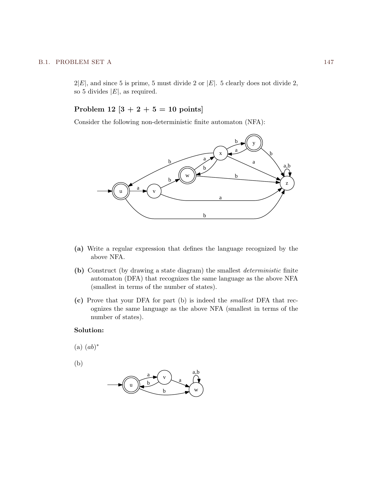#### B.1. PROBLEM SET A 147

 $2|E|$ , and since 5 is prime, 5 must divide 2 or  $|E|$ . 5 clearly does not divide 2, so 5 divides  $|E|$ , as required.

# Problem 12  $[3 + 2 + 5 = 10 \text{ points}]$

Consider the following non-deterministic finite automaton (NFA):



- (a) Write a regular expression that defines the language recognized by the above NFA.
- (b) Construct (by drawing a state diagram) the smallest deterministic finite automaton (DFA) that recognizes the same language as the above NFA (smallest in terms of the number of states).
- (c) Prove that your DFA for part (b) is indeed the smallest DFA that recognizes the same language as the above NFA (smallest in terms of the number of states).

## Solution:

- $(a) (ab)^*$
- (b)